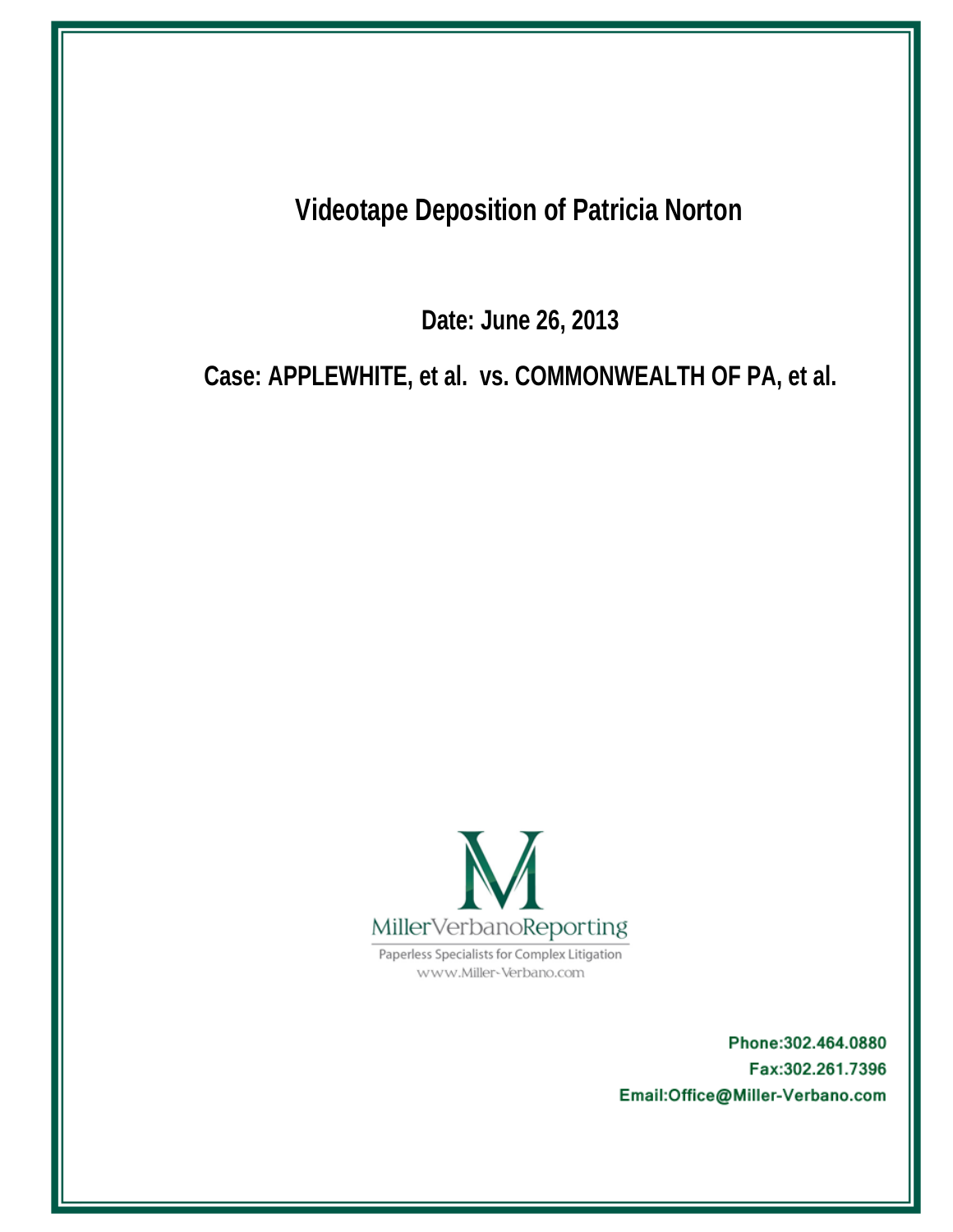**Videotape Deposition of Patricia Norton** 

Date: June 26, 2013

Case: APPLEWHITE, et al. vs. COMMONWEALTH OF PA, et al.



Paperless Specialists for Complex Litigation www.Miller-Verbano.com

> Phone: 302.464.0880 Fax:302.261.7396 Email:Office@Miller-Verbano.com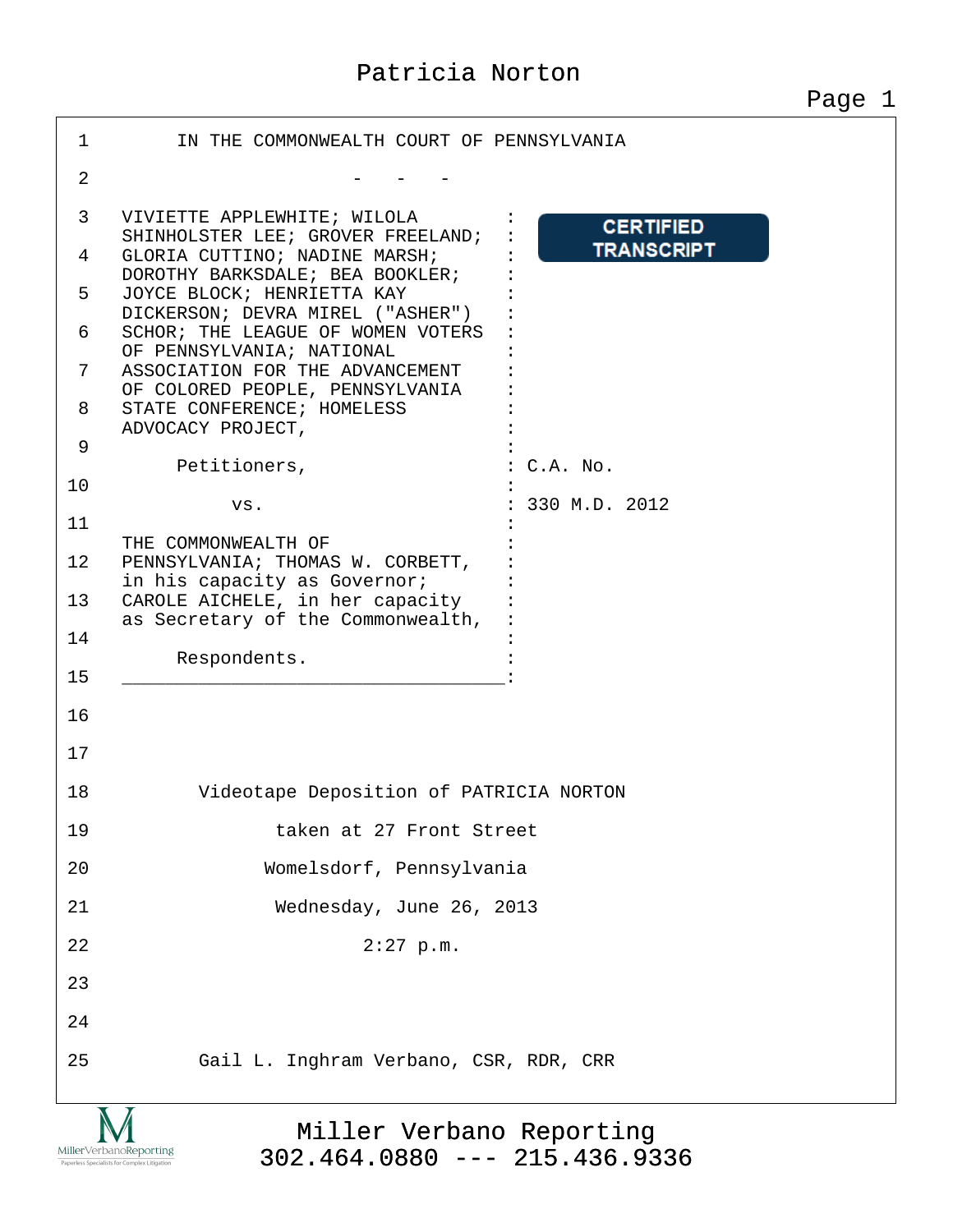| $\mathbf 1$               | IN THE COMMONWEALTH COURT OF PENNSYLVANIA                                                            |  |
|---------------------------|------------------------------------------------------------------------------------------------------|--|
| $\overline{2}$            |                                                                                                      |  |
| 3                         | VIVIETTE APPLEWHITE; WILOLA<br><b>CERTIFIED</b><br>SHINHOLSTER LEE; GROVER FREELAND;                 |  |
| 4                         | <b>TRANSCRIPT</b><br>GLORIA CUTTINO; NADINE MARSH;<br>DOROTHY BARKSDALE; BEA BOOKLER;                |  |
| 5                         | JOYCE BLOCK; HENRIETTA KAY<br>DICKERSON; DEVRA MIREL ("ASHER")                                       |  |
| 6<br>7                    | SCHOR; THE LEAGUE OF WOMEN VOTERS<br>OF PENNSYLVANIA; NATIONAL                                       |  |
| 8                         | ASSOCIATION FOR THE ADVANCEMENT<br>OF COLORED PEOPLE, PENNSYLVANIA<br>STATE CONFERENCE; HOMELESS     |  |
| 9                         | ADVOCACY PROJECT,                                                                                    |  |
| 10                        | Petitioners,<br>$:C.A.$ No.                                                                          |  |
| 11                        | 330 M.D. 2012<br>VS.                                                                                 |  |
| 12                        | THE COMMONWEALTH OF<br>PENNSYLVANIA; THOMAS W. CORBETT,                                              |  |
| 13                        | in his capacity as Governor;<br>CAROLE AICHELE, in her capacity<br>as Secretary of the Commonwealth, |  |
| 14                        |                                                                                                      |  |
| 15                        | Respondents.                                                                                         |  |
| 16                        |                                                                                                      |  |
| 17                        |                                                                                                      |  |
| 18                        | Videotape Deposition of PATRICIA NORTON                                                              |  |
| 19                        | taken at 27 Front Street                                                                             |  |
| 20                        | Womelsdorf, Pennsylvania                                                                             |  |
| 21                        | Wednesday, June 26, 2013                                                                             |  |
| 22                        | $2:27$ p.m.                                                                                          |  |
| 23                        |                                                                                                      |  |
| 24                        |                                                                                                      |  |
| 25                        | Gail L. Inghram Verbano, CSR, RDR, CRR                                                               |  |
| $\mathbf{X}$ $\mathbf{X}$ |                                                                                                      |  |

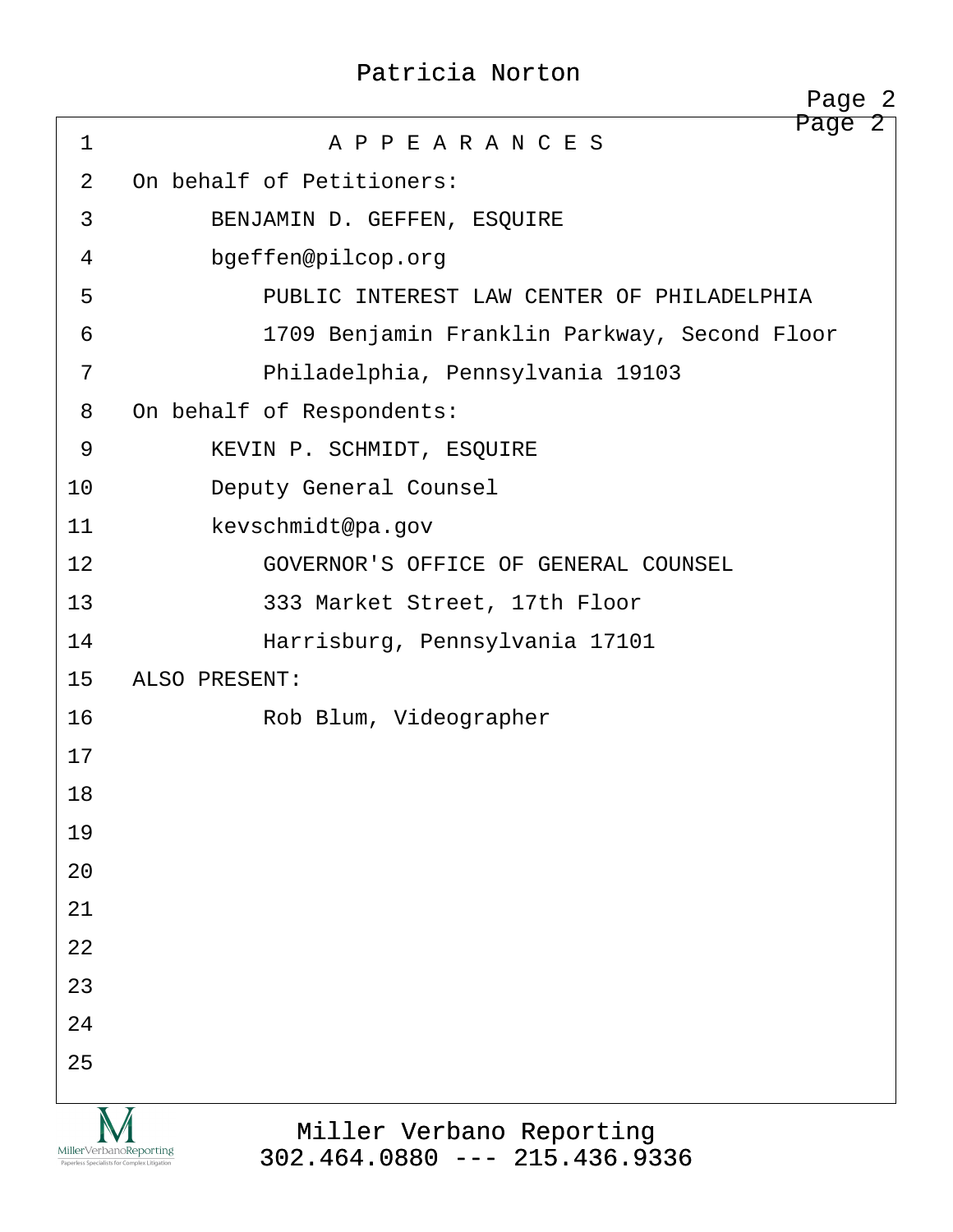|                                                                          | Page 2                                                      |
|--------------------------------------------------------------------------|-------------------------------------------------------------|
| $\mathbf 1$                                                              | Page 2<br>A P P E A R A N C E S                             |
| 2                                                                        | On behalf of Petitioners:                                   |
| 3                                                                        | BENJAMIN D. GEFFEN, ESQUIRE                                 |
| 4                                                                        | bgeffen@pilcop.org                                          |
| 5                                                                        | PUBLIC INTEREST LAW CENTER OF PHILADELPHIA                  |
| 6                                                                        | 1709 Benjamin Franklin Parkway, Second Floor                |
| 7                                                                        | Philadelphia, Pennsylvania 19103                            |
| 8                                                                        | On behalf of Respondents:                                   |
| 9                                                                        | KEVIN P. SCHMIDT, ESQUIRE                                   |
| 10                                                                       | Deputy General Counsel                                      |
| 11                                                                       | kevschmidt@pa.gov                                           |
| 12                                                                       | GOVERNOR'S OFFICE OF GENERAL COUNSEL                        |
| 13                                                                       | 333 Market Street, 17th Floor                               |
| 14                                                                       | Harrisburg, Pennsylvania 17101                              |
| 15                                                                       | ALSO PRESENT:                                               |
| 16                                                                       | Rob Blum, Videographer                                      |
| 17                                                                       |                                                             |
| 18                                                                       |                                                             |
| 19                                                                       |                                                             |
| 20                                                                       |                                                             |
| 21                                                                       |                                                             |
| 22                                                                       |                                                             |
| 23                                                                       |                                                             |
| 24                                                                       |                                                             |
| 25                                                                       |                                                             |
| Miller Verbano Reporting<br>Paperless Specialists for Complex Litigation | Miller Verbano Reporting<br>$302.464.0880$ --- 215.436.9336 |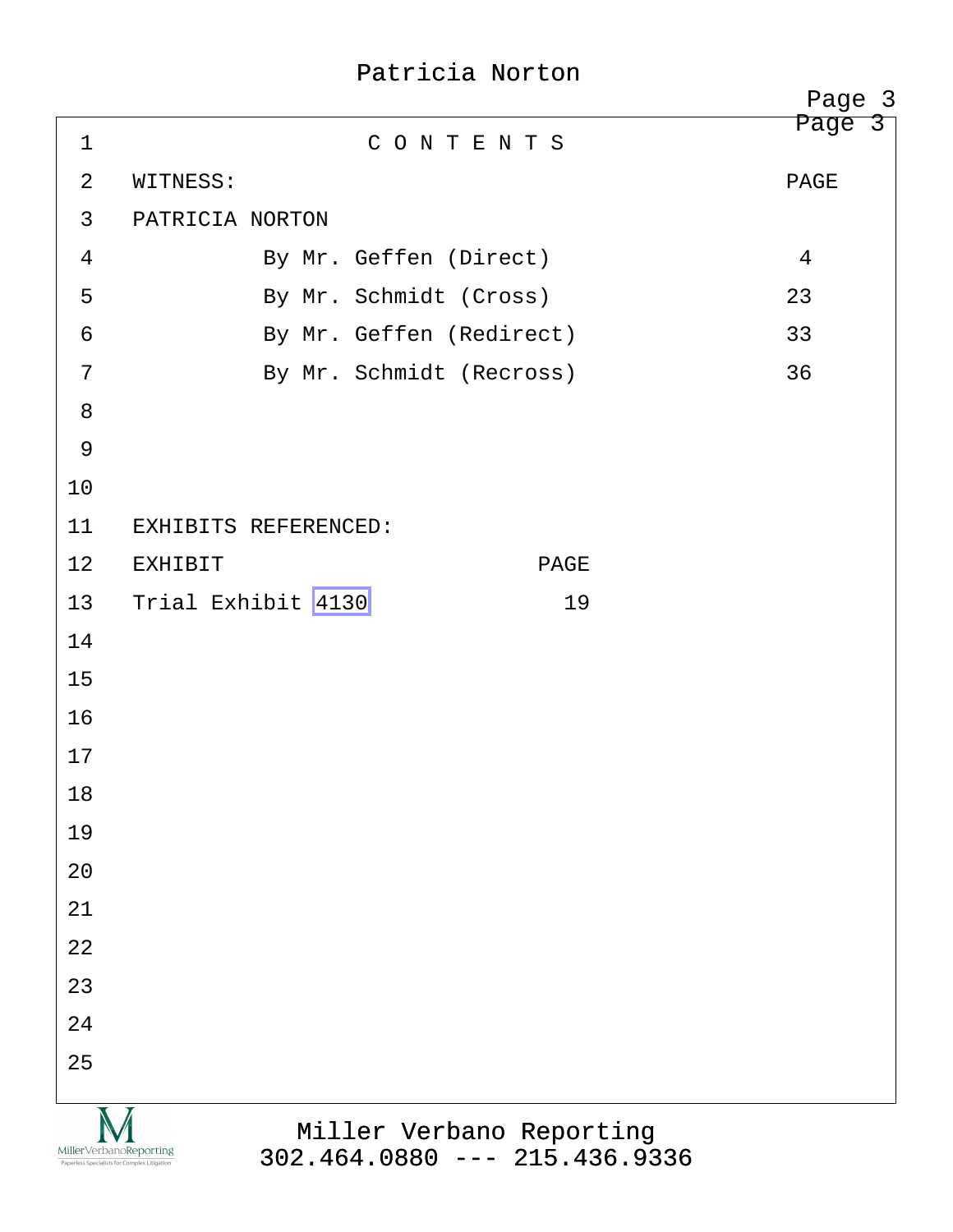|                |                                                                                                                                       | Page 3 |
|----------------|---------------------------------------------------------------------------------------------------------------------------------------|--------|
| $\mathbf 1$    | CONTENTS                                                                                                                              | Page 3 |
| 2              | WITNESS:                                                                                                                              | PAGE   |
| $\mathbf{3}$   | PATRICIA NORTON                                                                                                                       |        |
| 4              | By Mr. Geffen (Direct)                                                                                                                | 4      |
| 5              | By Mr. Schmidt (Cross)                                                                                                                | 23     |
| 6              | By Mr. Geffen (Redirect)                                                                                                              | 33     |
| 7              | By Mr. Schmidt (Recross)                                                                                                              | 36     |
| 8              |                                                                                                                                       |        |
| $\overline{9}$ |                                                                                                                                       |        |
| 10             |                                                                                                                                       |        |
| 11             | EXHIBITS REFERENCED:                                                                                                                  |        |
| 12             | <b>EXHIBIT</b><br>PAGE                                                                                                                |        |
| 13             | Trial Exhibit 4130<br>19                                                                                                              |        |
| 14             |                                                                                                                                       |        |
| 15             |                                                                                                                                       |        |
| 16             |                                                                                                                                       |        |
| 17             |                                                                                                                                       |        |
| 18             |                                                                                                                                       |        |
| 19             |                                                                                                                                       |        |
| 20             |                                                                                                                                       |        |
| 21             |                                                                                                                                       |        |
| 22             |                                                                                                                                       |        |
| 23             |                                                                                                                                       |        |
| 24             |                                                                                                                                       |        |
| 25             |                                                                                                                                       |        |
|                | Miller Verbano Reporting<br>MillerVerbanoReporting<br>$302.464.0880$ --- 215.436.9336<br>Paperless Specialists for Complex Litigation |        |

[302.464.0880 --- 215.436.9336](http://www.miller-verbano.com)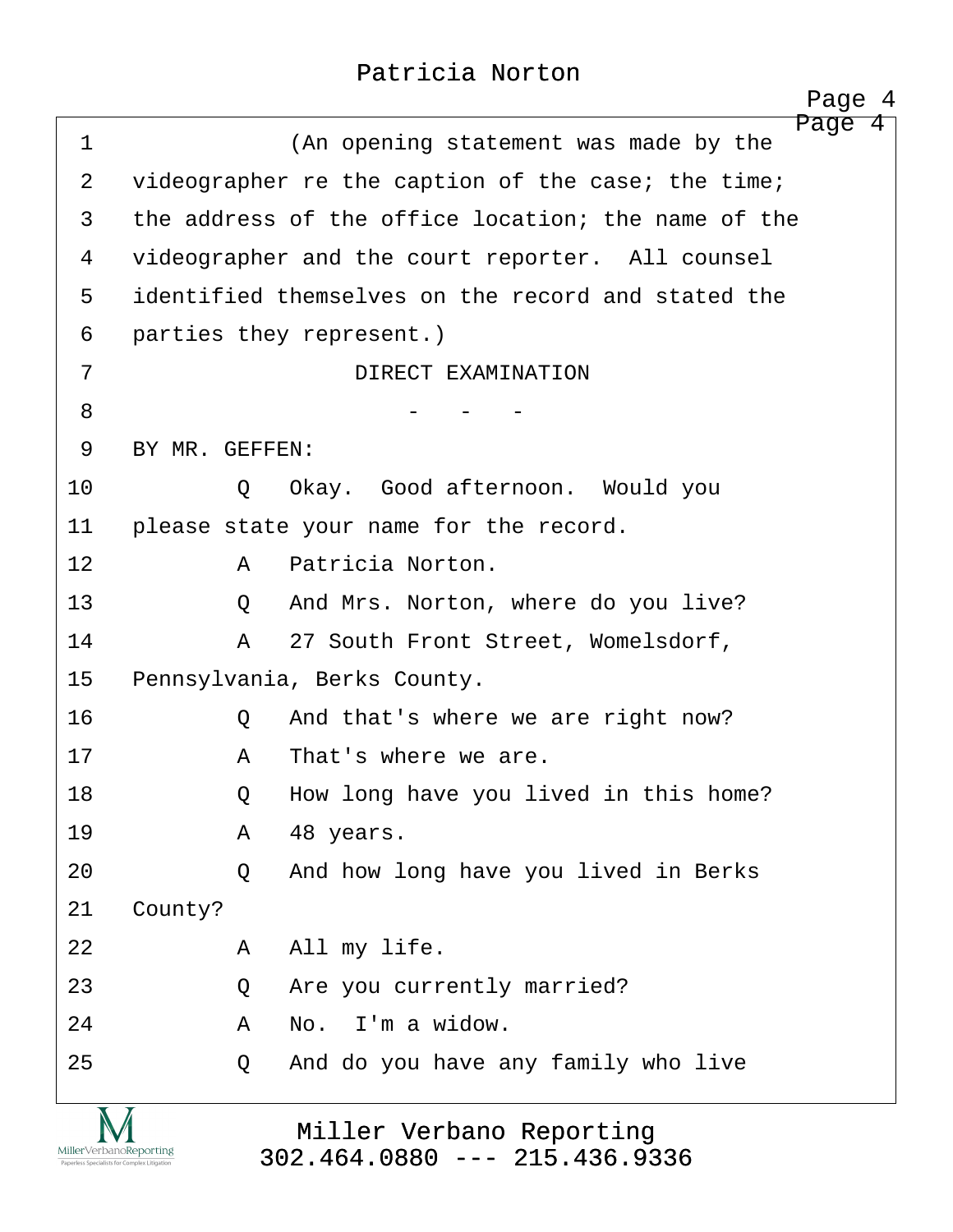<span id="page-4-0"></span>

| $\mathbf 1$ | Page 4<br>(An opening statement was made by the     |
|-------------|-----------------------------------------------------|
| 2           | videographer re the caption of the case; the time;  |
| 3           | the address of the office location; the name of the |
| 4           | videographer and the court reporter. All counsel    |
| 5           | identified themselves on the record and stated the  |
| 6           | parties they represent.)                            |
| 7           | DIRECT EXAMINATION                                  |
| 8           |                                                     |
| 9           | BY MR. GEFFEN:                                      |
| 10          | Okay. Good afternoon. Would you<br>Q                |
| 11          | please state your name for the record.              |
| 12          | Patricia Norton.<br>Α                               |
| 13          | And Mrs. Norton, where do you live?<br>Q            |
| 14          | 27 South Front Street, Womelsdorf,<br>A             |
| 15          | Pennsylvania, Berks County.                         |
| 16          | And that's where we are right now?<br>Q             |
| 17          | That's where we are.<br>Α                           |
| 18          | How long have you lived in this home?<br>Q          |
| 19          | 48 years.<br>A                                      |
| 20          | And how long have you lived in Berks<br>$\circ$     |
| 21          | County?                                             |
| 22          | All my life.<br>A                                   |
| 23          | Are you currently married?<br>Q                     |
| 24          | No. I'm a widow.<br>Α                               |
| 25          | And do you have any family who live<br>Q            |
| $\sqrt{2}$  |                                                     |

Miller Verbano Reporting [302.464.0880 --- 215.436.9336](http://www.miller-verbano.com)

IVI  $\underset{\text{Paperless Specialists for Complex Litigation}}{\text{MillerVerbanoReporting}}$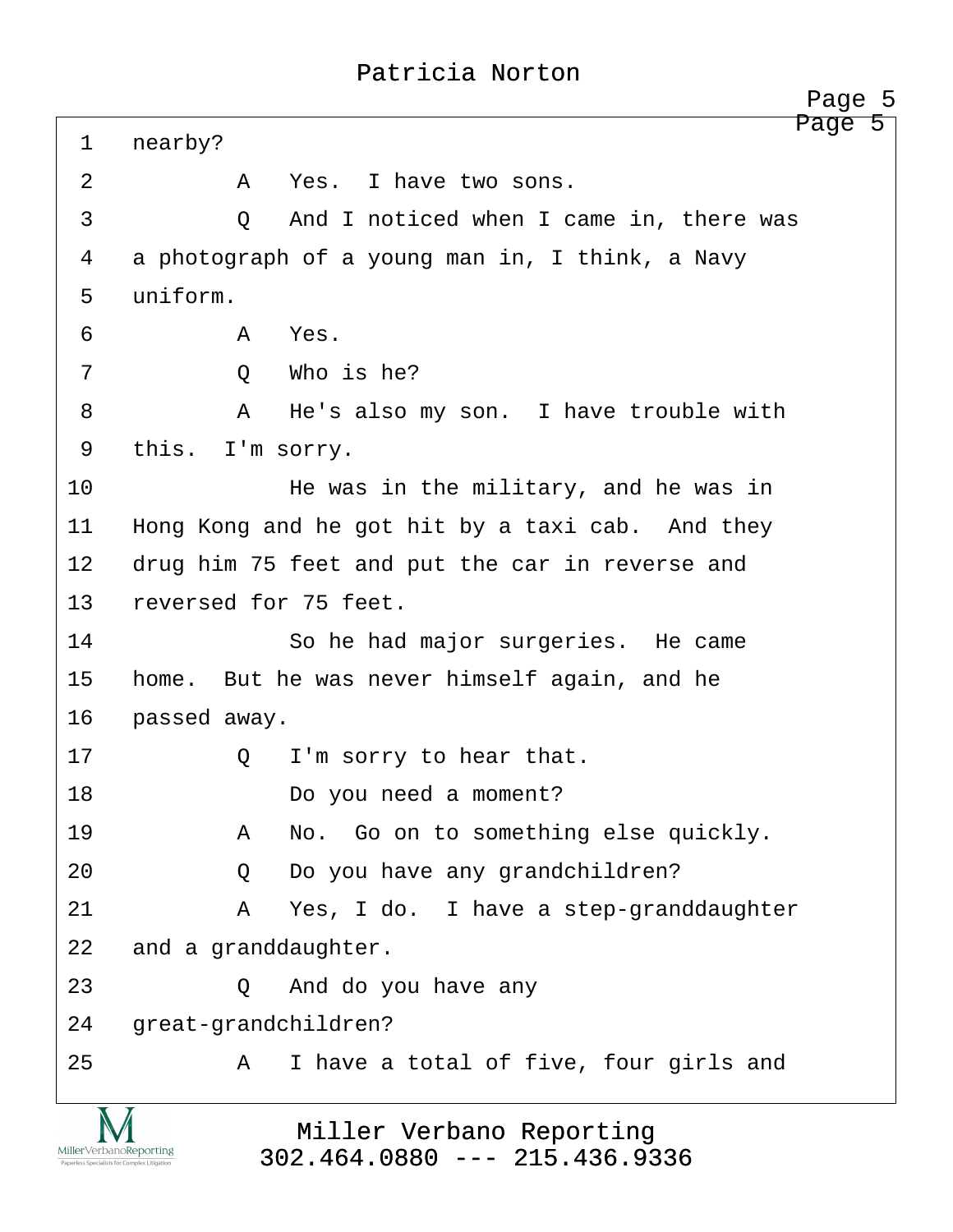<span id="page-5-0"></span>Page 5 1 nearby? ·2· · · · · ·A· ·Yes.· I have two sons. ·3· · · · · ·Q· ·And I noticed when I came in, there was 4 a photograph of a young man in, I think, a Navy 5 uniform. ·6· · · · · ·A· ·Yes. ·7· · · · · ·Q· ·Who is he? ·8· · · · · ·A· ·He's also my son.· I have trouble with 9 this. I'm sorry. 10· · · · · · · ·He was in the military, and he was in 11 Hong Kong and he got hit by a taxi cab. And they 12 drug him 75 feet and put the car in reverse and 13 reversed for 75 feet. 14 · · · · · So he had major surgeries. He came 15 home. But he was never himself again, and he 16 **passed away.** 17· · · · · ·Q· ·I'm sorry to hear that. 18 · · · · · · · · · · · Do you need a moment? 19· · · · · ·A· ·No.· Go on to something else quickly. 20 · · · · Q · Do you have any grandchildren? 21· · · · · ·A· ·Yes, I do.· I have a step-granddaughter 22 and a granddaughter. 23· · · · · ·Q· ·And do you have any 24 great-grandchildren? 25· · · · · ·A· ·I have a total of five, four girls and Page 5

Miller Verbano Reporting [302.464.0880 --- 215.436.9336](http://www.miller-verbano.com)

MillerVerbanoReporting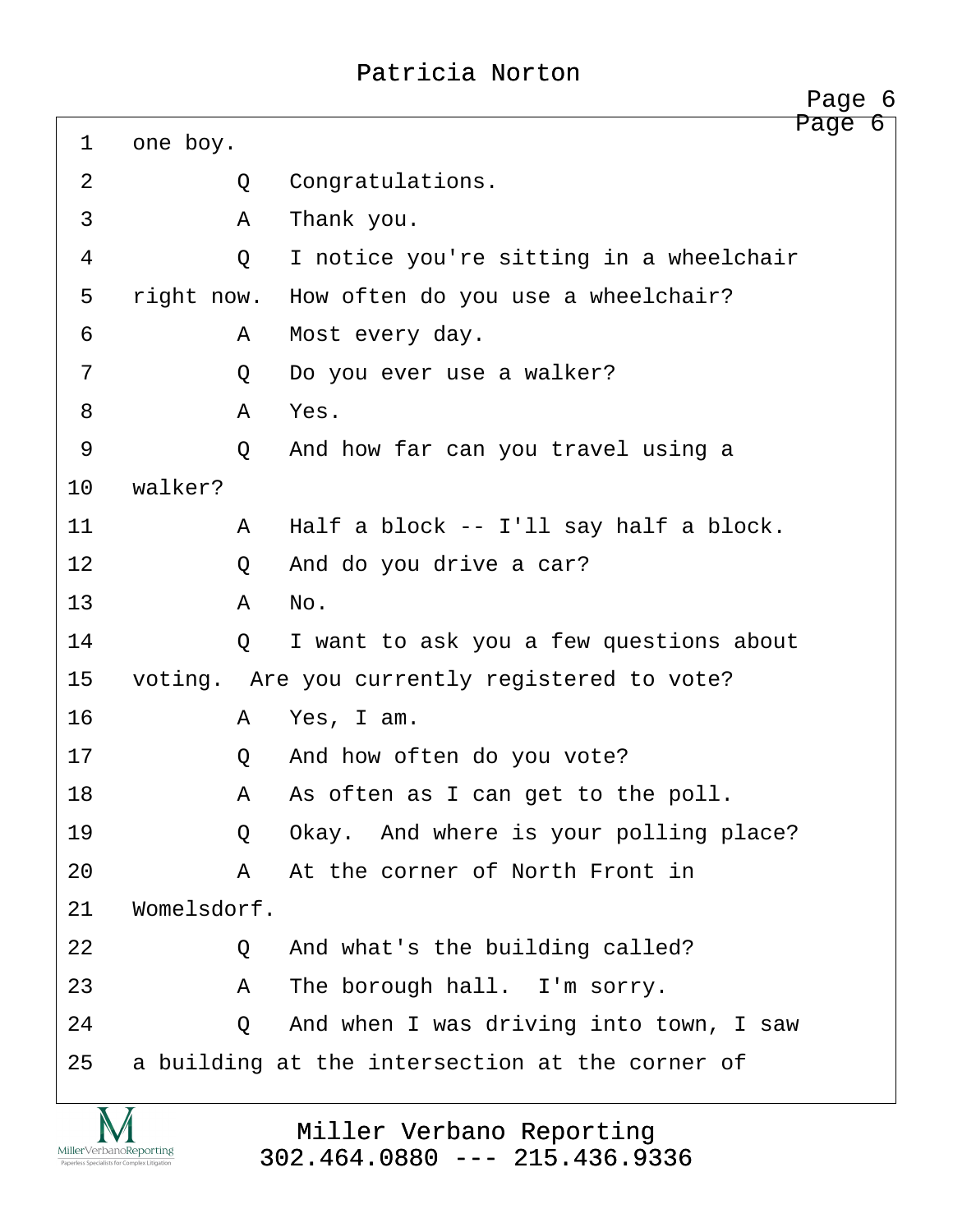<span id="page-6-0"></span>

|                |             | Page 6                                          |
|----------------|-------------|-------------------------------------------------|
| $\mathbf 1$    | one boy.    | Page 6                                          |
| $\overline{2}$ | Q           | Congratulations.                                |
| 3              | Α           | Thank you.                                      |
| 4              | Q           | I notice you're sitting in a wheelchair         |
| 5              | right now.  | How often do you use a wheelchair?              |
| 6              | A           | Most every day.                                 |
| 7              | Q           | Do you ever use a walker?                       |
| 8              | A           | Yes.                                            |
| $\mathcal{G}$  | $\circ$     | And how far can you travel using a              |
| 10             | walker?     |                                                 |
| 11             | A           | Half a block -- I'll say half a block.          |
| 12             | Q           | And do you drive a car?                         |
| 13             | Α           | No.                                             |
| 14             | Q           | I want to ask you a few questions about         |
| 15             |             | voting. Are you currently registered to vote?   |
| 16             | A           | Yes, I am.                                      |
| 17             | Q           | And how often do you vote?                      |
| 18             | Α           | As often as I can get to the poll.              |
| 19             | Q           | Okay. And where is your polling place?          |
| 20             | Α           | At the corner of North Front in                 |
| 21             | Womelsdorf. |                                                 |
| 22             | Q           | And what's the building called?                 |
| 23             | Α           | The borough hall. I'm sorry.                    |
| 24             | Q           | And when I was driving into town, I saw         |
| 25             |             | a building at the intersection at the corner of |

Miller Verbano Reporting [302.464.0880 --- 215.436.9336](http://www.miller-verbano.com)

<u>IVI</u>  $\underset{\text{Paperless Specialists for Complex Litigation}}{\text{MillerVerbanoReporting}}$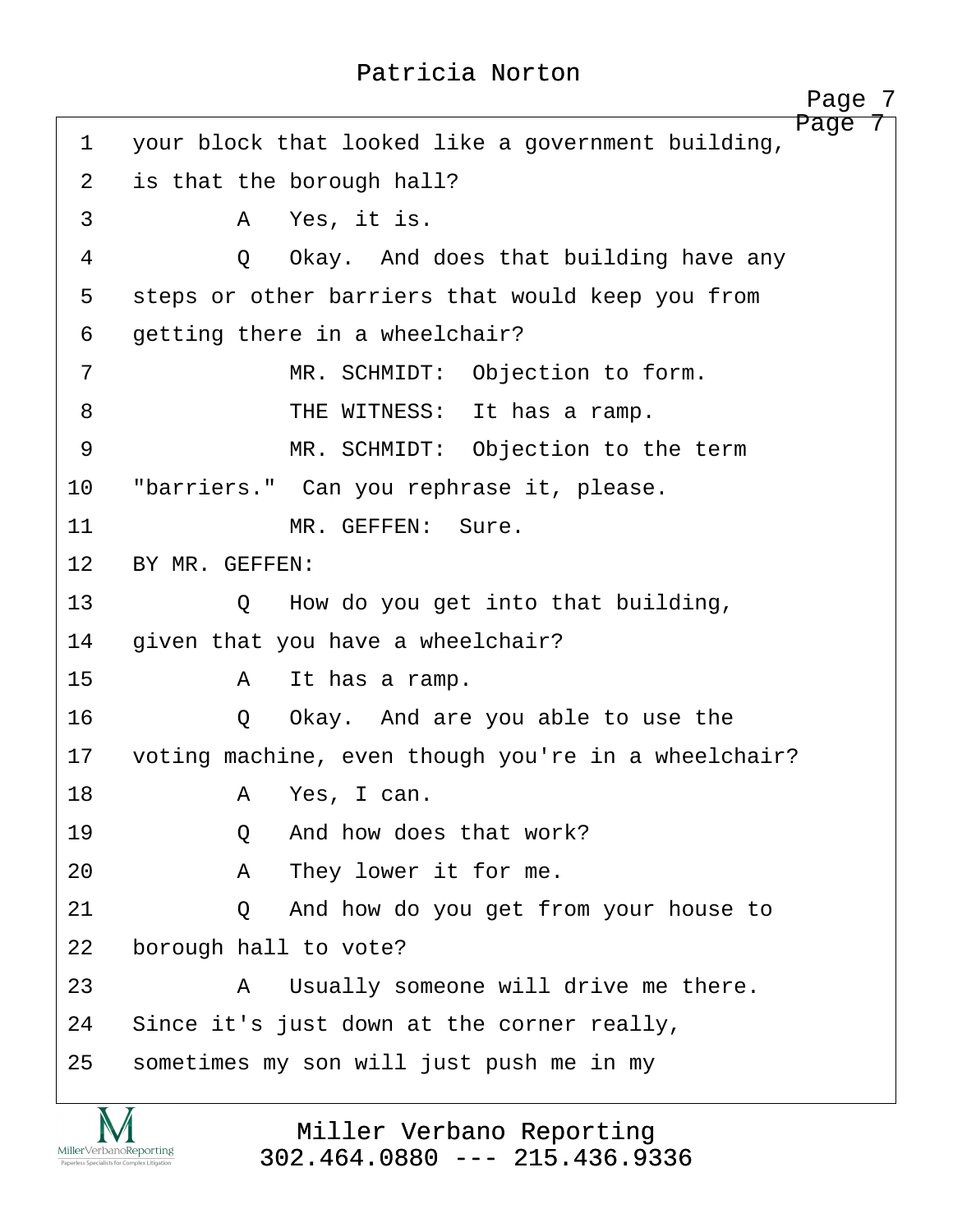<span id="page-7-0"></span>Page 7 1 your block that looked like a government building, 2 is that the borough hall? ·3· · · · · ·A· ·Yes, it is. 4 0 Okay. And does that building have any 5 steps or other barriers that would keep you from 6 getting there in a wheelchair? 7 The SCHMIDT: Objection to form. 8 THE WITNESS: It has a ramp. ·9· · · · · · · ·MR. SCHMIDT:· Objection to the term 10 "barriers." Can you rephrase it, please. 11 MR. GEFFEN: Sure. 12 BY MR. GEFFEN: 13 · · · · Q · How do you get into that building, 14 given that you have a wheelchair? 15· · · · · ·A· ·It has a ramp. 16· · · · · ·Q· ·Okay.· And are you able to use the 17 voting machine, even though you're in a wheelchair? 18· · · · · ·A· ·Yes, I can. 19· · · · · ·Q· ·And how does that work? 20· · · · · ·A· ·They lower it for me. 21 0 And how do you get from your house to 22 borough hall to vote? 23· · · · · ·A· ·Usually someone will drive me there. 24 Since it's just down at the corner really, 25 sometimes my son will just push me in my

MillerVerbanoReporting

Miller Verbano Reporting [302.464.0880 --- 215.436.9336](http://www.miller-verbano.com)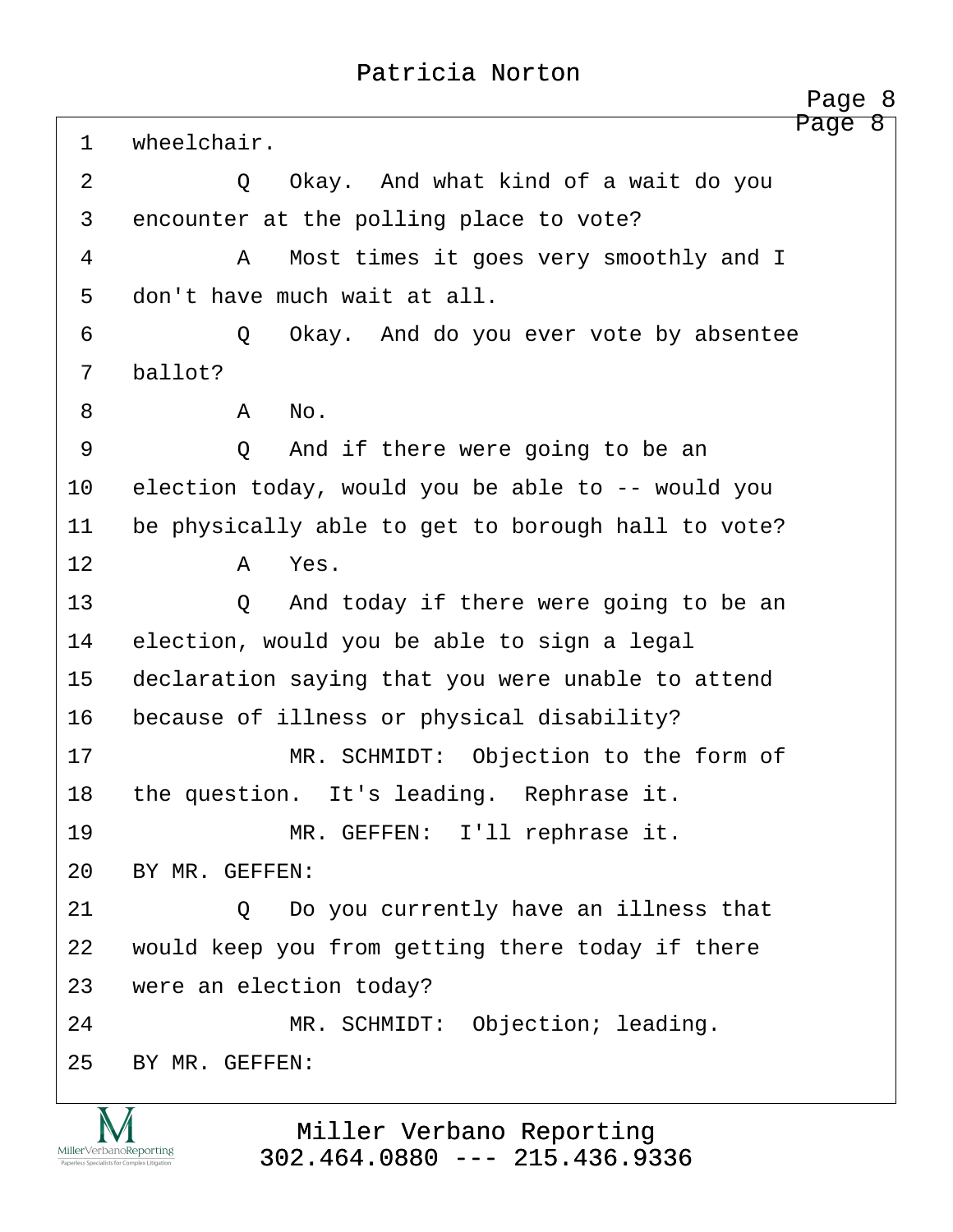<span id="page-8-0"></span>Page 8 1 wheelchair. 2 0 Okay. And what kind of a wait do you 3 encounter at the polling place to vote? ·4· · · · · ·A· ·Most times it goes very smoothly and I 5 don't have much wait at all. 6 · · · · · Q · Okay. And do you ever vote by absentee 7 ballot? ·8· · · · · ·A· ·No. ·9· · · · · ·Q· ·And if there were going to be an 10 election today, would you be able to -- would you 11 be physically able to get to borough hall to vote? 12 a Yes. 13 · · · · · Q · And today if there were going to be an 14 election, would you be able to sign a legal 15 declaration saying that you were unable to attend 16 because of illness or physical disability? 17 · · · · · · · · MR. SCHMIDT: Objection to the form of 18 the question. It's leading. Rephrase it. 19 · · · · · · · · MR. GEFFEN: I'll rephrase it. 20 BY MR. GEFFEN: 21 0 Do you currently have an illness that 22 would keep you from getting there today if there 23 were an election today? 24 MR. SCHMIDT: Objection; leading. 25 BY MR. GEFFEN:

> Miller Verbano Reporting [302.464.0880 --- 215.436.9336](http://www.miller-verbano.com)

MillerVerbanoReporting

http://www.yeslaw.net/help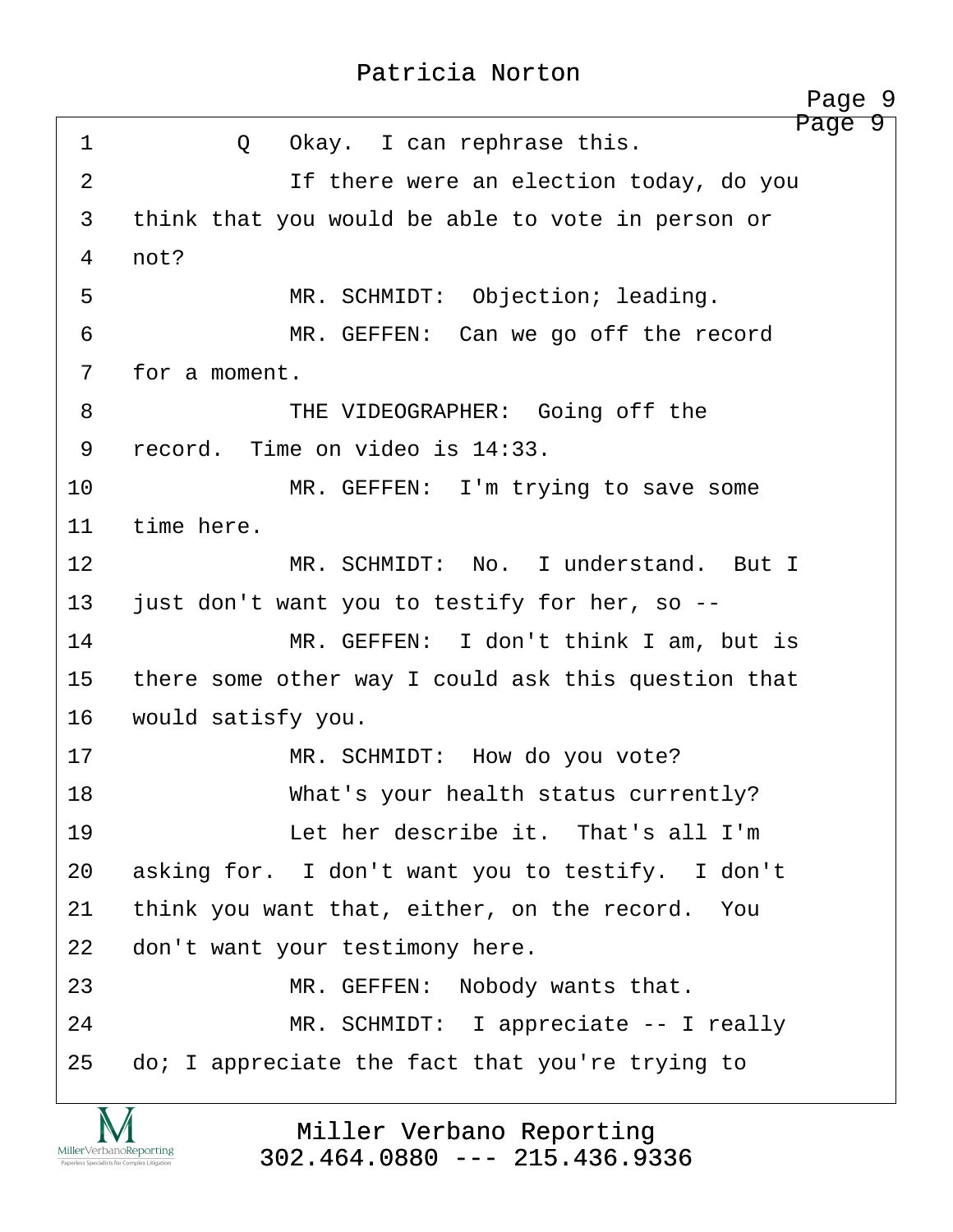<span id="page-9-0"></span>

|                | Page 9                                              |
|----------------|-----------------------------------------------------|
| $\mathbf 1$    | Page 9<br>Okay. I can rephrase this.<br>Q           |
| $\overline{2}$ | If there were an election today, do you             |
| 3              | think that you would be able to vote in person or   |
| 4              | not?                                                |
| 5              | MR. SCHMIDT: Objection; leading.                    |
| 6              | MR. GEFFEN: Can we go off the record                |
| 7              | for a moment.                                       |
| 8              | THE VIDEOGRAPHER: Going off the                     |
| 9              | record. Time on video is 14:33.                     |
| 10             | MR. GEFFEN: I'm trying to save some                 |
| 11             | time here.                                          |
| 12             | MR. SCHMIDT: No. I understand. But I                |
| 13             | just don't want you to testify for her, so --       |
| 14             | MR. GEFFEN: I don't think I am, but is              |
| 15             | there some other way I could ask this question that |
| 16             | would satisfy you.                                  |
| 17             | MR. SCHMIDT: How do you vote?                       |
| 18             | What's your health status currently?                |
| 19             | Let her describe it. That's all I'm                 |
| 20             | asking for. I don't want you to testify. I don't    |
| 21             | think you want that, either, on the record. You     |
| 22             | don't want your testimony here.                     |
| 23             | MR. GEFFEN:<br>Nobody wants that.                   |
| 24             | MR. SCHMIDT: I appreciate -- I really               |
| 25             | do; I appreciate the fact that you're trying to     |

Miller Verbano Reporting [302.464.0880 --- 215.436.9336](http://www.miller-verbano.com)

<u>IVI</u>  $\underset{\text{Paperless Specialists for Complex Litigation}}{\text{MillerVerbanoReporting}}$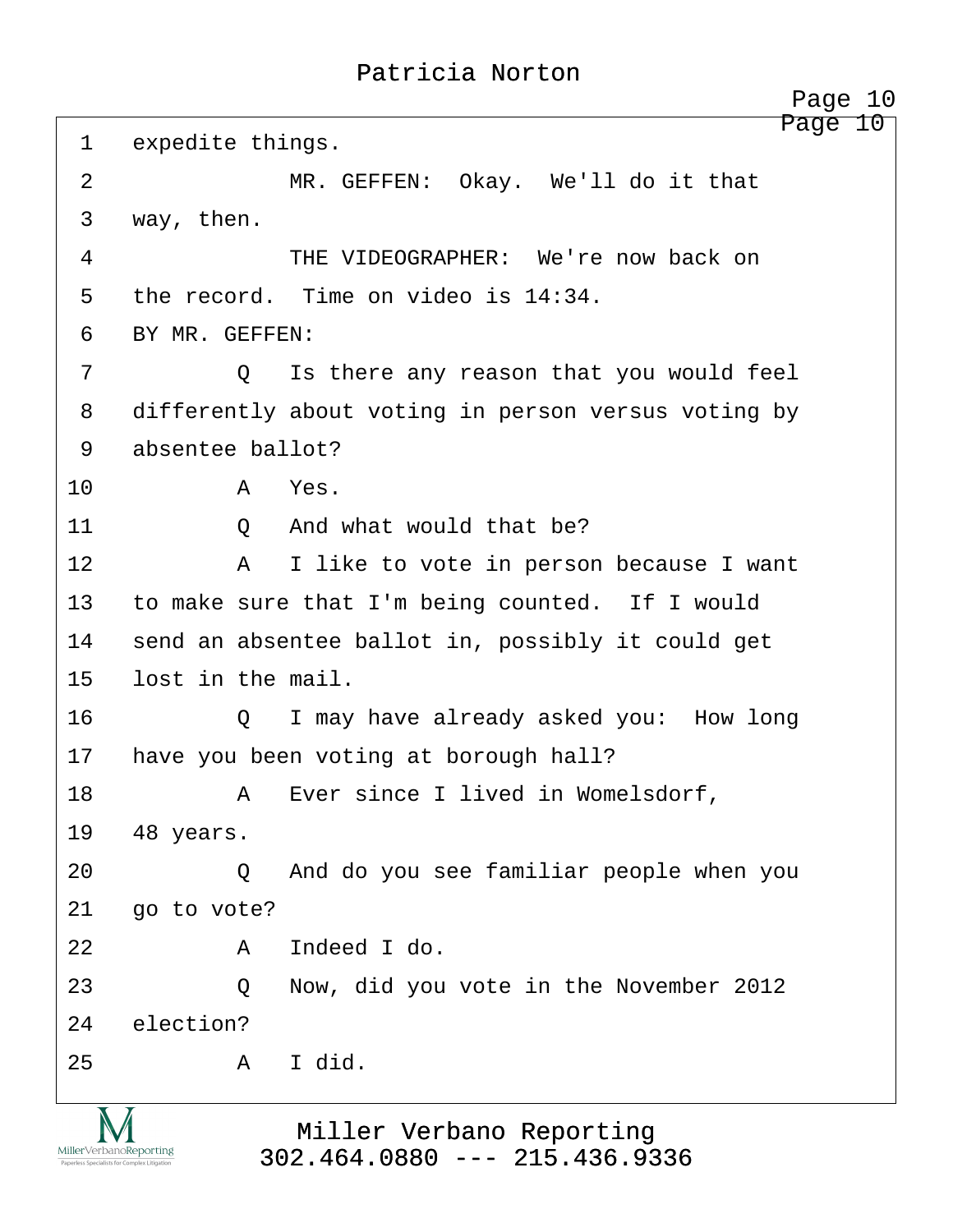<span id="page-10-0"></span>

| 1              | expedite things.  | Page 10                                             |
|----------------|-------------------|-----------------------------------------------------|
| $\overline{2}$ |                   | MR. GEFFEN: Okay. We'll do it that                  |
| 3              | way, then.        |                                                     |
| 4              |                   | THE VIDEOGRAPHER: We're now back on                 |
| 5              |                   | the record. Time on video is 14:34.                 |
| 6              | BY MR. GEFFEN:    |                                                     |
| 7              | Q                 | Is there any reason that you would feel             |
| 8              |                   | differently about voting in person versus voting by |
| 9              | absentee ballot?  |                                                     |
| 10             | Α                 | Yes.                                                |
| 11             | Q                 | And what would that be?                             |
| 12             | A                 | I like to vote in person because I want             |
| 13             |                   | to make sure that I'm being counted. If I would     |
| 14             |                   | send an absentee ballot in, possibly it could get   |
| 15             | lost in the mail. |                                                     |
| 16             | Q                 | I may have already asked you: How long              |
| 17             |                   | have you been voting at borough hall?               |
| 18             | A                 | Ever since I lived in Womelsdorf,                   |
| 19             | 48 years.         |                                                     |
| 20             | Q                 | And do you see familiar people when you             |
| 21             | go to vote?       |                                                     |
| 22             | Α                 | Indeed I do.                                        |
| 23             | Q                 | Now, did you vote in the November 2012              |
| 24             | election?         |                                                     |
| 25             | A                 | I did.                                              |
|                |                   |                                                     |

Miller Verbano Reporting [302.464.0880 --- 215.436.9336](http://www.miller-verbano.com)

IVI MillerVerbanoReporting Paperless Specialists for Compl

ex Litigation

http://www.yeslaw.net/help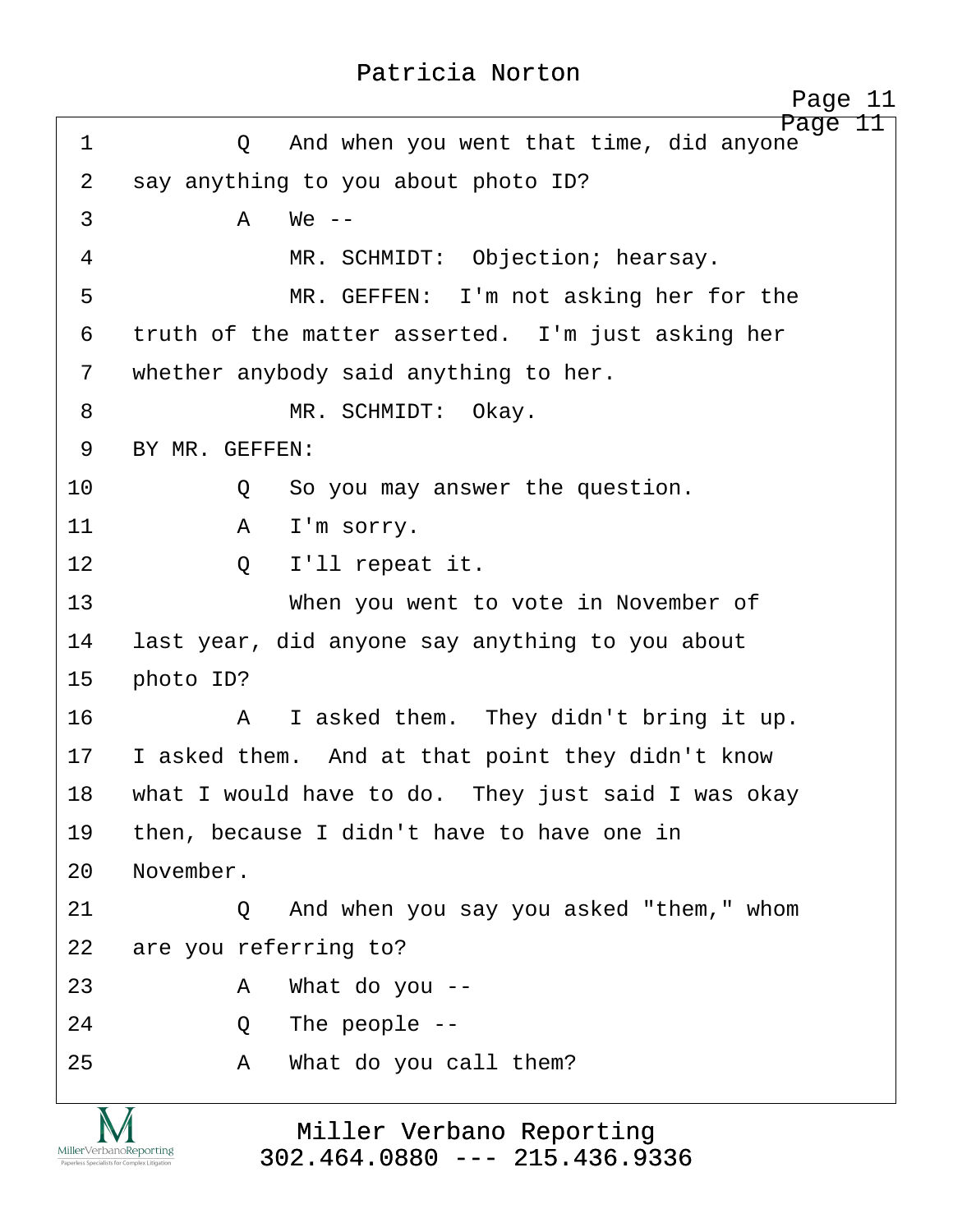<span id="page-11-0"></span>

|             | Page 11                                              |
|-------------|------------------------------------------------------|
| $\mathbf 1$ | Page<br>And when you went that time, did anyone<br>Q |
| 2           | say anything to you about photo ID?                  |
| 3           | $\mathsf{A}$<br>$We --$                              |
| 4           | MR. SCHMIDT: Objection; hearsay.                     |
| 5           | MR. GEFFEN: I'm not asking her for the               |
| 6           | truth of the matter asserted. I'm just asking her    |
| 7           | whether anybody said anything to her.                |
| 8           | MR. SCHMIDT: Okay.                                   |
| 9           | BY MR. GEFFEN:                                       |
| 10          | So you may answer the question.<br>Q                 |
| 11          | I'm sorry.<br>A                                      |
| 12          | I'll repeat it.<br>Q                                 |
| 13          | When you went to vote in November of                 |
| 14          | last year, did anyone say anything to you about      |
| 15          | photo ID?                                            |
| 16          | I asked them. They didn't bring it up.<br>A          |
| 17          | I asked them. And at that point they didn't know     |
| 18          | what I would have to do. They just said I was okay   |
| 19          | then, because I didn't have to have one in           |
| 20          | November.                                            |
| 21          | And when you say you asked "them," whom<br>O         |
| 22          | are you referring to?                                |
| 23          | What do you $-$<br>A                                 |
| 24          | The people $--$<br>Q                                 |
| 25          | What do you call them?<br>Α                          |
|             |                                                      |

Miller Verbano Reporting [302.464.0880 --- 215.436.9336](http://www.miller-verbano.com)

IVI  $\underset{\text{Paperless Specialists for Complex Litigation}}{\text{MillerVerbanoReporting}}$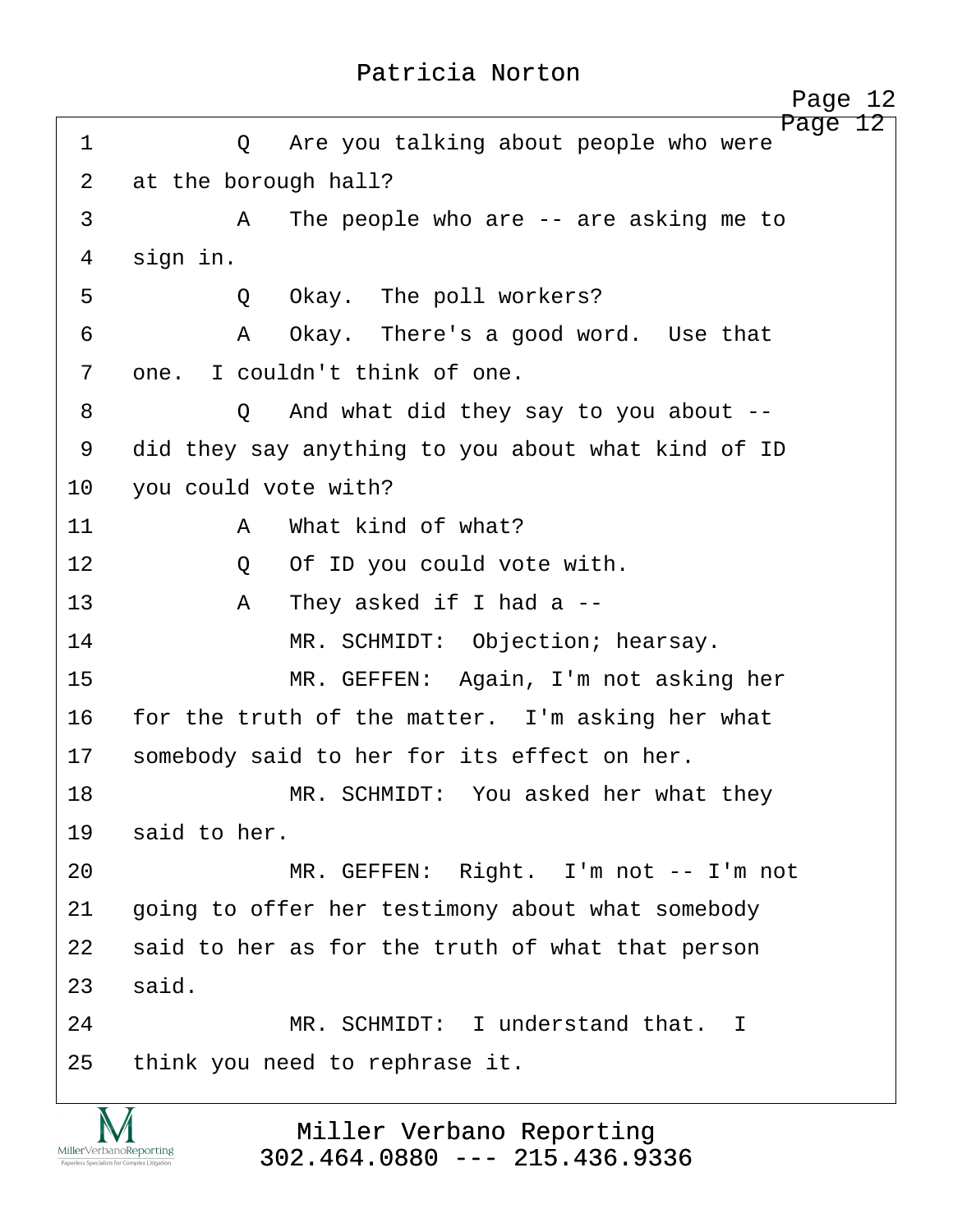<span id="page-12-0"></span>

|                |                      | Page 12                                            |
|----------------|----------------------|----------------------------------------------------|
| 1              | Q                    | Page 12<br>Are you talking about people who were   |
| $\overline{2}$ | at the borough hall? |                                                    |
| 3              | A                    | The people who are $-$ are asking me to            |
| 4              | sign in.             |                                                    |
| 5              | Q                    | Okay. The poll workers?                            |
| 6              | Α                    | Okay. There's a good word. Use that                |
| 7              |                      | one. I couldn't think of one.                      |
| 8              | Q                    | And what did they say to you about $-$ -           |
| 9              |                      | did they say anything to you about what kind of ID |
| 10             | you could vote with? |                                                    |
| 11             | $\mathbb A$          | What kind of what?                                 |
| 12             | Q                    | Of ID you could vote with.                         |
| 13             | A                    | They asked if I had a $-$ -                        |
| 14             |                      | MR. SCHMIDT: Objection; hearsay.                   |
| 15             |                      | MR. GEFFEN: Again, I'm not asking her              |
| 16             |                      | for the truth of the matter. I'm asking her what   |
| 17             |                      | somebody said to her for its effect on her.        |
| 18             |                      | MR. SCHMIDT: You asked her what they               |
| 19             | said to her.         |                                                    |
| 20             |                      | MR. GEFFEN: Right. I'm not -- I'm not              |
| 21             |                      | going to offer her testimony about what somebody   |
| 22             |                      | said to her as for the truth of what that person   |
| 23             | said.                |                                                    |
| 24             |                      | MR. SCHMIDT: I understand that. I                  |
| 25             |                      | think you need to rephrase it.                     |
|                |                      |                                                    |

Miller Verbano Reporting [302.464.0880 --- 215.436.9336](http://www.miller-verbano.com)

**IVI**  $\underset{\text{Paperless Specialists for Complex Litigation}}{\text{MillerVerbanoReporting}}$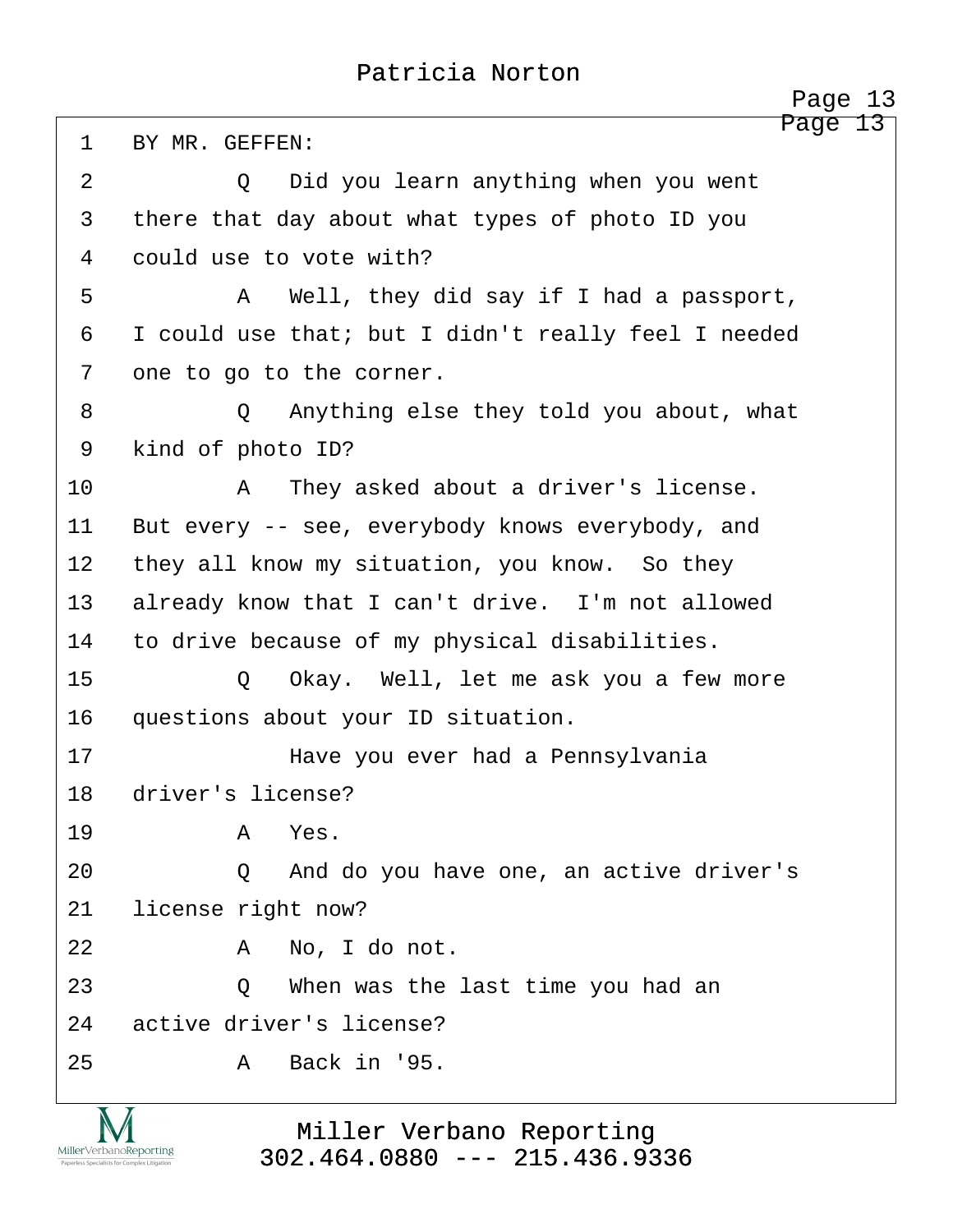<span id="page-13-0"></span>Page 13 1 BY MR. GEFFEN: ·2· · · · · ·Q· ·Did you learn anything when you went 3 there that day about what types of photo ID you 4 could use to vote with? ·5· · · · · ·A· ·Well, they did say if I had a passport, 6 I could use that; but I didn't really feel I needed 7 one to go to the corner. ·8· · · · · ·Q· ·Anything else they told you about, what 9 kind of photo ID? 10· · · · · ·A· ·They asked about a driver's license. 11 But every -- see, everybody knows everybody, and 12 they all know my situation, you know. So they 13 already know that I can't drive. I'm not allowed 14 to drive because of my physical disabilities. 15 · O Okay. Well, let me ask you a few more 16 questions about your ID situation. 17· · · · · · · ·Have you ever had a Pennsylvania 18 driver's license? 19· · · · · ·A· ·Yes. 20 · · · · · Q · And do you have one, an active driver's 21 license right now? 22· · · · · ·A· ·No, I do not. 23 · · · · · Q · · When was the last time you had an 24 active driver's license? 25· · · · · ·A· ·Back in '95.

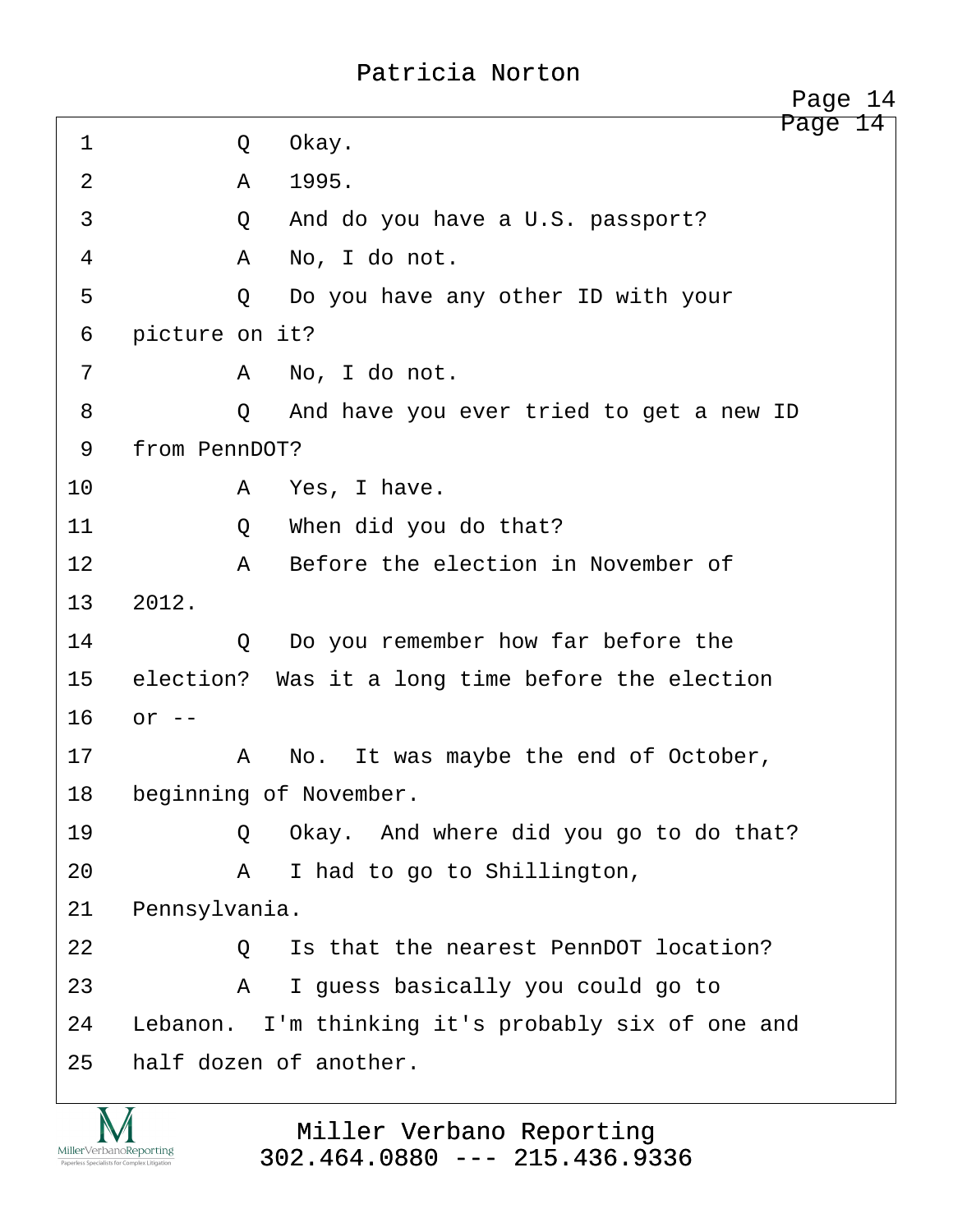<span id="page-14-0"></span>Page 14 ·1· · · · · ·Q· ·Okay. 2 A 1995. 3 and do you have a U.S. passport? ·4· · · · · ·A· ·No, I do not. ·5· · · · · ·Q· ·Do you have any other ID with your 6 picture on it? ·7· · · · · ·A· ·No, I do not. ·8· · · · · ·Q· ·And have you ever tried to get a new ID 9 from PennDOT? 10· · · · · ·A· ·Yes, I have. 11· · · · · ·Q· ·When did you do that? 12· · · · · ·A· ·Before the election in November of 13 2012. 14· · · · · ·Q· ·Do you remember how far before the 15 election? Was it a long time before the election  $16$  or  $-$ 17· · · · · ·A· ·No.· It was maybe the end of October, 18 beginning of November. 19 · · · · · Q Okay. And where did you go to do that? 20 A I had to go to Shillington, 21 Pennsylvania. 22· · · · · ·Q· ·Is that the nearest PennDOT location? 23· · · · · ·A· ·I guess basically you could go to 24 Lebanon. I'm thinking it's probably six of one and 25 half dozen of another. Page 14

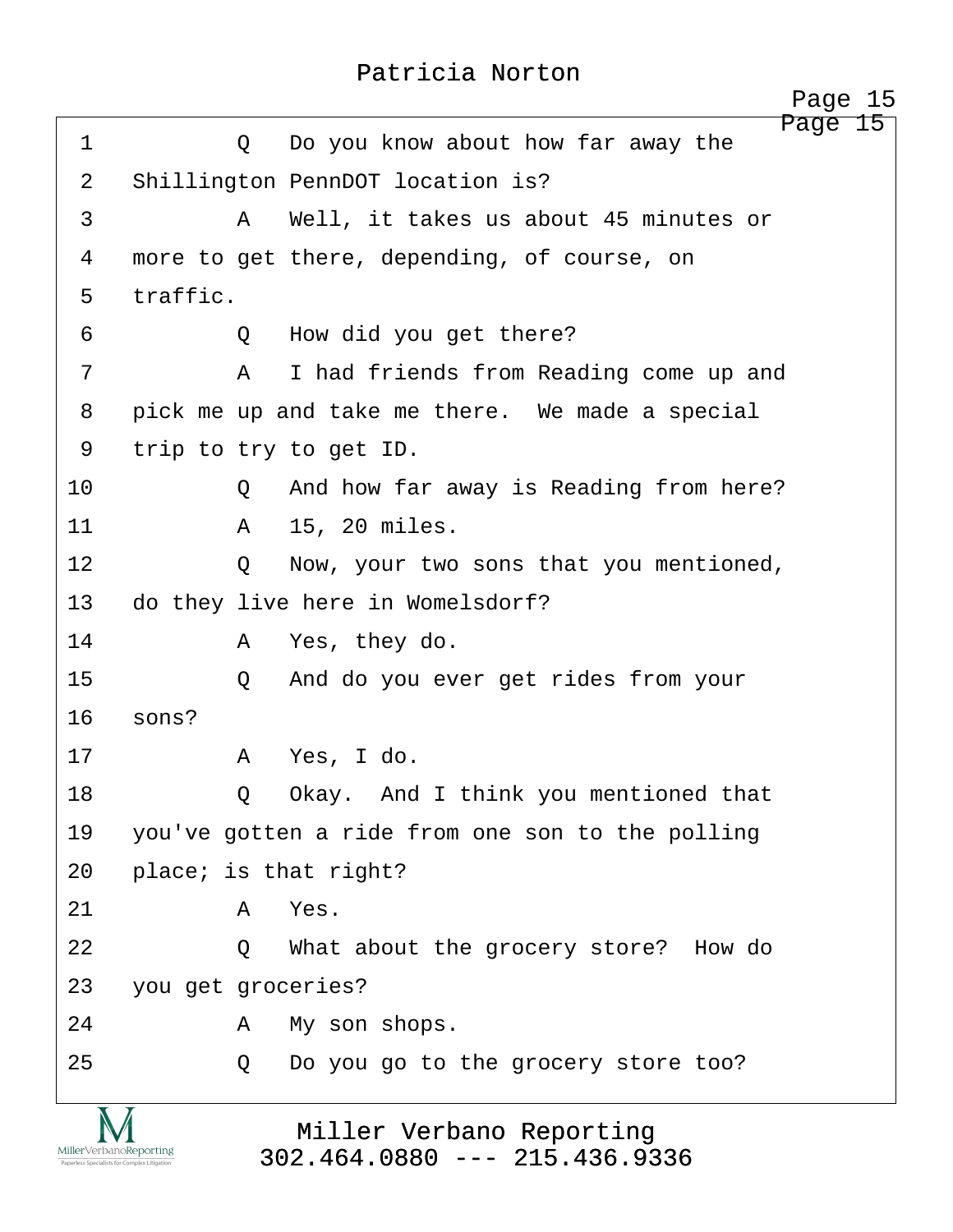<span id="page-15-0"></span>

|                                                                        | Page 15                                          |
|------------------------------------------------------------------------|--------------------------------------------------|
| 1                                                                      | Do you know about how far away the<br>$\circ$    |
| $\overline{2}$                                                         | Shillington PennDOT location is?                 |
| 3                                                                      | Well, it takes us about 45 minutes or<br>A       |
| 4                                                                      | more to get there, depending, of course, on      |
| 5                                                                      | traffic.                                         |
| 6                                                                      | How did you get there?<br>Q                      |
| 7                                                                      | I had friends from Reading come up and<br>A      |
| 8                                                                      | pick me up and take me there. We made a special  |
| 9                                                                      | trip to try to get ID.                           |
| 10                                                                     | And how far away is Reading from here?<br>Q      |
| 11                                                                     | 15, 20 miles.<br>A                               |
| 12                                                                     | Now, your two sons that you mentioned,<br>Q      |
| 13                                                                     | do they live here in Womelsdorf?                 |
| 14                                                                     | Yes, they do.<br>A                               |
| 15                                                                     | And do you ever get rides from your<br>$\circ$   |
| 16                                                                     | sons?                                            |
| 17                                                                     | Yes, I do.<br>A                                  |
| 18                                                                     | Okay. And I think you mentioned that<br>Q        |
| 19                                                                     | you've gotten a ride from one son to the polling |
| 20                                                                     | place; is that right?                            |
| 21                                                                     | Yes.<br>Α                                        |
| 22                                                                     | What about the grocery store? How do<br>$\circ$  |
| 23                                                                     | you get groceries?                               |
| 24                                                                     | My son shops.<br>Α                               |
| 25                                                                     | Do you go to the grocery store too?<br>Q         |
|                                                                        | Miller Verbano Reporting                         |
| MillerVerbanoReporting<br>Paperless Specialists for Complex Litigation | $302.464.0880$ --- 215.436.9336                  |

http://www.yeslaw.net/help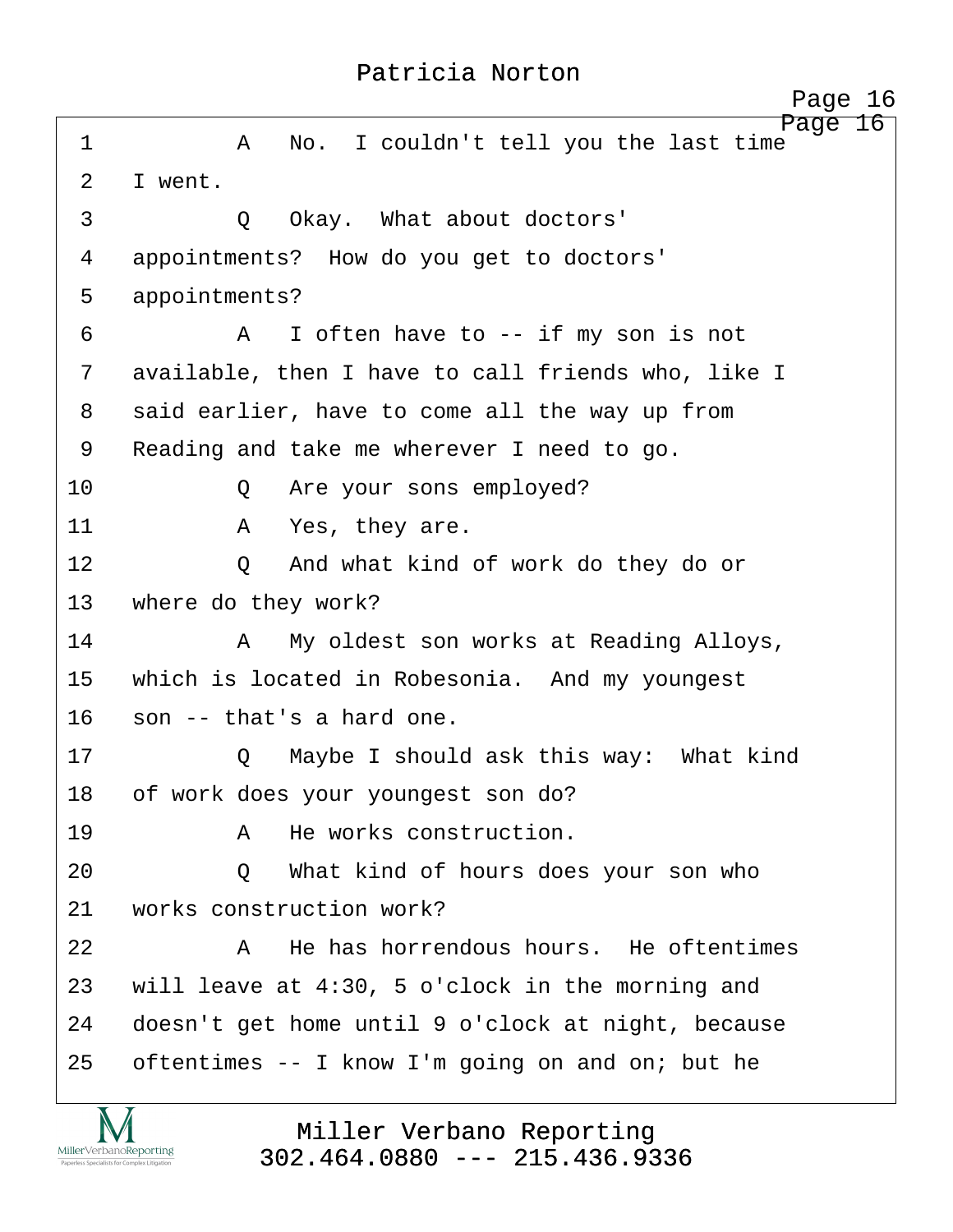<span id="page-16-0"></span>Page 16 ·1· · · · · ·A· ·No.· I couldn't tell you the last time 2 T went. ·3· · · · · ·Q· ·Okay.· What about doctors' 4 appointments? How do you get to doctors' 5 appointments? ·6· · · · · ·A· ·I often have to -- if my son is not 7 available, then I have to call friends who, like I 8 said earlier, have to come all the way up from 9 Reading and take me wherever I need to go. 10 · · · · Q · Are your sons employed? 11· · · · · ·A· ·Yes, they are. 12· · · · · ·Q· ·And what kind of work do they do or 13 where do they work? 14· · · · · ·A· ·My oldest son works at Reading Alloys, 15 which is located in Robesonia. And my youngest 16 son -- that's a hard one. 17· · · · · ·Q· ·Maybe I should ask this way:· What kind 18 of work does your youngest son do? 19· · · · · ·A· ·He works construction. 20 0 What kind of hours does your son who 21 vorks construction work? 22· · · · · ·A· ·He has horrendous hours.· He oftentimes 23 will leave at 4:30, 5 o'clock in the morning and 24 doesn't get home until 9 o'clock at night, because 25 oftentimes  $-$  I know I'm going on and on; but he

> Miller Verbano Reporting [302.464.0880 --- 215.436.9336](http://www.miller-verbano.com)

MillerVerbanoReporting

http://www.yeslaw.net/help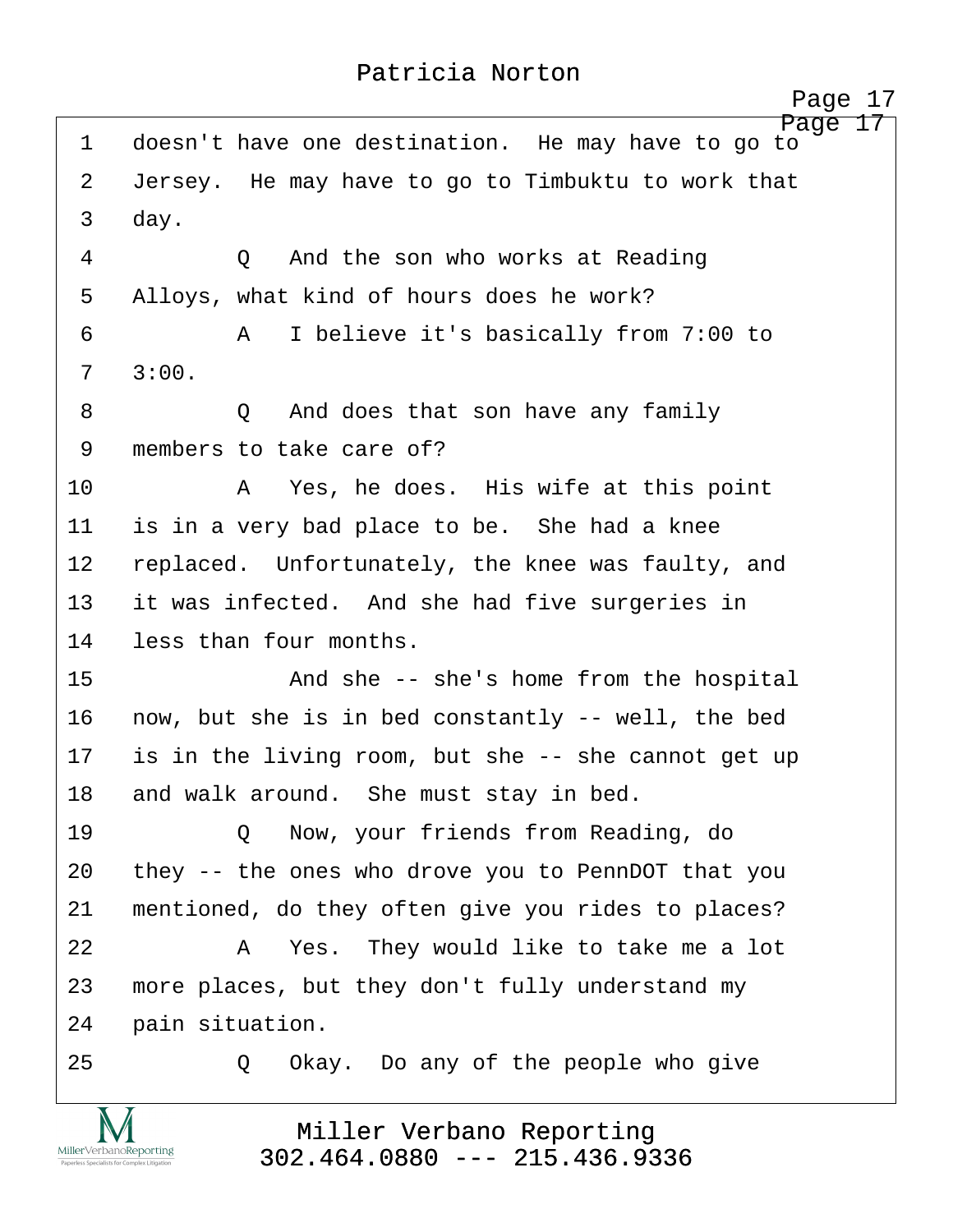<span id="page-17-0"></span>Page 17 1 doesn't have one destination. He may have to go to 2 Jersey. He may have to go to Timbuktu to work that 3 day. 4 0 And the son who works at Reading 5 Alloys, what kind of hours does he work? ·6· · · · · ·A· ·I believe it's basically from 7:00 to  $7 \quad 3:00.$ ·8· · · · · ·Q· ·And does that son have any family 9 members to take care of? 10· · · · · ·A· ·Yes, he does.· His wife at this point 11 is in a very bad place to be. She had a knee 12 replaced. Unfortunately, the knee was faulty, and 13 it was infected. And she had five surgeries in 14 less than four months. 15 · · · · · · · · · · · · · · · · she's home from the hospital 16 now, but she is in bed constantly -- well, the bed 17 is in the living room, but she -- she cannot get up 18 and walk around. She must stay in bed. 19 · · · · · Q · Now, your friends from Reading, do 20 they -- the ones who drove you to PennDOT that you 21 mentioned, do they often give you rides to places? 22· · · · · ·A· ·Yes.· They would like to take me a lot 23 more places, but they don't fully understand my 24 pain situation. 25 · 20 Okay. Do any of the people who give

> Miller Verbano Reporting [302.464.0880 --- 215.436.9336](http://www.miller-verbano.com)

MillerVerbanoReporting

http://www.yeslaw.net/help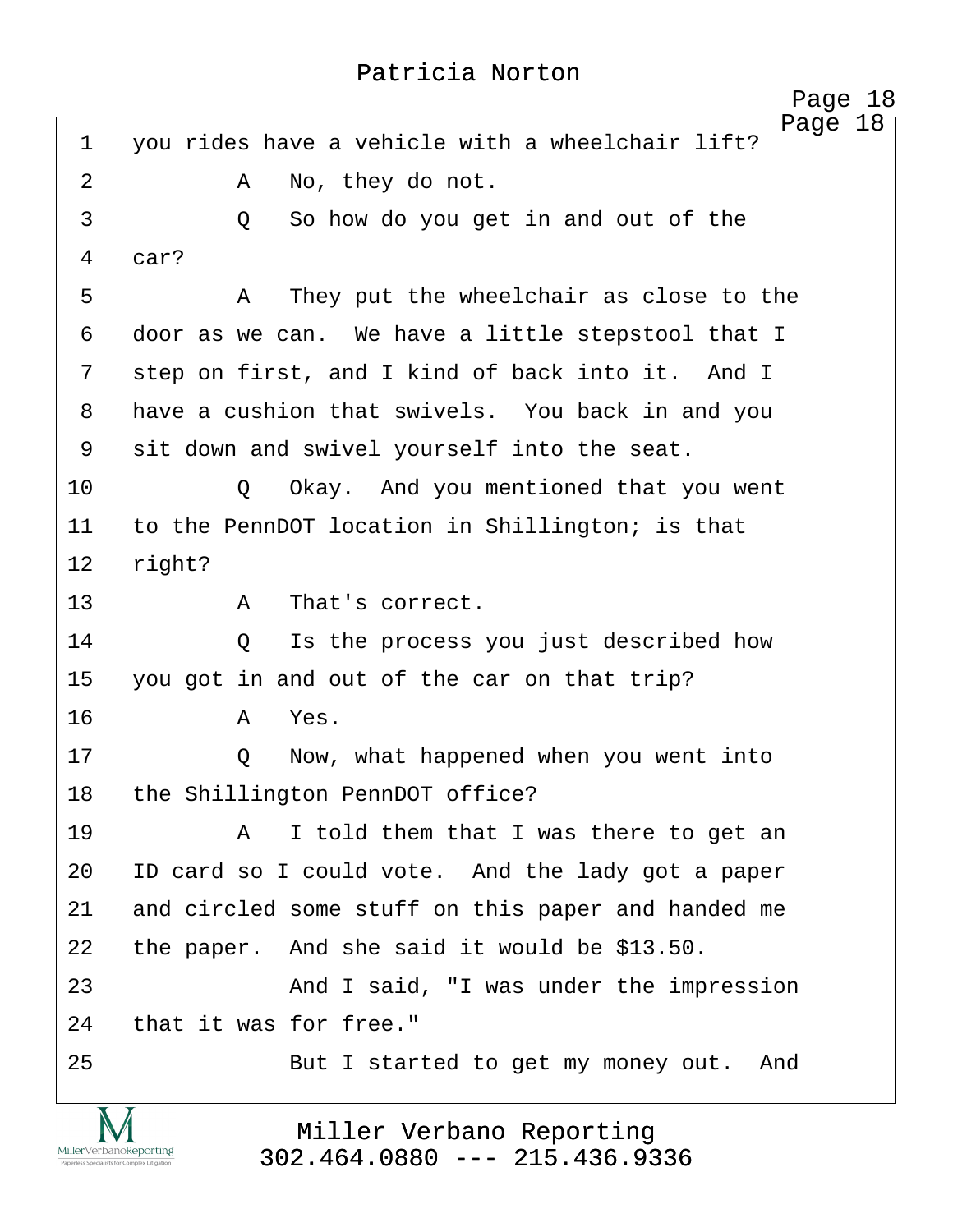<span id="page-18-0"></span>Page 18 1 you rides have a vehicle with a wheelchair lift? 2 A No, they do not. ·3· · · · · ·Q· ·So how do you get in and out of the 4 car? ·5· · · · · ·A· ·They put the wheelchair as close to the 6 door as we can. We have a little stepstool that I 7 step on first, and I kind of back into it. And I 8 have a cushion that swivels. You back in and you 9 sit down and swivel yourself into the seat. 10 0 0 Okay. And you mentioned that you went 11 to the PennDOT location in Shillington; is that 12 right? 13· · · · · ·A· ·That's correct. 14 0 Is the process you just described how 15 you got in and out of the car on that trip? 16· · · · · ·A· ·Yes. 17 · · · · · Q · · Now, what happened when you went into 18 the Shillington PennDOT office? 19· · · · · ·A· ·I told them that I was there to get an 20 ID card so I could vote. And the lady got a paper 21 and circled some stuff on this paper and handed me 22 the paper. And she said it would be \$13.50. 23· · · · · · · ·And I said, "I was under the impression 24 that it was for free." 25· · · · · · · ·But I started to get my money out.· And

> Miller Verbano Reporting [302.464.0880 --- 215.436.9336](http://www.miller-verbano.com)

MillerVerbanoReporting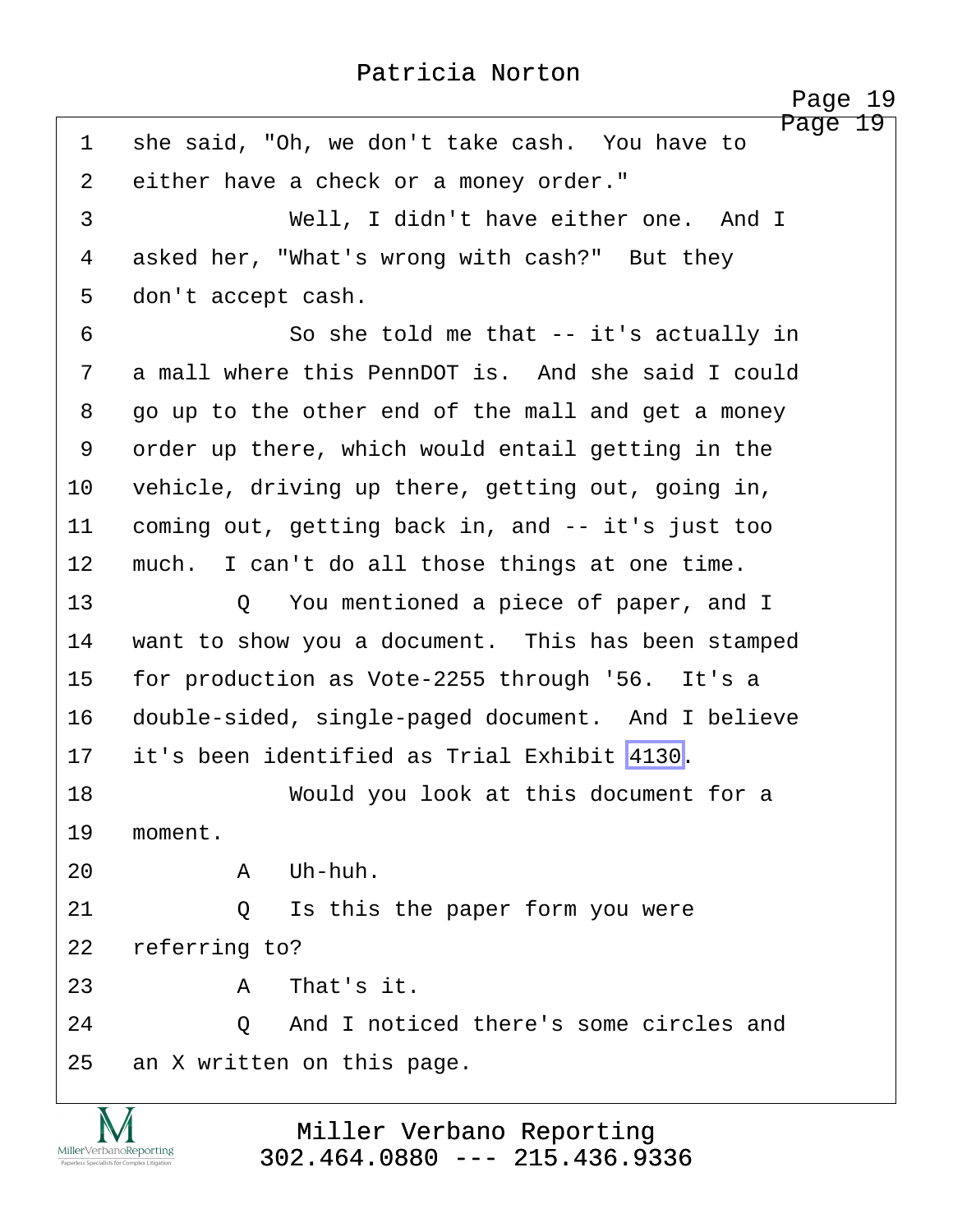<span id="page-19-0"></span>Page 19 1 she said, "Oh, we don't take cash. You have to 2 either have a check or a money order." ·3· · · · · · · ·Well, I didn't have either one.· And I 4 asked her, "What's wrong with cash?" But they 5 don't accept cash. 6 · · · · · · So she told me that -- it's actually in 7 a mall where this PennDOT is. And she said I could 8 · go up to the other end of the mall and get a money 9 order up there, which would entail getting in the 10 vehicle, driving up there, getting out, going in, 11 coming out, getting back in, and -- it's just too 12 much. I can't do all those things at one time. 13 · · · · · Q · You mentioned a piece of paper, and I 14 want to show you a document. This has been stamped 15 for production as Vote-2255 through '56. It's a 16 double-sided, single-paged document. And I believe 17· ·it's been identified as Trial Exhibit [4130.](#page-0-0) 18· · · · · · · ·Would you look at this document for a 19 moment.  $20$  **A**  $Uh-huh$ . 21 0 Is this the paper form you were 22 referring to?  $23$   $A$  That's it. 24· · · · · ·Q· ·And I noticed there's some circles and 25 an X written on this page.

> Miller Verbano Reporting [302.464.0880 --- 215.436.9336](http://www.miller-verbano.com)

MillerVerbanoReporting

http://www.yeslaw.net/help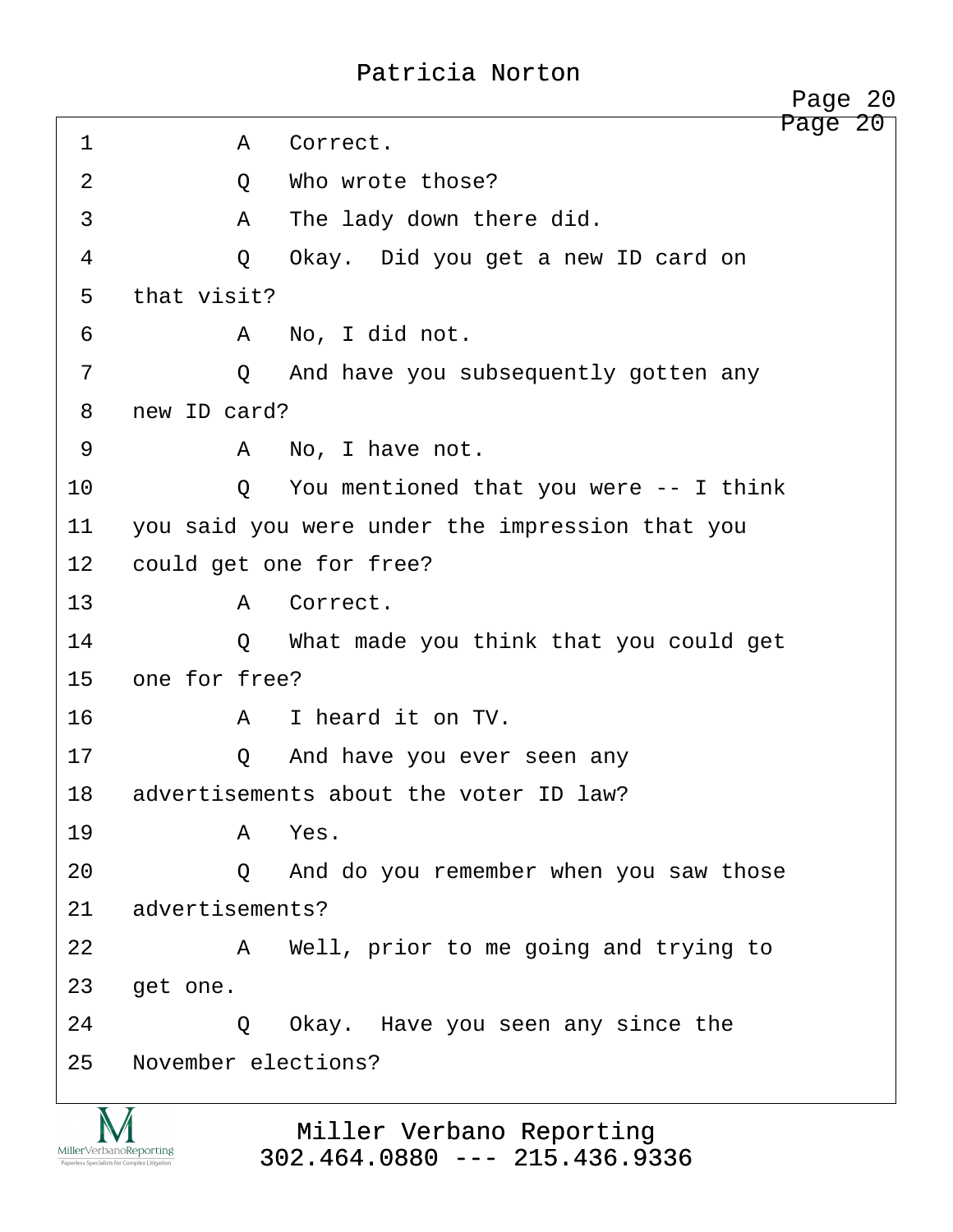<span id="page-20-0"></span>Page 20 1 · · · · · · A Correct. 2 0 Who wrote those? ·3· · · · · ·A· ·The lady down there did. ·4· · · · · ·Q· ·Okay.· Did you get a new ID card on 5 that visit? ·6· · · · · ·A· ·No, I did not. 7 · · · · · · Q · And have you subsequently gotten any 8 new ID card? ·9· · · · · ·A· ·No, I have not. 10 0 You mentioned that you were -- I think 11 you said you were under the impression that you 12 could get one for free? 13 · · · · · · A Correct. 14 · · · · Q What made you think that you could get 15 one for free? 16· · · · · ·A· ·I heard it on TV. 17· · · · · ·Q· ·And have you ever seen any 18 advertisements about the voter ID law? 19· · · · · ·A· ·Yes. 20 · · · · · Q · And do you remember when you saw those 21 advertisements? 22 A Well, prior to me going and trying to 23 get one. 24 · 20 Okay. Have you seen any since the 25 November elections? Page 20



Miller Verbano Reporting [302.464.0880 --- 215.436.9336](http://www.miller-verbano.com)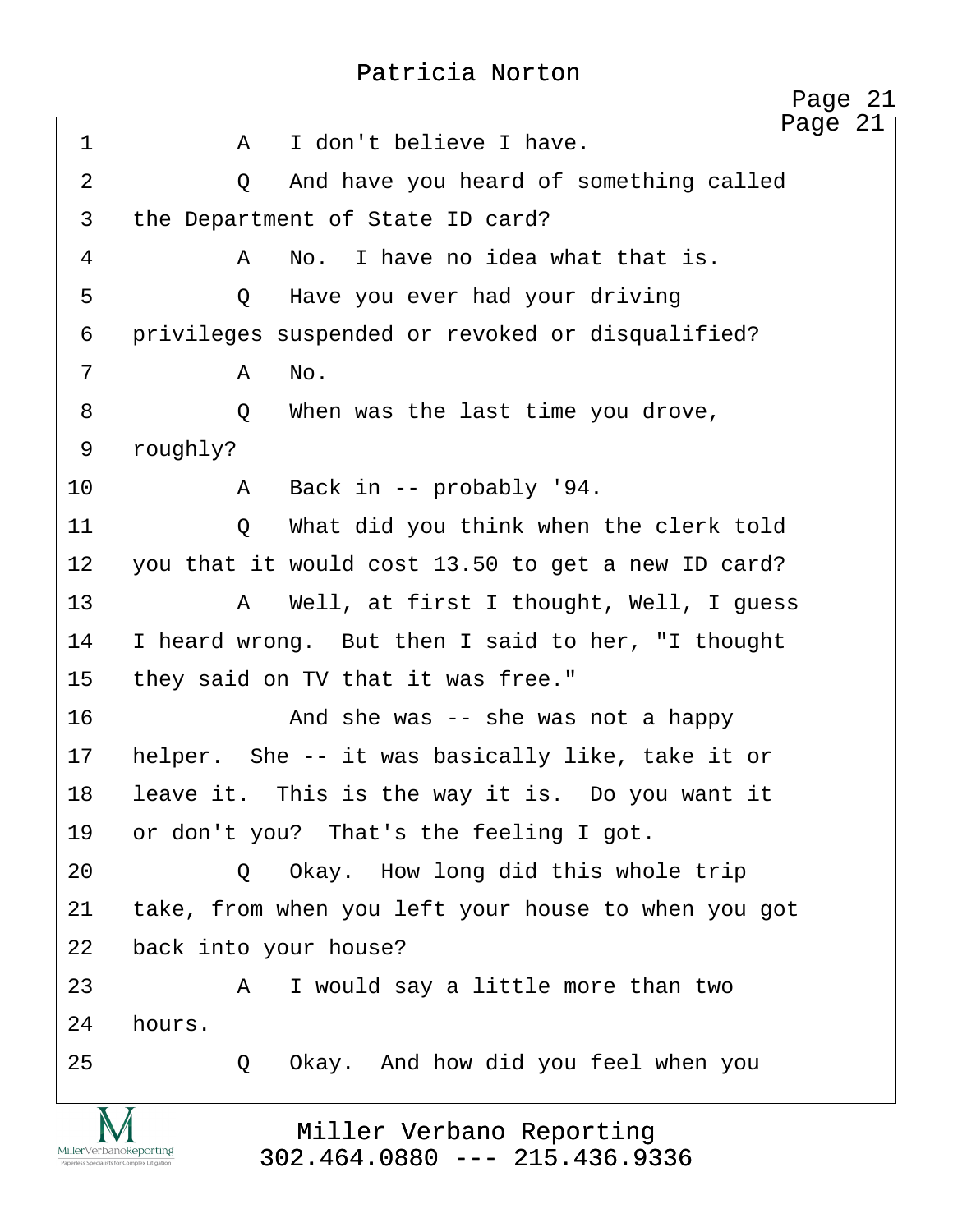<span id="page-21-0"></span>

|                | Page 21                                                                                                                               |
|----------------|---------------------------------------------------------------------------------------------------------------------------------------|
| $\mathbf 1$    | Page 21<br>I don't believe I have.<br>$\mathbf{A}$                                                                                    |
| $\overline{2}$ | And have you heard of something called<br>Q                                                                                           |
| 3              | the Department of State ID card?                                                                                                      |
| 4              | No. I have no idea what that is.<br>A                                                                                                 |
| 5              | Have you ever had your driving<br>$\circ$                                                                                             |
| 6              | privileges suspended or revoked or disqualified?                                                                                      |
| 7              | No.<br>A                                                                                                                              |
| 8              | When was the last time you drove,<br>$\circ$                                                                                          |
| 9              | roughly?                                                                                                                              |
| 10             | Back in -- probably '94.<br>A                                                                                                         |
| 11             | What did you think when the clerk told<br>Q                                                                                           |
| 12             | you that it would cost 13.50 to get a new ID card?                                                                                    |
| 13             | Well, at first I thought, Well, I guess<br>A                                                                                          |
| 14             | I heard wrong. But then I said to her, "I thought                                                                                     |
| 15             | they said on TV that it was free."                                                                                                    |
| 16             | And she was $-$ she was not a happy                                                                                                   |
| 17             | helper. She -- it was basically like, take it or                                                                                      |
| 18             | leave it. This is the way it is. Do you want it                                                                                       |
| 19             | or don't you? That's the feeling I got.                                                                                               |
| 20             | Okay. How long did this whole trip<br>O.                                                                                              |
| 21             | take, from when you left your house to when you got                                                                                   |
| 22             | back into your house?                                                                                                                 |
| 23             | I would say a little more than two<br>A                                                                                               |
| 24             | hours.                                                                                                                                |
| 25             | Okay. And how did you feel when you<br>Q                                                                                              |
|                | Miller Verbano Reporting<br>MillerVerbanoReporting<br>$302.464.0880$ --- 215.436.9336<br>Paperless Specialists for Complex Litigation |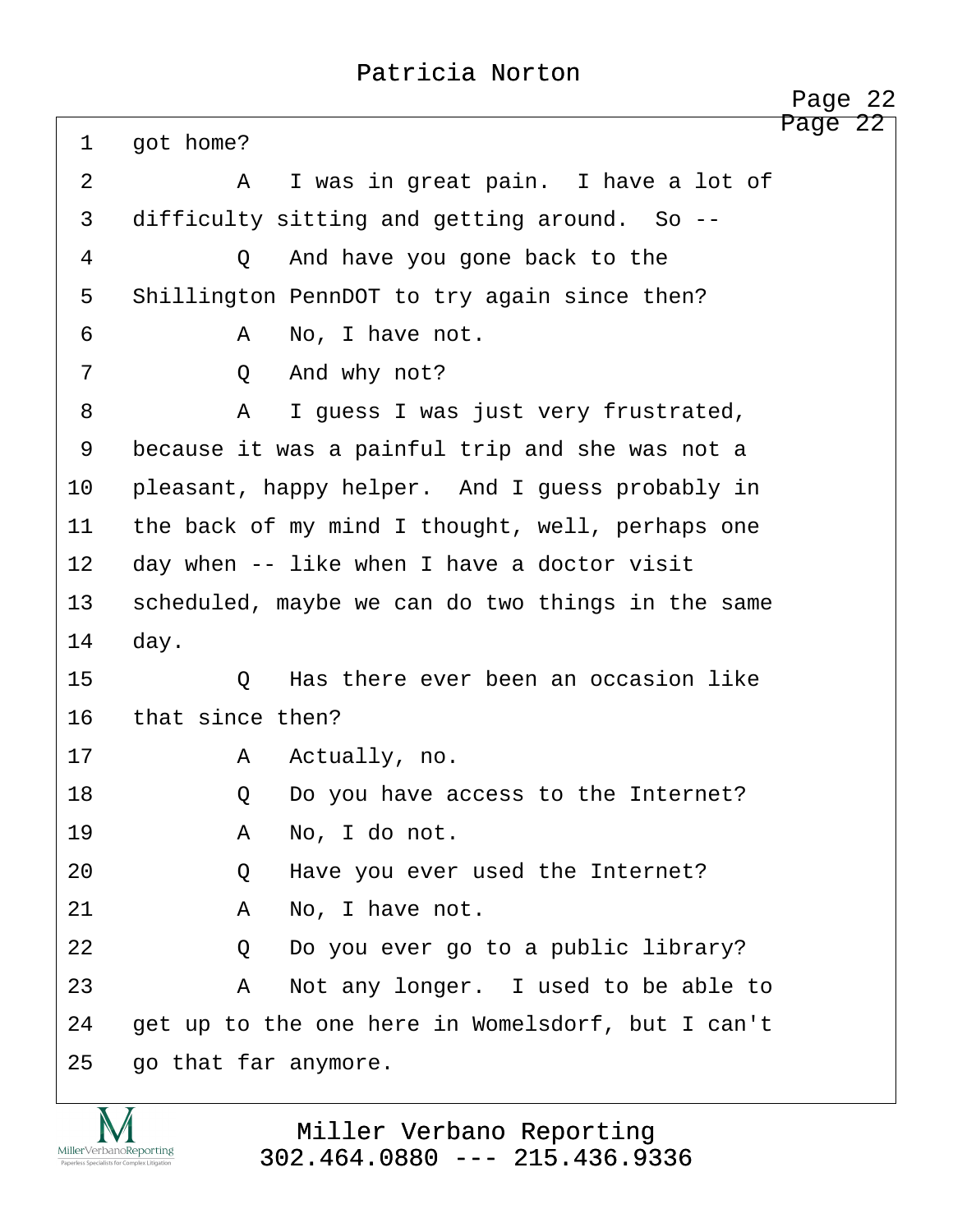<span id="page-22-0"></span>

|         | 22<br>Page                                        |
|---------|---------------------------------------------------|
| 1       | Page<br>22<br>got home?                           |
| 2       | I was in great pain. I have a lot of<br>A         |
| 3       | difficulty sitting and getting around. So --      |
| 4       | Q<br>And have you gone back to the                |
| 5       | Shillington PennDOT to try again since then?      |
| 6       | No, I have not.<br>A                              |
| 7       | And why not?<br>Q                                 |
| 8       | I guess I was just very frustrated,<br>A          |
| 9       | because it was a painful trip and she was not a   |
| $10 \,$ | pleasant, happy helper. And I guess probably in   |
| 11      | the back of my mind I thought, well, perhaps one  |
| 12      | day when -- like when I have a doctor visit       |
| 13      | scheduled, maybe we can do two things in the same |
| 14      | day.                                              |
| 15      | Has there ever been an occasion like<br>Q         |
| 16      | that since then?                                  |
| 17      | Actually, no.<br>A                                |
| 18      | Do you have access to the Internet?<br>Q          |
| 19      | No, I do not.<br>A                                |
| 20      | Have you ever used the Internet?<br>Q             |
| 21      | No, I have not.<br>A                              |
| 22      | Do you ever go to a public library?<br>Q          |
| 23      | Not any longer. I used to be able to<br>Α         |
| 24      | get up to the one here in Womelsdorf, but I can't |
| 25      | go that far anymore.                              |
|         |                                                   |

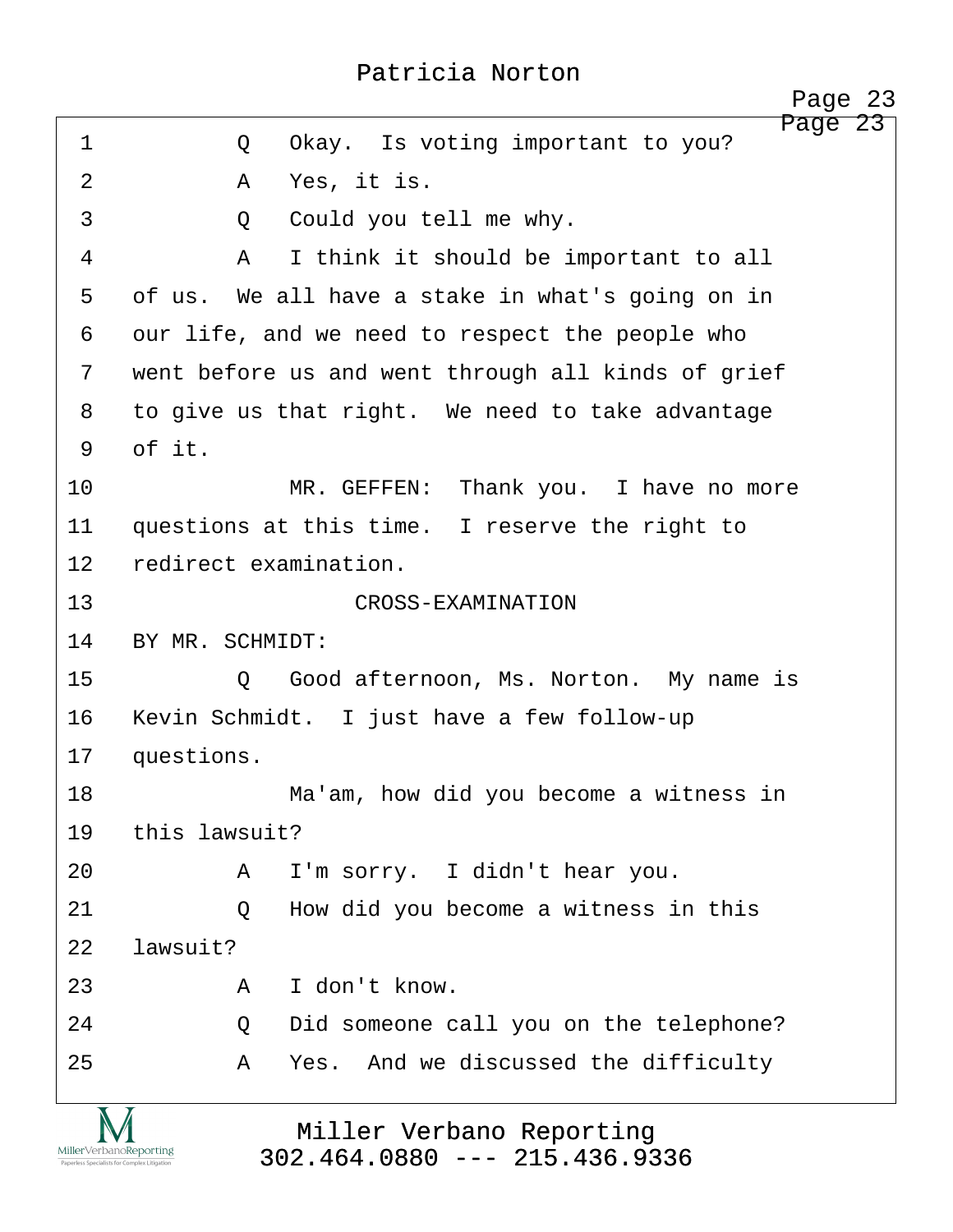http://www.yeslaw.net/help

<span id="page-23-0"></span>

|                         | Page 23                                            |
|-------------------------|----------------------------------------------------|
| 1                       | Page 23<br>Okay. Is voting important to you?<br>Q  |
| $\overline{2}$          | Yes, it is.<br>A                                   |
| 3                       | Could you tell me why.<br>Q                        |
| $\overline{4}$          | I think it should be important to all<br>A         |
| 5                       | of us. We all have a stake in what's going on in   |
| 6                       | our life, and we need to respect the people who    |
| 7                       | went before us and went through all kinds of grief |
| 8                       | to give us that right. We need to take advantage   |
| 9                       | of it.                                             |
| 10                      | MR. GEFFEN: Thank you. I have no more              |
| 11                      | questions at this time. I reserve the right to     |
| $12 \,$                 | redirect examination.                              |
| 13                      | CROSS-EXAMINATION                                  |
| 14                      | BY MR. SCHMIDT:                                    |
| 15                      | Good afternoon, Ms. Norton. My name is<br>Q        |
| 16                      | Kevin Schmidt. I just have a few follow-up         |
| 17                      | questions.                                         |
| 18                      | Ma'am, how did you become a witness in             |
| 19                      | this lawsuit?                                      |
| 20                      | I'm sorry. I didn't hear you.<br>A                 |
| 21                      | How did you become a witness in this<br>Q          |
| 22                      | lawsuit?                                           |
| 23                      | I don't know.<br>A                                 |
| 24                      | Did someone call you on the telephone?<br>Q        |
| 25                      | Yes. And we discussed the difficulty<br>A          |
| $\overline{\mathbf{X}}$ | $\overline{\mathbf{v}}$                            |

Miller Verbano Reporting [302.464.0880 --- 215.436.9336](http://www.miller-verbano.com)

IVI  $\underset{\text{Paperless Specialists for Complex Litigation}}{\text{MillerVerbanoReporting}}$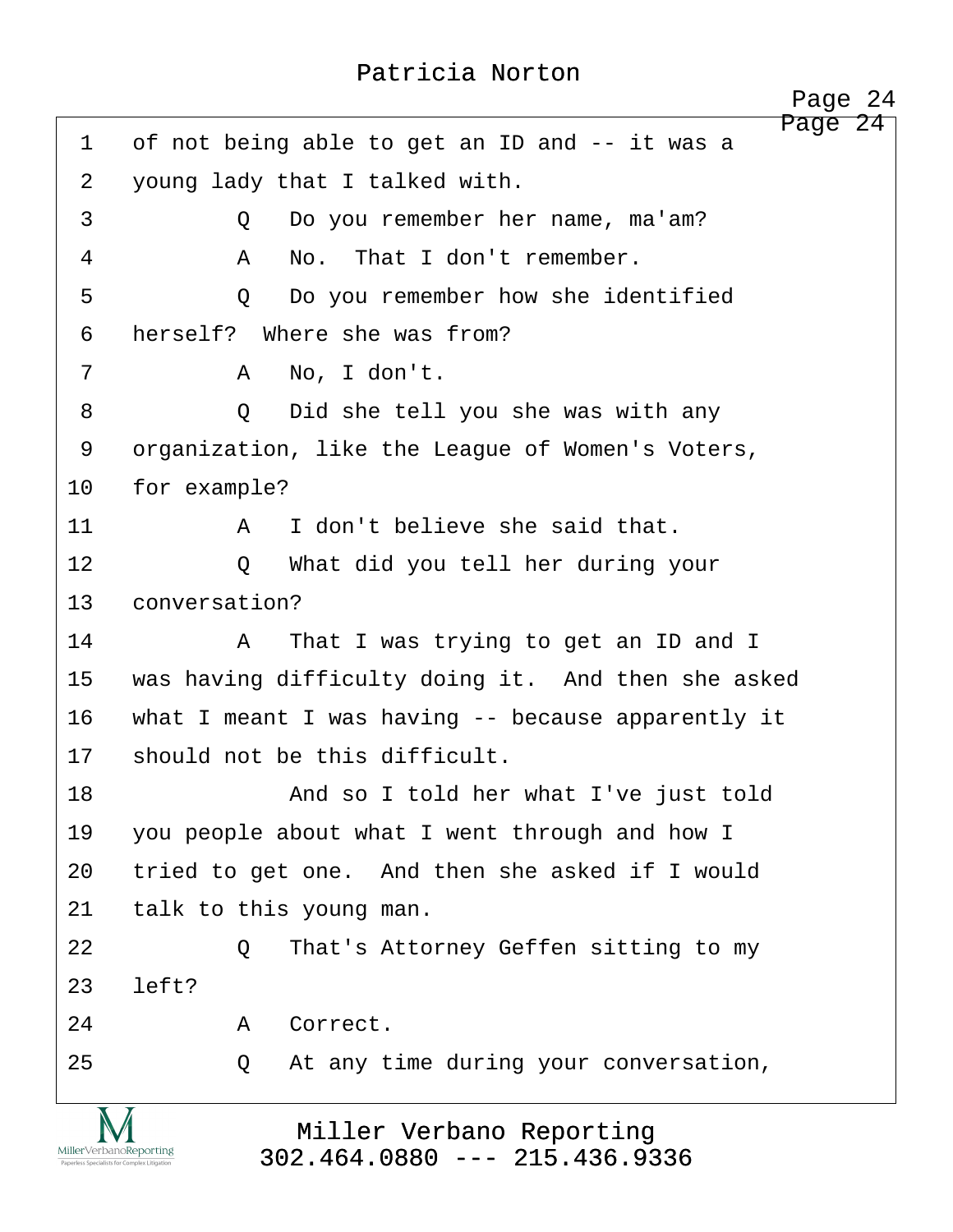<span id="page-24-0"></span>Page 24 1 of not being able to get an ID and -- it was a 2 voung lady that I talked with. ·3· · · · · ·Q· ·Do you remember her name, ma'am? ·4· · · · · ·A· ·No.· That I don't remember. 5 0 Do you remember how she identified 6 herself? Where she was from? ·7· · · · · ·A· ·No, I don't. ·8· · · · · ·Q· ·Did she tell you she was with any 9 organization, like the League of Women's Voters, 10 for example? 11· · · · · ·A· ·I don't believe she said that. 12 0 What did you tell her during your 13 conversation? 14· · · · · ·A· ·That I was trying to get an ID and I 15 was having difficulty doing it. And then she asked 16 what I meant I was having -- because apparently it 17 should not be this difficult. 18· · · · · · · ·And so I told her what I've just told 19 you people about what I went through and how I 20 tried to get one. And then she asked if I would 21 talk to this young man. 22· · · · · ·Q· ·That's Attorney Geffen sitting to my  $23$  left? 24· · · · · ·A· ·Correct. 25 25 20 At any time during your conversation,

Miller Verbano Reporting [302.464.0880 --- 215.436.9336](http://www.miller-verbano.com)

MillerVerbanoReporting

http://www.yeslaw.net/help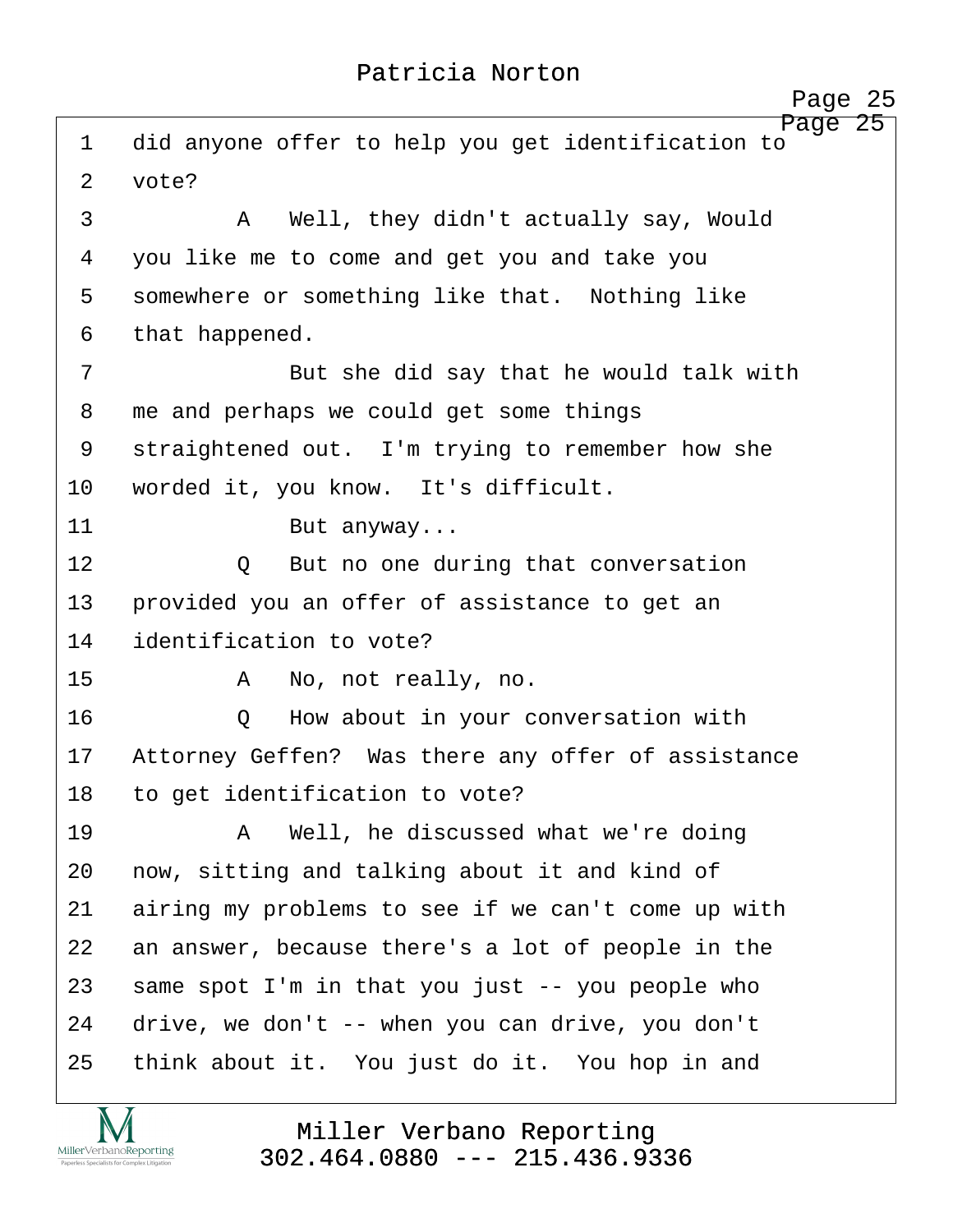<span id="page-25-0"></span>

|                | Page 25                                                       |
|----------------|---------------------------------------------------------------|
| 1              | Page 25<br>did anyone offer to help you get identification to |
| $\overline{2}$ | vote?                                                         |
| 3              | Well, they didn't actually say, Would<br>A                    |
| 4              | you like me to come and get you and take you                  |
| 5              | somewhere or something like that. Nothing like                |
| 6              | that happened.                                                |
| 7              | But she did say that he would talk with                       |
| 8              | me and perhaps we could get some things                       |
| 9              | straightened out. I'm trying to remember how she              |
| 10             | worded it, you know. It's difficult.                          |
| 11             | But anyway                                                    |
| 12             | But no one during that conversation<br>$\circ$                |
| 13             | provided you an offer of assistance to get an                 |
| 14             | identification to vote?                                       |
| 15             | No, not really, no.<br>A                                      |
| 16             | How about in your conversation with<br>Q                      |
| 17             | Attorney Geffen? Was there any offer of assistance            |
| 18             | to get identification to vote?                                |
| 19             | Well, he discussed what we're doing<br>A                      |
| 20             | now, sitting and talking about it and kind of                 |
| 21             | airing my problems to see if we can't come up with            |
| 22             | an answer, because there's a lot of people in the             |
| 23             | same spot I'm in that you just -- you people who              |
| 24             | drive, we don't -- when you can drive, you don't              |
| 25             | think about it. You just do it. You hop in and                |
|                |                                                               |

**IVI**  $\underset{\text{Paperless Specialists for Complex Litigation}}{\text{MillerVerbanoReporting}}$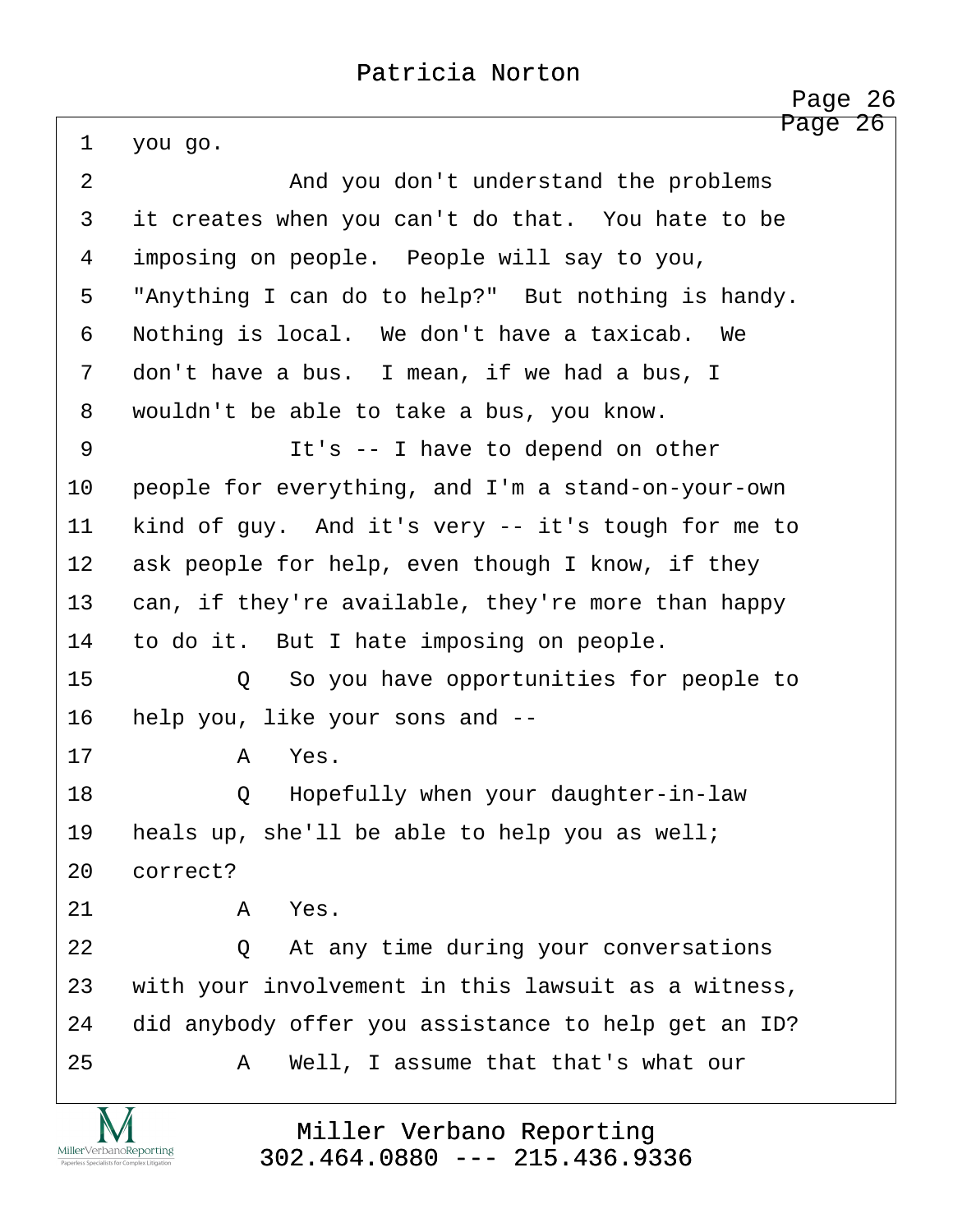http://www.yeslaw.net/help

<span id="page-26-0"></span>Page 26 1 you go. 2 and you don't understand the problems 3 it creates when you can't do that. You hate to be 4 imposing on people. People will say to you, 5 "Anything I can do to help?" But nothing is handy. 6 Nothing is local. We don't have a taxicab. We 7 don't have a bus. I mean, if we had a bus, I 8 wouldn't be able to take a bus, you know. 9 · · · · · · · I have to depend on other 10 people for everything, and I'm a stand-on-your-own 11 kind of guy. And it's very -- it's tough for me to 12 ask people for help, even though I know, if they 13 can, if they're available, they're more than happy 14 to do it. But I hate imposing on people. 15· · · · · ·Q· ·So you have opportunities for people to 16 help you, like your sons and --17· · · · · ·A· ·Yes. 18 · · · · · Q · Hopefully when your daughter-in-law 19 heals up, she'll be able to help you as well; 20 correct?  $21$  a Yes. 22 0 At any time during your conversations 23 with your involvement in this lawsuit as a witness, 24 did anybody offer you assistance to help get an ID? 25· · · · · ·A· ·Well, I assume that that's what our

> Miller Verbano Reporting [302.464.0880 --- 215.436.9336](http://www.miller-verbano.com)

MillerVerbanoReporting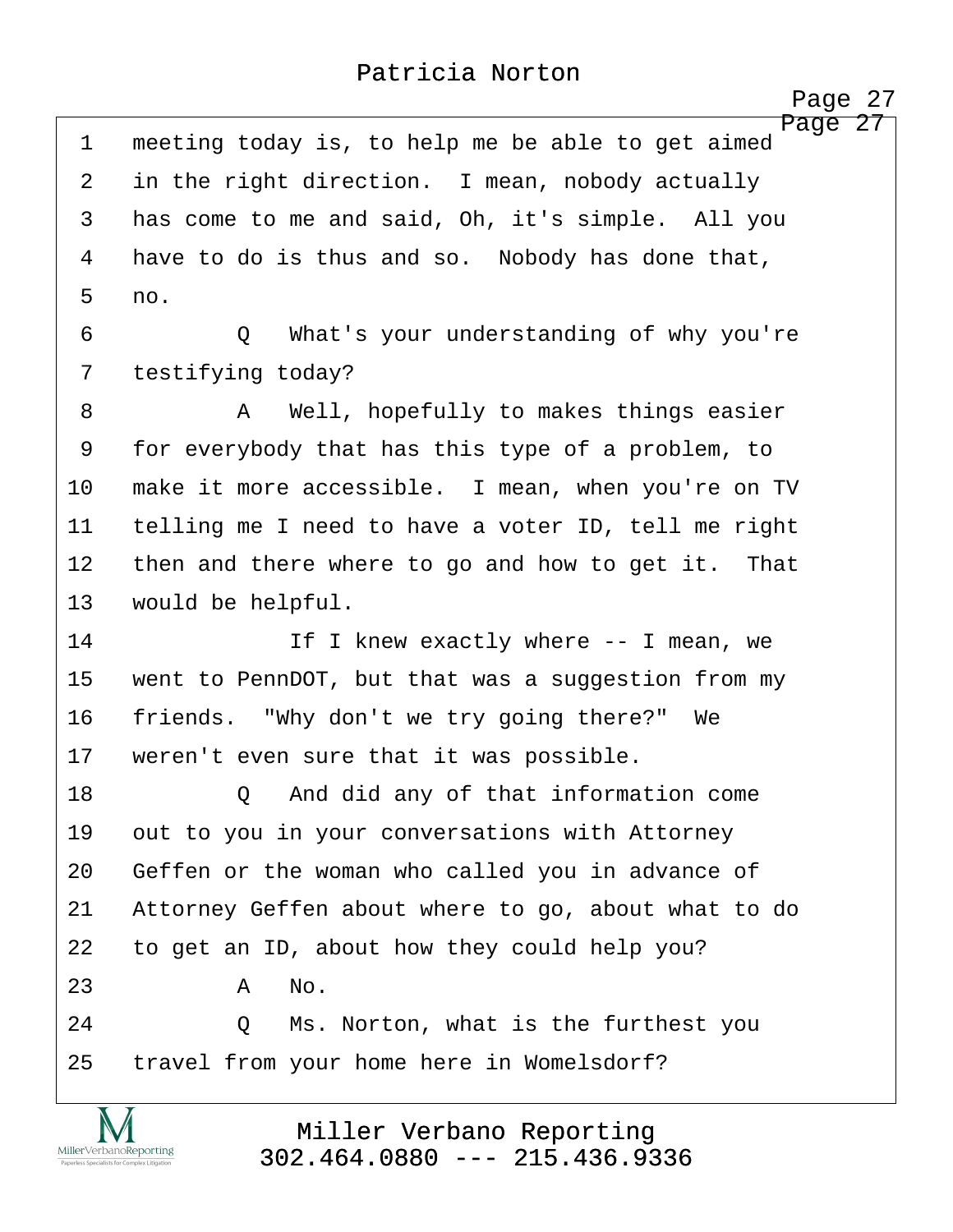Page 27

http://www.yeslaw.net/help

<span id="page-27-0"></span>Page 27 1 meeting today is, to help me be able to get aimed 2 in the right direction. I mean, nobody actually 3 has come to me and said, Oh, it's simple. All you 4 have to do is thus and so. Nobody has done that, ·5· ·no. ·6· · · · · ·Q· ·What's your understanding of why you're 7 testifying today? ·8· · · · · ·A· ·Well, hopefully to makes things easier 9 for everybody that has this type of a problem, to 10 make it more accessible. I mean, when you're on TV 11 telling me I need to have a voter ID, tell me right 12 then and there where to go and how to get it. That 13 would be helpful. 14 The I knew exactly where -- I mean, we 15 went to PennDOT, but that was a suggestion from my 16 friends. "Why don't we try going there?" We 17 weren't even sure that it was possible. 18 Q And did any of that information come 19 out to you in your conversations with Attorney 20 Geffen or the woman who called you in advance of 21 Attorney Geffen about where to go, about what to do 22 to get an ID, about how they could help you?  $23$   $A$   $No.$ 24 · 20 Ms. Norton, what is the furthest you 25 travel from your home here in Womelsdorf?

> Miller Verbano Reporting [302.464.0880 --- 215.436.9336](http://www.miller-verbano.com)

MillerVerbanoReporting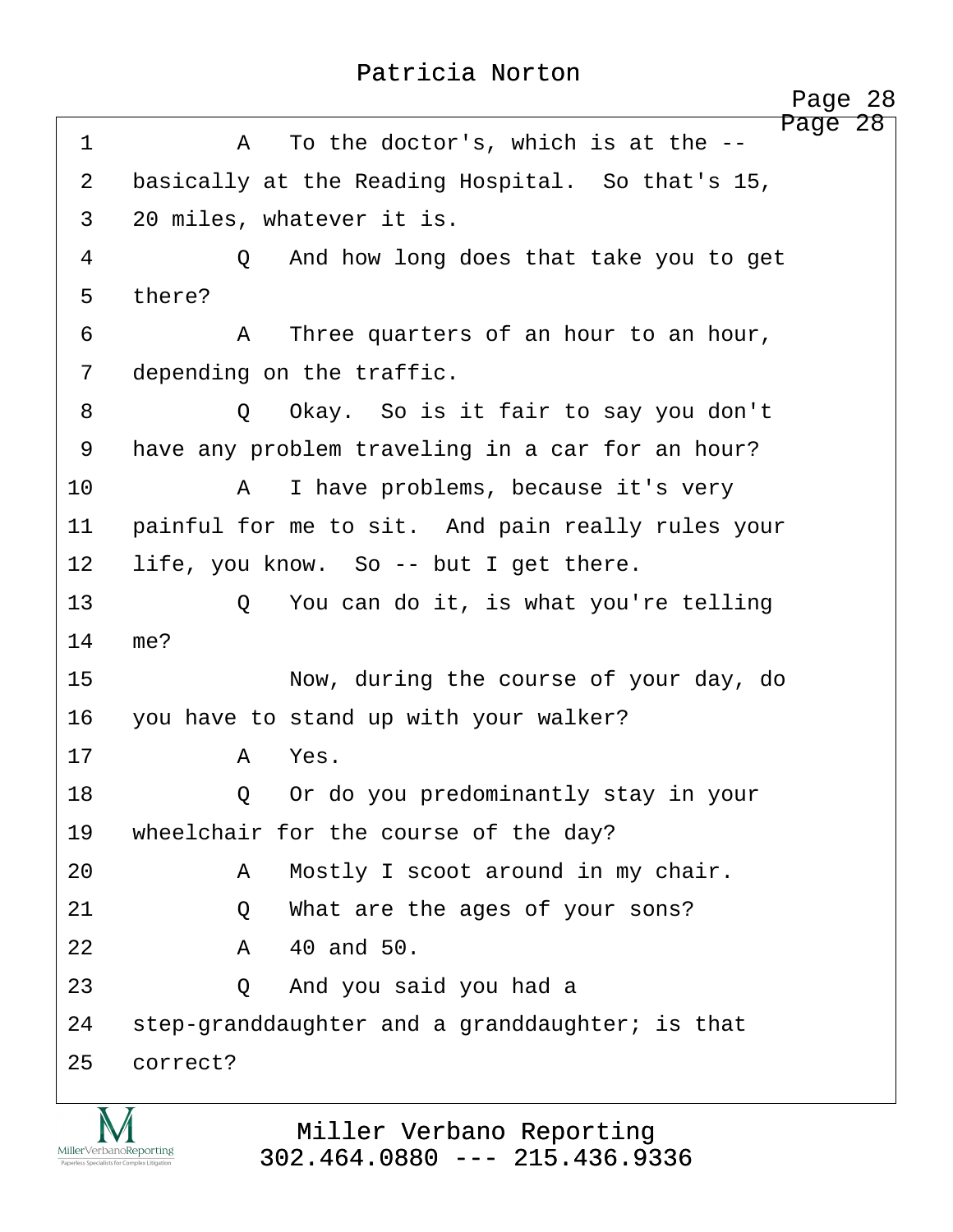<span id="page-28-0"></span>

|                | Page 28                                             |
|----------------|-----------------------------------------------------|
| $\mathbf 1$    | Page 28<br>To the doctor's, which is at the --<br>Α |
| $\overline{2}$ | basically at the Reading Hospital. So that's 15,    |
| $\mathsf{3}$   | 20 miles, whatever it is.                           |
| 4              | And how long does that take you to get<br>$\circ$   |
| 5              | there?                                              |
| 6              | Three quarters of an hour to an hour,<br>Α          |
| 7              | depending on the traffic.                           |
| 8              | Okay. So is it fair to say you don't<br>Q           |
| 9              | have any problem traveling in a car for an hour?    |
| 10             | I have problems, because it's very<br>A             |
| 11             | painful for me to sit. And pain really rules your   |
| 12             | life, you know. So -- but I get there.              |
| 13             | You can do it, is what you're telling<br>Q          |
| 14             | me?                                                 |
| 15             | Now, during the course of your day, do              |
| 16             | you have to stand up with your walker?              |
| 17             | Yes.<br>A                                           |
| 18             | Or do you predominantly stay in your<br>Q           |
| 19             | wheelchair for the course of the day?               |
| 20             | Mostly I scoot around in my chair.<br>A             |
| 21             | What are the ages of your sons?<br>Q                |
| 22             | 40 and 50.<br>Α                                     |
| 23             | And you said you had a<br>Q                         |
| 24             | step-granddaughter and a granddaughter; is that     |
| 25             | correct?                                            |
|                |                                                     |

IVI MillerVerbanoReporting Paperless Specialists for Complex Litigation

Miller Verbano Reporting [302.464.0880 --- 215.436.9336](http://www.miller-verbano.com)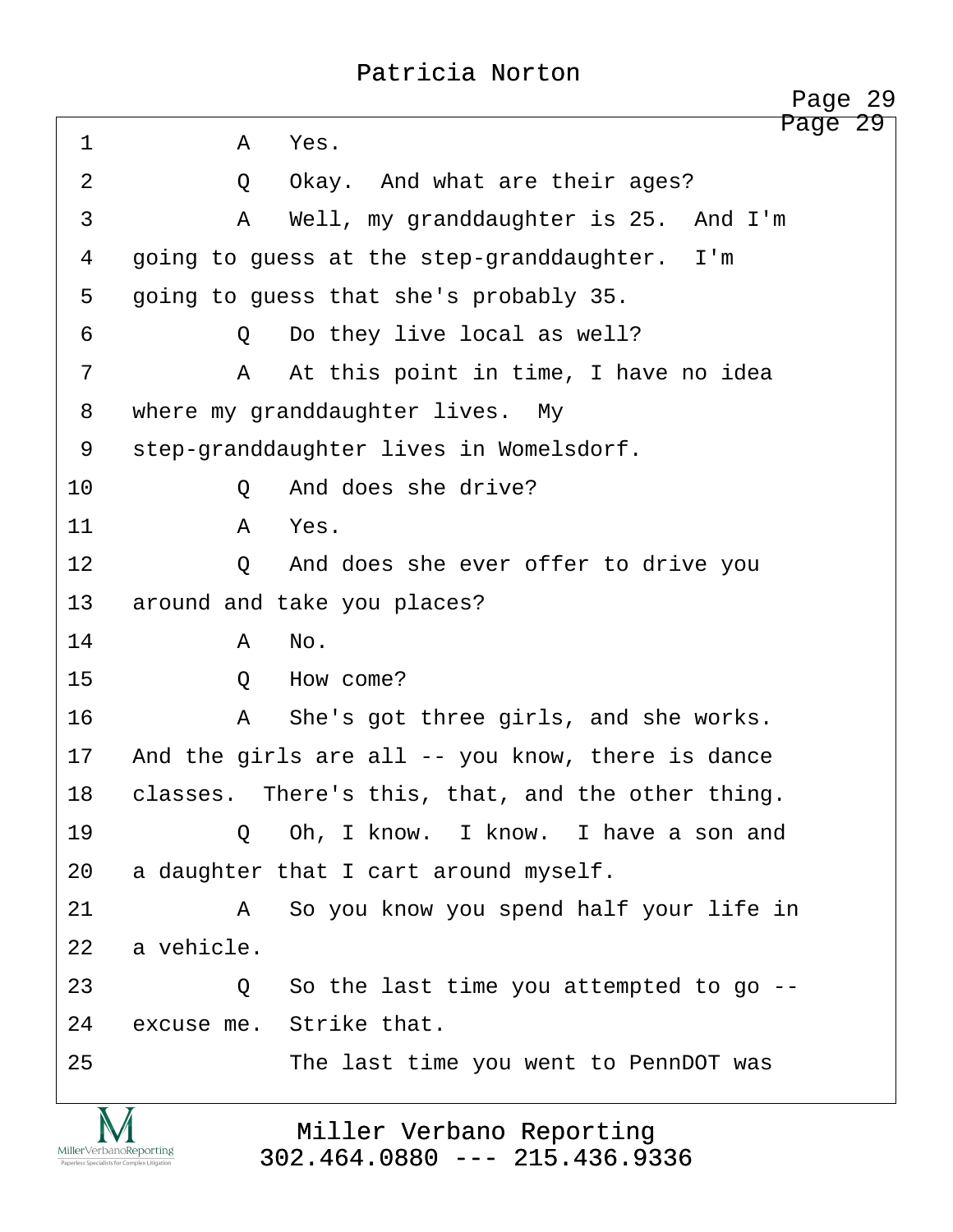<span id="page-29-0"></span>Page 29 ·1· · · · · ·A· ·Yes. 2 0 Okay. And what are their ages? ·3· · · · · ·A· ·Well, my granddaughter is 25.· And I'm 4 qoing to guess at the step-granddaughter. I'm 5 going to guess that she's probably 35. ·6· · · · · ·Q· ·Do they live local as well? ·7· · · · · ·A· ·At this point in time, I have no idea 8 where my granddaughter lives. My 9 step-granddaughter lives in Womelsdorf. 10 0 And does she drive? 11· · · · · ·A· ·Yes. 12 0 And does she ever offer to drive you 13 around and take you places? 14· · · · · ·A· ·No. 15· · · · · ·Q· ·How come? 16· · · · · ·A· ·She's got three girls, and she works. 17 And the girls are all -- you know, there is dance 18 classes. There's this, that, and the other thing. 19· · · · · ·Q· ·Oh, I know.· I know.· I have a son and 20 a daughter that I cart around myself. 21· · · · · ·A· ·So you know you spend half your life in 22 a vehicle. 23 · 20 · So the last time you attempted to go --24 excuse me. Strike that. 25 The last time you went to PennDOT was Page 29

Miller Verbano Reporting [302.464.0880 --- 215.436.9336](http://www.miller-verbano.com)

MillerVerbanoReporting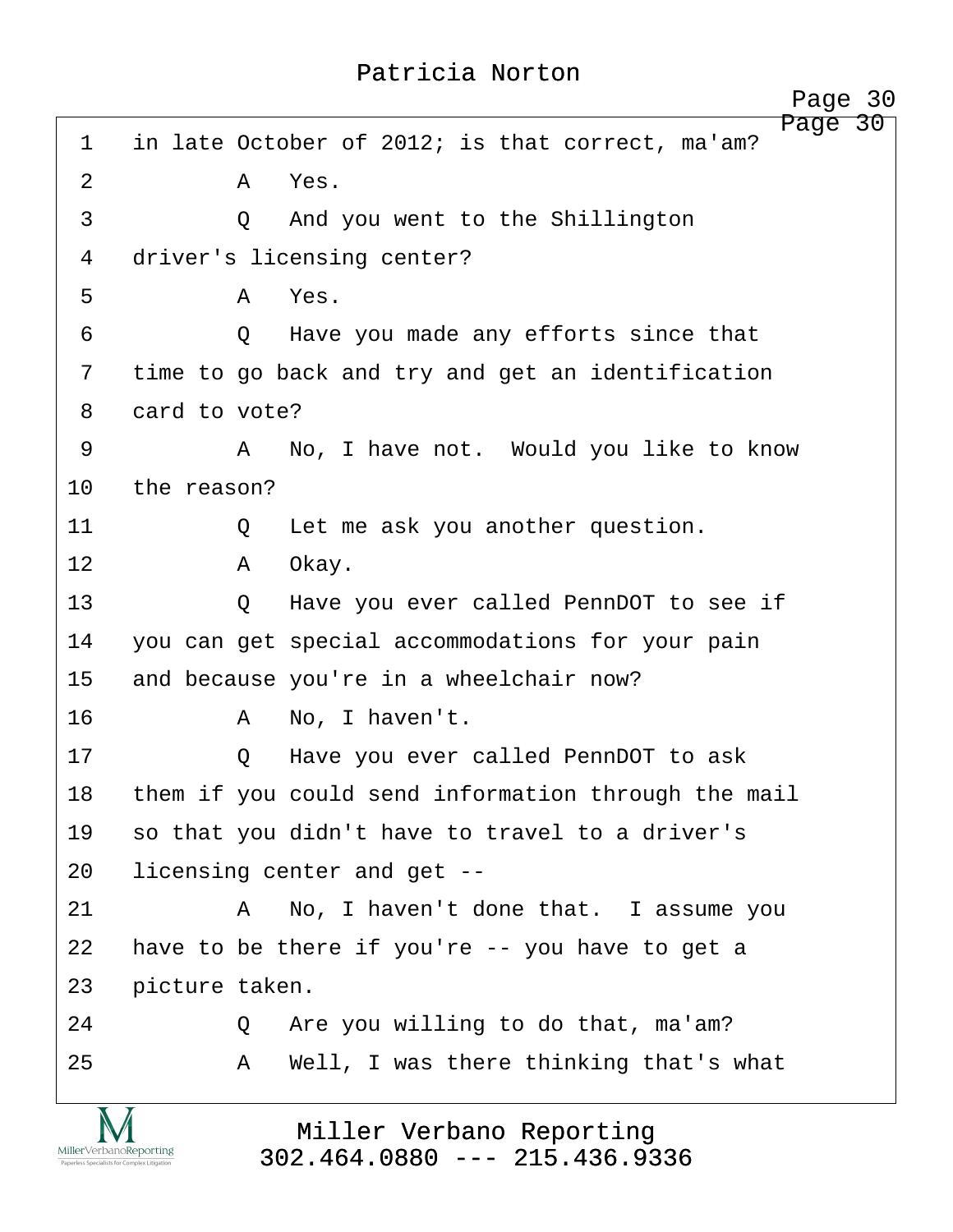<span id="page-30-0"></span>

|                   |                |         | Page 30                                                     |
|-------------------|----------------|---------|-------------------------------------------------------------|
| $\mathbf{1}$      |                |         | Page 30<br>in late October of 2012; is that correct, ma'am? |
| $\overline{2}$    |                | A       | Yes.                                                        |
| 3                 |                | Q       | And you went to the Shillington                             |
| 4                 |                |         | driver's licensing center?                                  |
| 5                 |                | A       | Yes.                                                        |
| 6                 |                | $\circ$ | Have you made any efforts since that                        |
| 7                 |                |         | time to go back and try and get an identification           |
| 8                 | card to vote?  |         |                                                             |
| 9                 |                | A       | No, I have not. Would you like to know                      |
| 10                | the reason?    |         |                                                             |
| 11                |                | Q       | Let me ask you another question.                            |
| $12 \overline{)}$ |                | A       | Okay.                                                       |
| 13                |                | Q       | Have you ever called PennDOT to see if                      |
| 14                |                |         | you can get special accommodations for your pain            |
| 15                |                |         | and because you're in a wheelchair now?                     |
| 16                |                | A       | No, I haven't.                                              |
| 17                |                | Q       | Have you ever called PennDOT to ask                         |
| 18                |                |         | them if you could send information through the mail         |
| 19                |                |         | so that you didn't have to travel to a driver's             |
| 20                |                |         | licensing center and get --                                 |
| 21                |                | Α       | No, I haven't done that. I assume you                       |
| 22                |                |         | have to be there if you're $-$ you have to get a            |
| 23                | picture taken. |         |                                                             |
| 24                |                | Q       | Are you willing to do that, ma'am?                          |
| 25                |                | A       | Well, I was there thinking that's what                      |
|                   |                |         |                                                             |
|                   |                |         | Miller Verbano Reporting                                    |

Miller Verbano Reporting [302.464.0880 --- 215.436.9336](http://www.miller-verbano.com)

 $\underset{\text{Paperless Specialists for Complex Litigation}}{\text{MillerVerbanoReporting}}$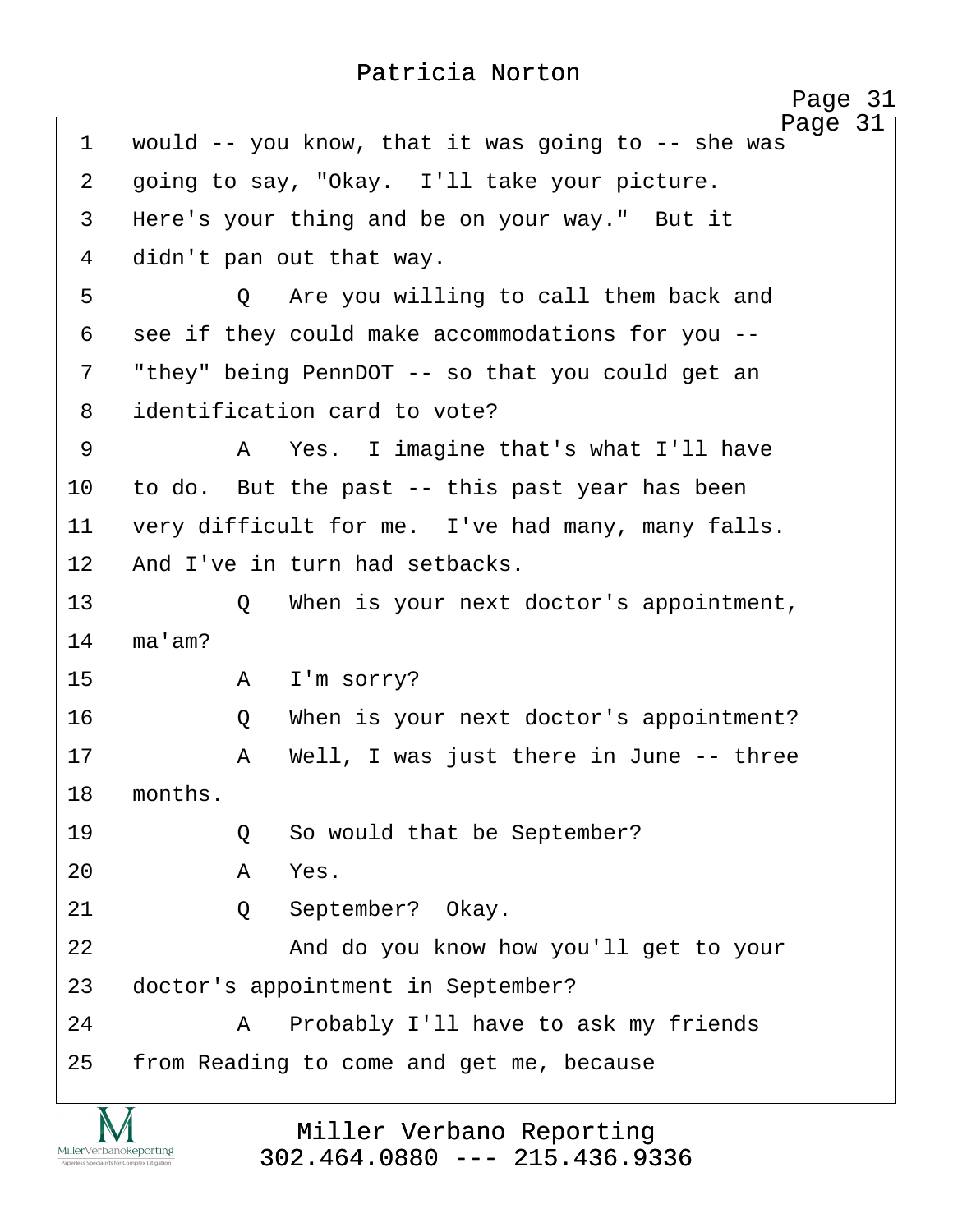<span id="page-31-0"></span>

|             | Page 31                                                       |
|-------------|---------------------------------------------------------------|
| $\mathbf 1$ | Page 31<br>would -- you know, that it was going to -- she was |
| 2           | going to say, "Okay. I'll take your picture.                  |
| 3           | Here's your thing and be on your way." But it                 |
| 4           | didn't pan out that way.                                      |
| 5           | Are you willing to call them back and<br>$\circ$              |
| 6           | see if they could make accommodations for you --              |
| 7           | "they" being PennDOT -- so that you could get an              |
| 8           | identification card to vote?                                  |
| 9           | A Yes. I imagine that's what I'll have                        |
| 10          | to do. But the past -- this past year has been                |
| 11          | very difficult for me. I've had many, many falls.             |
| 12          | And I've in turn had setbacks.                                |
| 13          | When is your next doctor's appointment,<br>Q                  |
| 14          | ma'am?                                                        |
| 15          | I'm sorry?<br>A                                               |
| 16          | When is your next doctor's appointment?<br>Q                  |
| 17          | Well, I was just there in June -- three<br>Α                  |
| 18          | months.                                                       |
| 19          | So would that be September?<br>Q                              |
| 20          | Yes.<br>A                                                     |
| 21          | September? Okay.<br>Q                                         |
| 22          | And do you know how you'll get to your                        |
| 23          | doctor's appointment in September?                            |
| 24          | Probably I'll have to ask my friends<br>Α                     |
| 25          | from Reading to come and get me, because                      |

**IVI**  $\underset{\text{Paperless Specialists for Complex Litigation}}{\text{MillerVerbanoReporting}}$ 

Miller Verbano Reporting [302.464.0880 --- 215.436.9336](http://www.miller-verbano.com)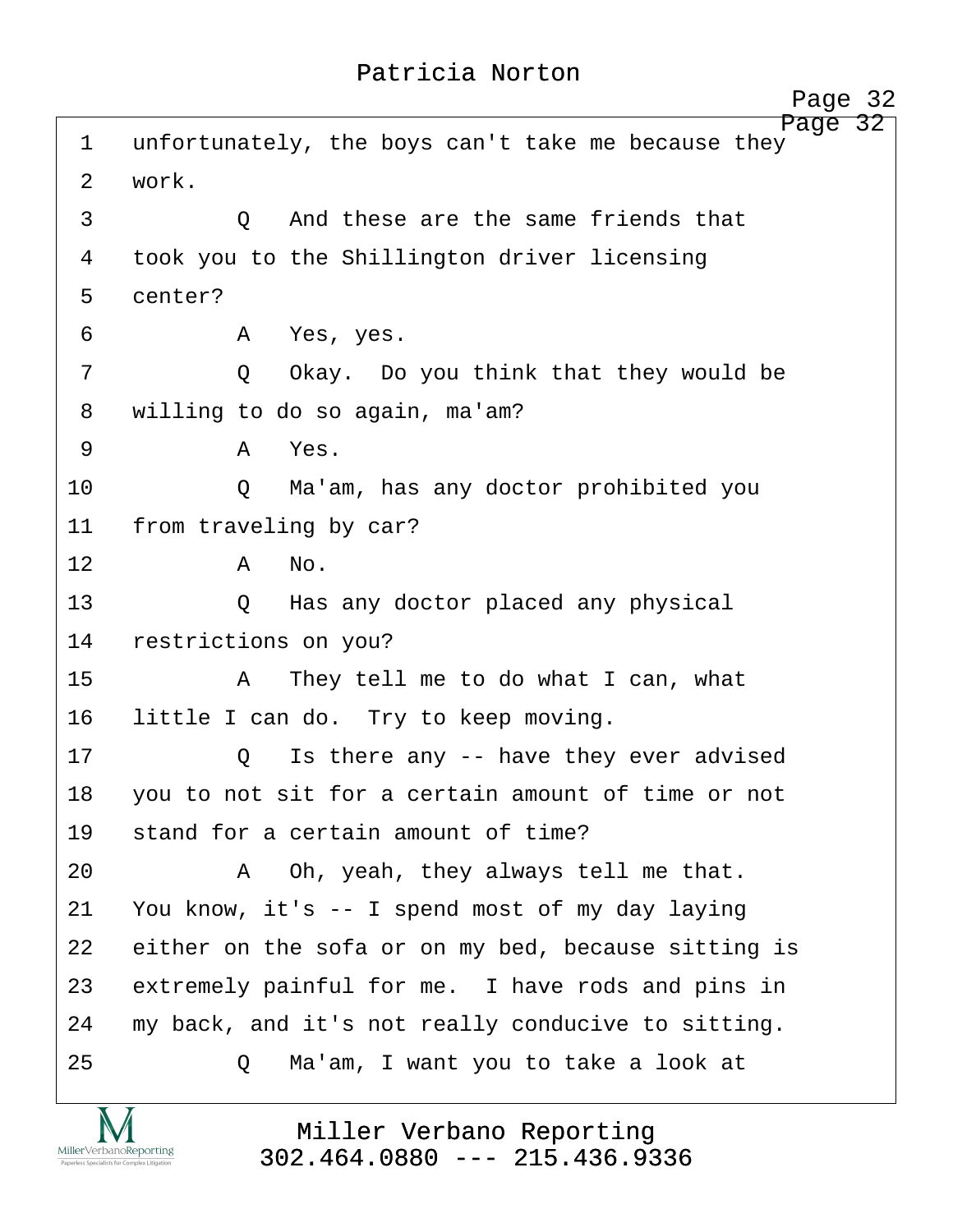<span id="page-32-0"></span>

| 1              | 32<br>Page<br>unfortunately, the boys can't take me because they |
|----------------|------------------------------------------------------------------|
| $\overline{2}$ | work.                                                            |
| 3              | And these are the same friends that<br>$\circ$                   |
| 4              | took you to the Shillington driver licensing                     |
| 5              | center?                                                          |
| 6              | Yes, yes.<br>A                                                   |
| 7              | Okay. Do you think that they would be<br>Q                       |
| 8              | willing to do so again, ma'am?                                   |
| 9              | Yes.<br>A                                                        |
| 10             | Ma'am, has any doctor prohibited you<br>Q                        |
| 11             | from traveling by car?                                           |
| 12             | No.<br>A                                                         |
| 13             | Has any doctor placed any physical<br>$\circ$                    |
| 14             | restrictions on you?                                             |
| 15             | They tell me to do what I can, what<br>A                         |
| 16             | little I can do. Try to keep moving.                             |
| 17             | Is there any -- have they ever advised<br>Q                      |
| 18             | you to not sit for a certain amount of time or not               |
| 19             | stand for a certain amount of time?                              |
| 20             | Oh, yeah, they always tell me that.<br>A                         |
| 21             | You know, it's -- I spend most of my day laying                  |
| 22             | either on the sofa or on my bed, because sitting is              |
| 23             | extremely painful for me. I have rods and pins in                |
| 24             | my back, and it's not really conducive to sitting.               |
| 25             | Ma'am, I want you to take a look at<br>Q                         |
|                |                                                                  |

Miller Verbano Reporting [302.464.0880 --- 215.436.9336](http://www.miller-verbano.com)

**IVI**  $\underset{\text{Paperless Specialists for Complex Litigation}}{\text{MillerVerbanoReporting}}$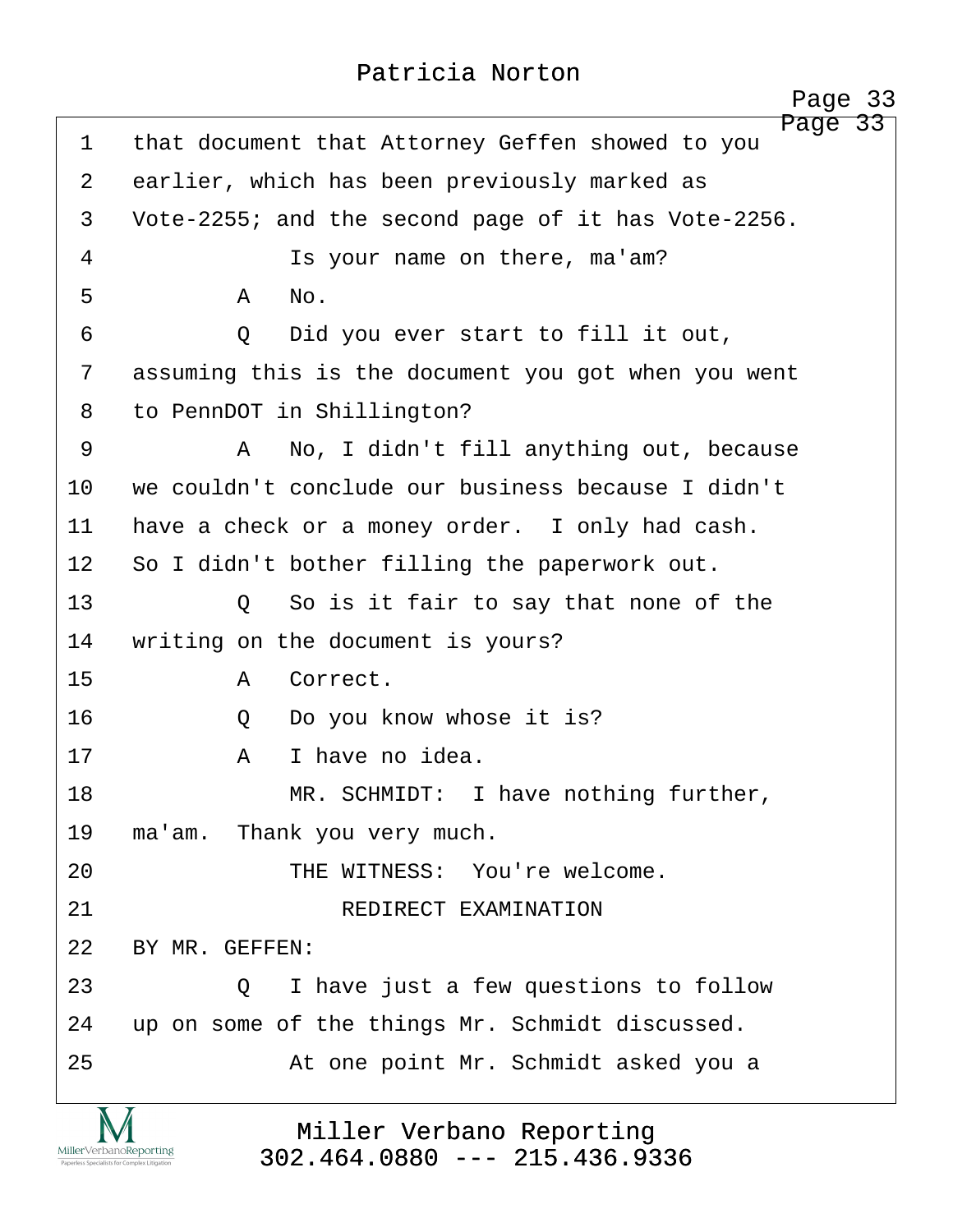<span id="page-33-0"></span>Page 33 1 that document that Attorney Geffen showed to you 2 earlier, which has been previously marked as 3 Vote-2255; and the second page of it has Vote-2256. 4 a statust Is your name on there, ma'am? ·5· · · · · ·A· ·No. ·6· · · · · ·Q· ·Did you ever start to fill it out, 7 assuming this is the document you got when you went 8 to PennDOT in Shillington? ·9· · · · · ·A· ·No, I didn't fill anything out, because 10 we couldn't conclude our business because I didn't 11 have a check or a money order. I only had cash. 12 So I didn't bother filling the paperwork out. 13· · · · · ·Q· ·So is it fair to say that none of the 14 writing on the document is yours? 15· · · · · ·A· ·Correct. 16· · · · · ·Q· ·Do you know whose it is? 17· · · · · ·A· ·I have no idea. 18 MR. SCHMIDT: I have nothing further, 19 ma'am. Thank you very much. 20 **· · · · · · · · THE WITNESS:** You're welcome. 21· · · · · · · · · ·REDIRECT EXAMINATION 22 BY MR. GEFFEN: 23 **23** 23 **2 1** have just a few questions to follow 24 up on some of the things Mr. Schmidt discussed. 25 · · · · · · · At one point Mr. Schmidt asked you a

> Miller Verbano Reporting [302.464.0880 --- 215.436.9336](http://www.miller-verbano.com)

MillerVerbanoReporting

http://www.yeslaw.net/help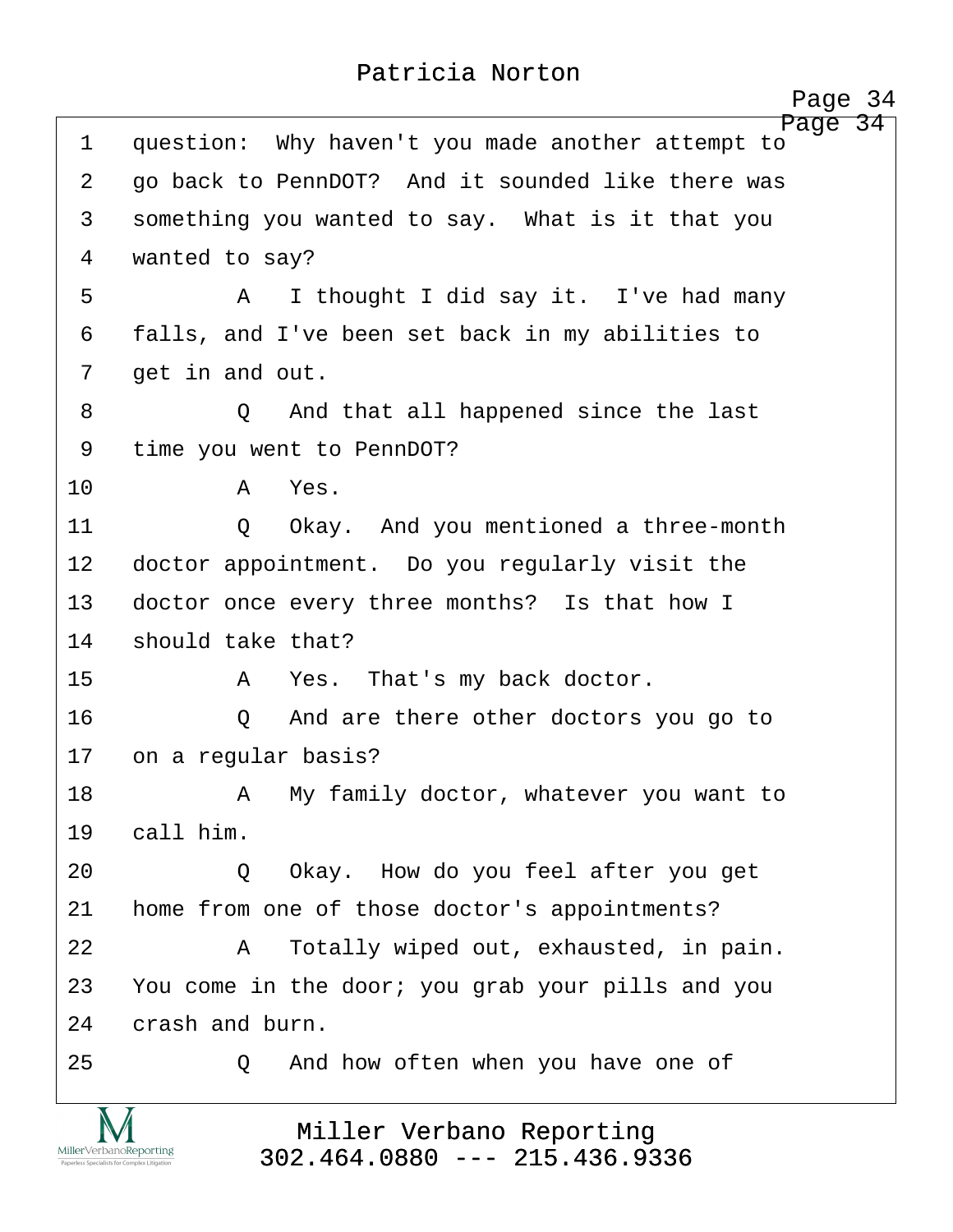<span id="page-34-0"></span>

|                                                                        | Page 34                                                      |
|------------------------------------------------------------------------|--------------------------------------------------------------|
| $\mathbf 1$                                                            | Page 34<br>question: Why haven't you made another attempt to |
| 2                                                                      | go back to PennDOT? And it sounded like there was            |
| 3                                                                      | something you wanted to say. What is it that you             |
| 4                                                                      | wanted to say?                                               |
| 5                                                                      | I thought I did say it. I've had many<br>A                   |
| 6                                                                      | falls, and I've been set back in my abilities to             |
| 7                                                                      | get in and out.                                              |
| 8                                                                      | And that all happened since the last<br>$\circ$              |
| 9                                                                      | time you went to PennDOT?                                    |
| 10                                                                     | Yes.<br>A                                                    |
| 11                                                                     | Okay. And you mentioned a three-month<br>$\circ$             |
| 12                                                                     | doctor appointment. Do you regularly visit the               |
| 13                                                                     | doctor once every three months? Is that how I                |
| 14                                                                     | should take that?                                            |
| 15                                                                     | Yes. That's my back doctor.<br>A                             |
| 16                                                                     | And are there other doctors you go to<br>Q                   |
| 17                                                                     | on a regular basis?                                          |
| 18                                                                     | A My family doctor, whatever you want to                     |
| 19                                                                     | call him.                                                    |
| 20                                                                     | Okay. How do you feel after you get<br>$\circ$               |
| 21                                                                     | home from one of those doctor's appointments?                |
| 22                                                                     | Totally wiped out, exhausted, in pain.<br>A                  |
| 23                                                                     | You come in the door; you grab your pills and you            |
| 24                                                                     | crash and burn.                                              |
| 25                                                                     | And how often when you have one of<br>Q                      |
| MillerVerbanoReporting<br>Paperless Specialists for Complex Litigation | Miller Verbano Reporting<br>$302.464.0880$ --- 215.436.9336  |

http://www.yeslaw.net/help

yeslaw.net/help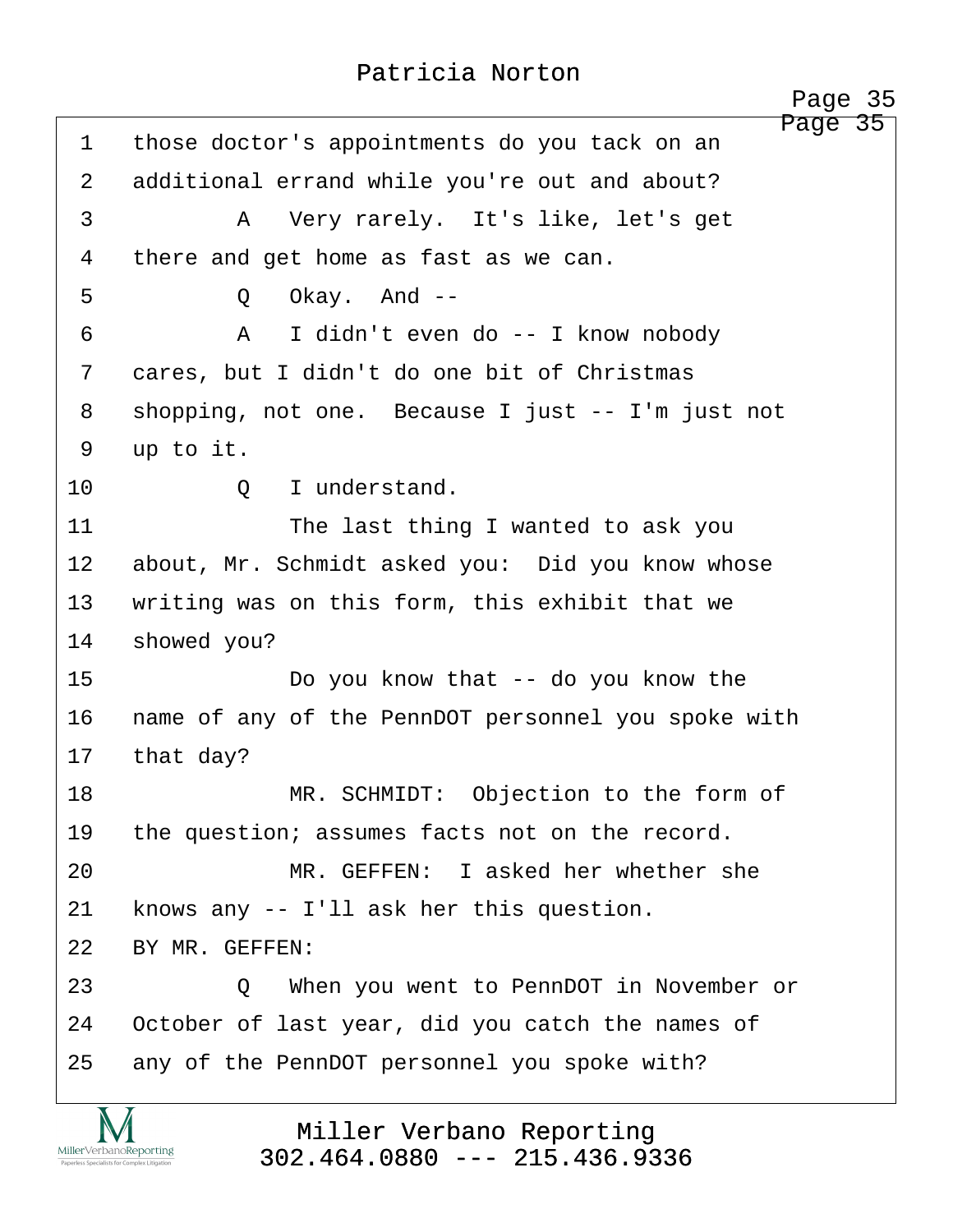<span id="page-35-0"></span>Page 35 1 those doctor's appointments do you tack on an 2 additional errand while you're out and about? ·3· · · · · ·A· ·Very rarely.· It's like, let's get 4 there and get home as fast as we can. ·5· · · · · ·Q· ·Okay.· And -- ·6· · · · · ·A· ·I didn't even do -- I know nobody 7 cares, but I didn't do one bit of Christmas 8 shopping, not one. Because I just -- I'm just not 9 up to it. 10· · · · · ·Q· ·I understand. 11 **11** The last thing I wanted to ask you 12 about, Mr. Schmidt asked you: Did you know whose 13 writing was on this form, this exhibit that we 14 showed you? 15· · · · · · · ·Do you know that -- do you know the 16 name of any of the PennDOT personnel you spoke with 17 that day? 18 **MR. SCHMIDT:** Objection to the form of 19 the question; assumes facts not on the record. 20· · · · · · · ·MR. GEFFEN:· I asked her whether she  $21$  knows any  $-$ - I'll ask her this question. 22 BY MR. GEFFEN: 23· · · · · ·Q· ·When you went to PennDOT in November or 24 October of last year, did you catch the names of 25 any of the PennDOT personnel you spoke with? Page 35

> Miller Verbano Reporting [302.464.0880 --- 215.436.9336](http://www.miller-verbano.com)

MillerVerbanoReporting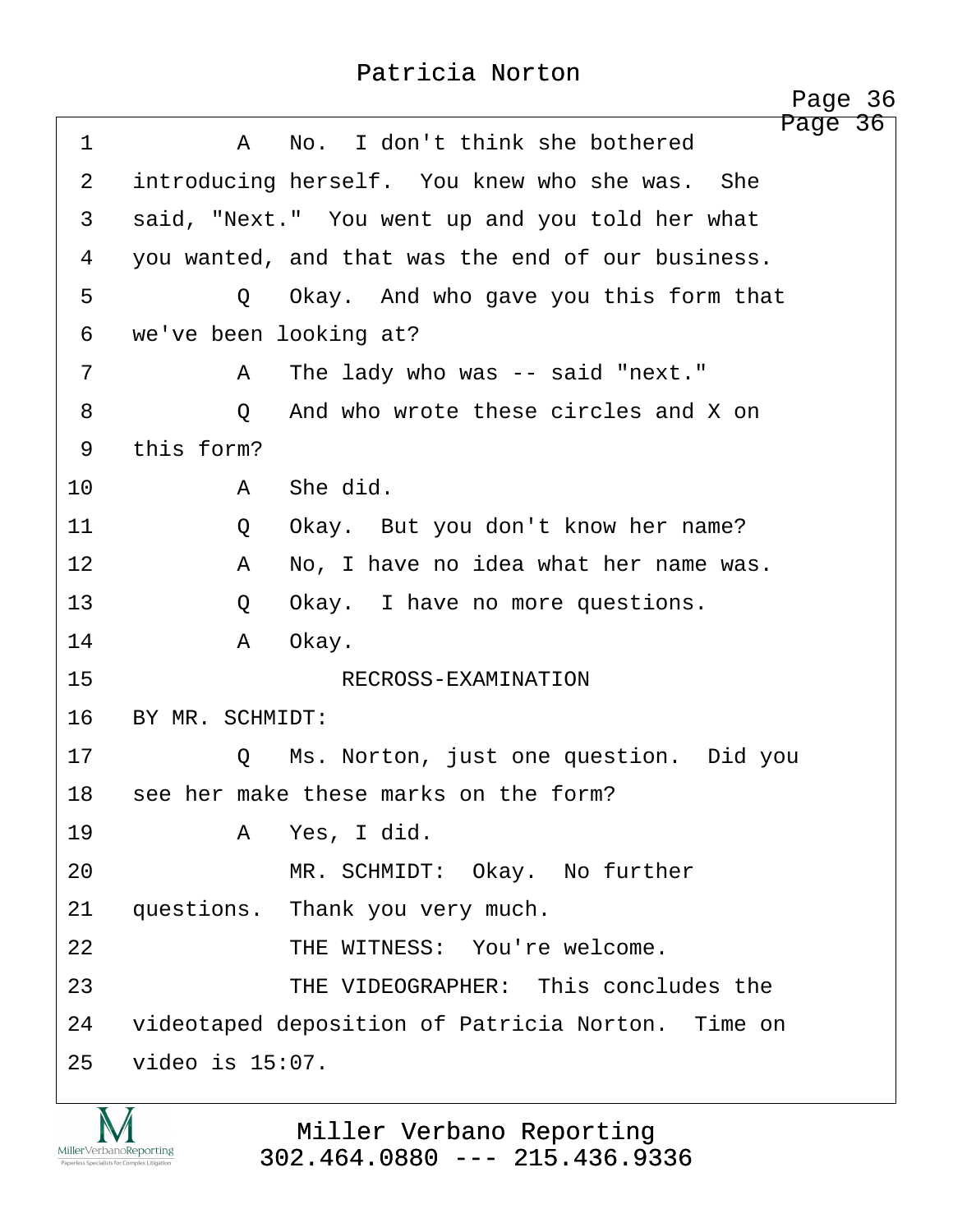<span id="page-36-0"></span>Page 36 ·1· · · · · ·A· ·No.· I don't think she bothered 2 introducing herself. You knew who she was. She 3 · said, "Next." You went up and you told her what 4 you wanted, and that was the end of our business. 5 · · · · · Q · Okay. And who gave you this form that 6 we've been looking at? ·7· · · · · ·A· ·The lady who was -- said "next." ·8· · · · · ·Q· ·And who wrote these circles and X on 9 this form? 10· · · · · ·A· ·She did. 11· · · · · ·Q· ·Okay.· But you don't know her name? 12· · · · · ·A· ·No, I have no idea what her name was. 13 · · · · · Q · Okay. I have no more questions. 14· · · · · ·A· ·Okay. 15· · · · · · · · · ·RECROSS-EXAMINATION 16 BY MR. SCHMIDT: 17· · · · · ·Q· ·Ms. Norton, just one question.· Did you 18 see her make these marks on the form? 19· · · · · ·A· ·Yes, I did. 20 MR. SCHMIDT: Okay. No further 21 questions. Thank you very much. 22 THE WITNESS: You're welcome. 23· · · · · · · ·THE VIDEOGRAPHER:· This concludes the 24 videotaped deposition of Patricia Norton. Time on 25 video is 15:07.

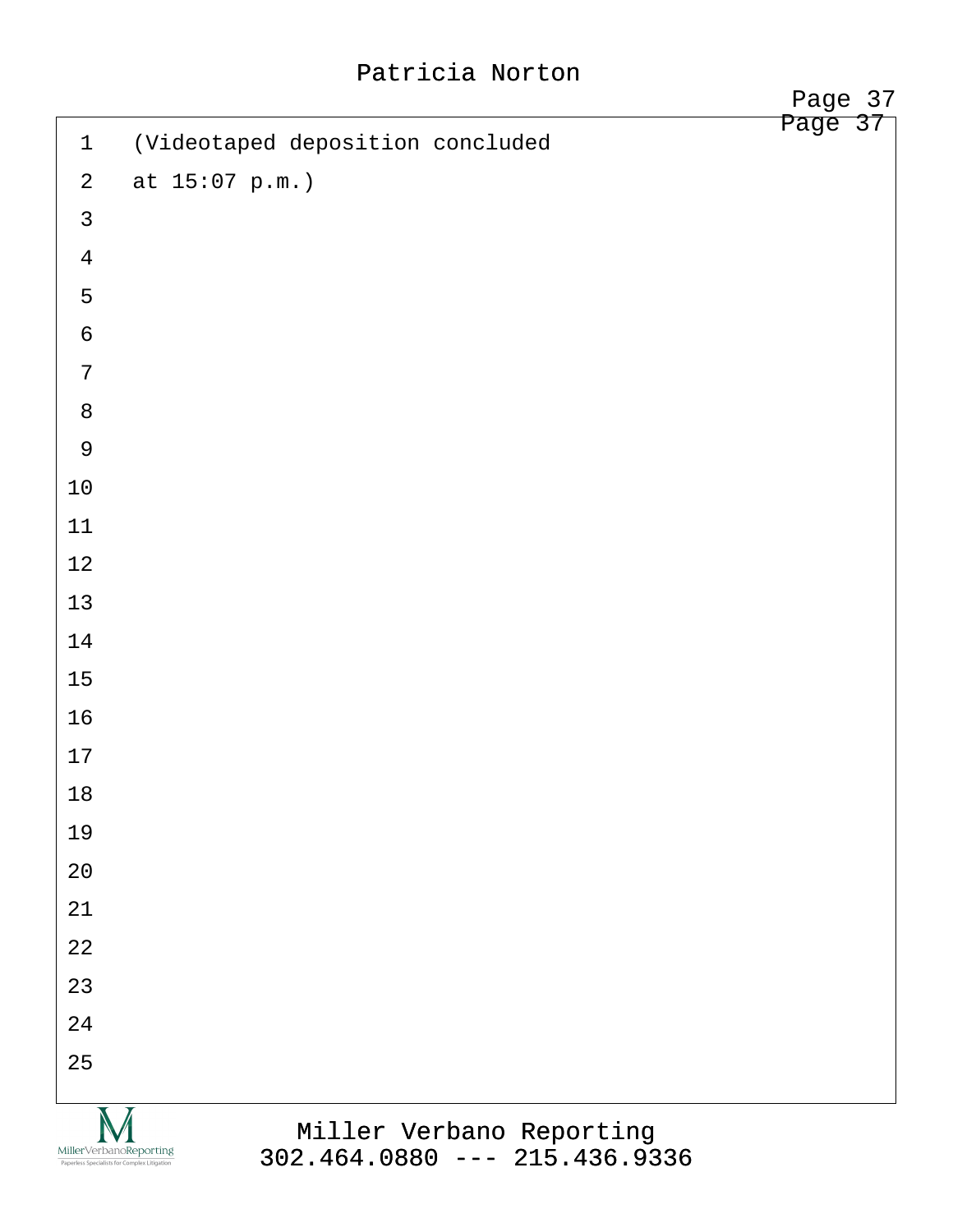|                                                                        |                                  | Page 37 |  |
|------------------------------------------------------------------------|----------------------------------|---------|--|
| $\mathbf 1$                                                            | (Videotaped deposition concluded | Page 37 |  |
| $\overline{a}$                                                         | at 15:07 p.m.)                   |         |  |
| $\mathfrak{Z}$                                                         |                                  |         |  |
| $\overline{4}$                                                         |                                  |         |  |
| 5                                                                      |                                  |         |  |
| $\sqrt{6}$                                                             |                                  |         |  |
| $\overline{7}$                                                         |                                  |         |  |
| $\,8\,$                                                                |                                  |         |  |
| $\overline{9}$                                                         |                                  |         |  |
| $10\,$                                                                 |                                  |         |  |
| $11$                                                                   |                                  |         |  |
| $12\,$                                                                 |                                  |         |  |
| $13$                                                                   |                                  |         |  |
| 14                                                                     |                                  |         |  |
| $15\,$                                                                 |                                  |         |  |
| 16                                                                     |                                  |         |  |
| $17$                                                                   |                                  |         |  |
| $18\,$                                                                 |                                  |         |  |
| 19                                                                     |                                  |         |  |
| 20                                                                     |                                  |         |  |
| 21                                                                     |                                  |         |  |
| 22                                                                     |                                  |         |  |
| 23                                                                     |                                  |         |  |
| 24                                                                     |                                  |         |  |
| 25                                                                     |                                  |         |  |
|                                                                        | Miller Verbano Reporting         |         |  |
| MillerVerbanoReporting<br>Paperless Specialists for Complex Litigation | $302.464.0880$ --- 215.436.9336  |         |  |

[302.464.0880 --- 215.436.9336](http://www.miller-verbano.com)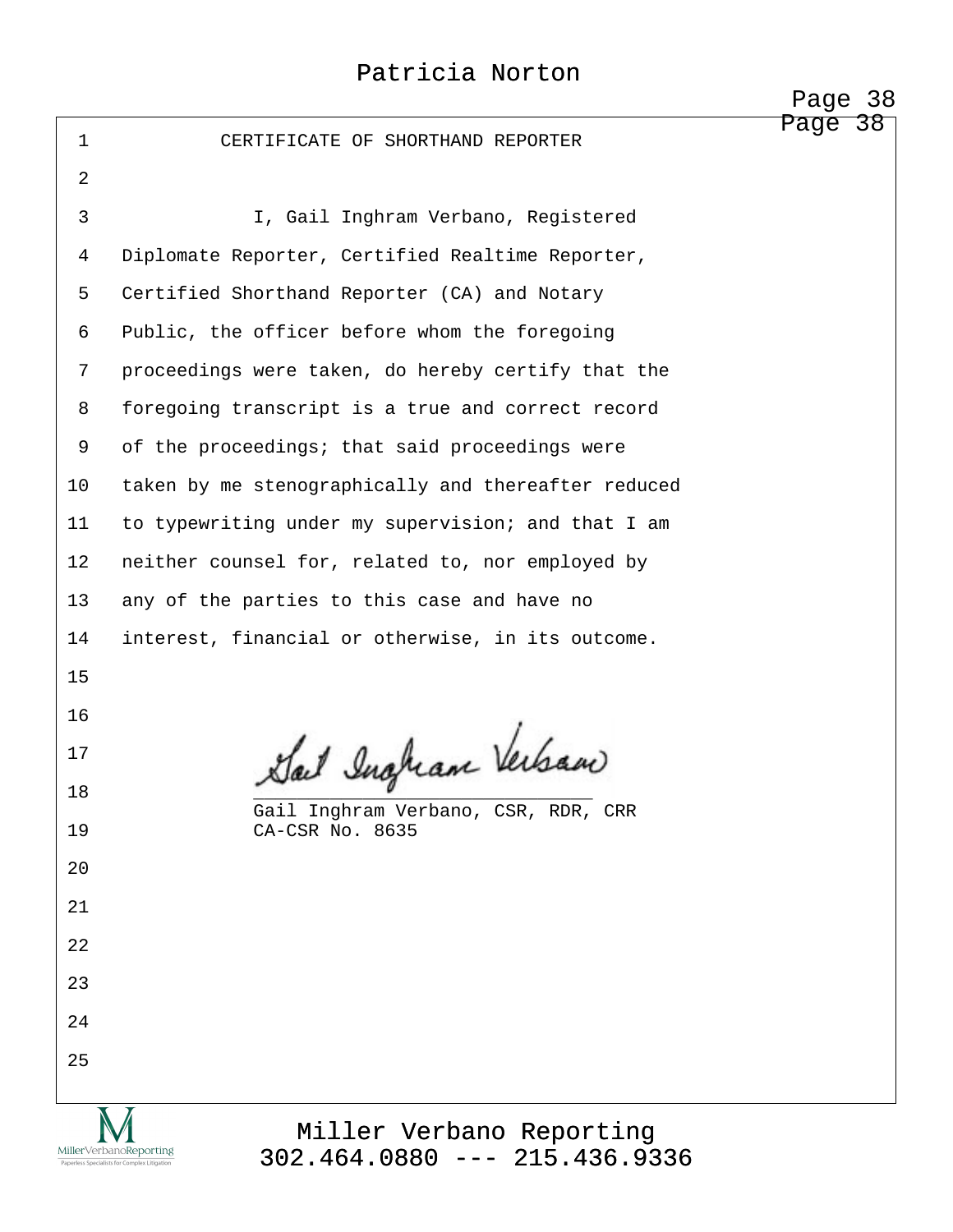|              |                                                                                                                                       | <u>- 0.90</u> |
|--------------|---------------------------------------------------------------------------------------------------------------------------------------|---------------|
| $\mathbf{1}$ | CERTIFICATE OF SHORTHAND REPORTER                                                                                                     | Page 38       |
| 2            |                                                                                                                                       |               |
| 3            | I, Gail Inghram Verbano, Registered                                                                                                   |               |
| 4            | Diplomate Reporter, Certified Realtime Reporter,                                                                                      |               |
| 5            | Certified Shorthand Reporter (CA) and Notary                                                                                          |               |
| 6            | Public, the officer before whom the foregoing                                                                                         |               |
| 7            | proceedings were taken, do hereby certify that the                                                                                    |               |
| 8            | foregoing transcript is a true and correct record                                                                                     |               |
| 9            | of the proceedings; that said proceedings were                                                                                        |               |
| 10           | taken by me stenographically and thereafter reduced                                                                                   |               |
| 11           | to typewriting under my supervision; and that I am                                                                                    |               |
| 12           | neither counsel for, related to, nor employed by                                                                                      |               |
| 13           | any of the parties to this case and have no                                                                                           |               |
| 14           | interest, financial or otherwise, in its outcome.                                                                                     |               |
| 15           |                                                                                                                                       |               |
| 16           |                                                                                                                                       |               |
| 17           | Sail Ingham Verban                                                                                                                    |               |
| 18           | Gail Inghram Verbano, CSR, RDR, CRR                                                                                                   |               |
| 19           | CA-CSR No. 8635                                                                                                                       |               |
| 20           |                                                                                                                                       |               |
| 21           |                                                                                                                                       |               |
| 22           |                                                                                                                                       |               |
| 23           |                                                                                                                                       |               |
| 24           |                                                                                                                                       |               |
| 25           |                                                                                                                                       |               |
|              | Miller Verbano Reporting<br>MillerVerbanoReporting<br>$302.464.0880$ --- 215.436.9336<br>Paperless Specialists for Complex Litigation |               |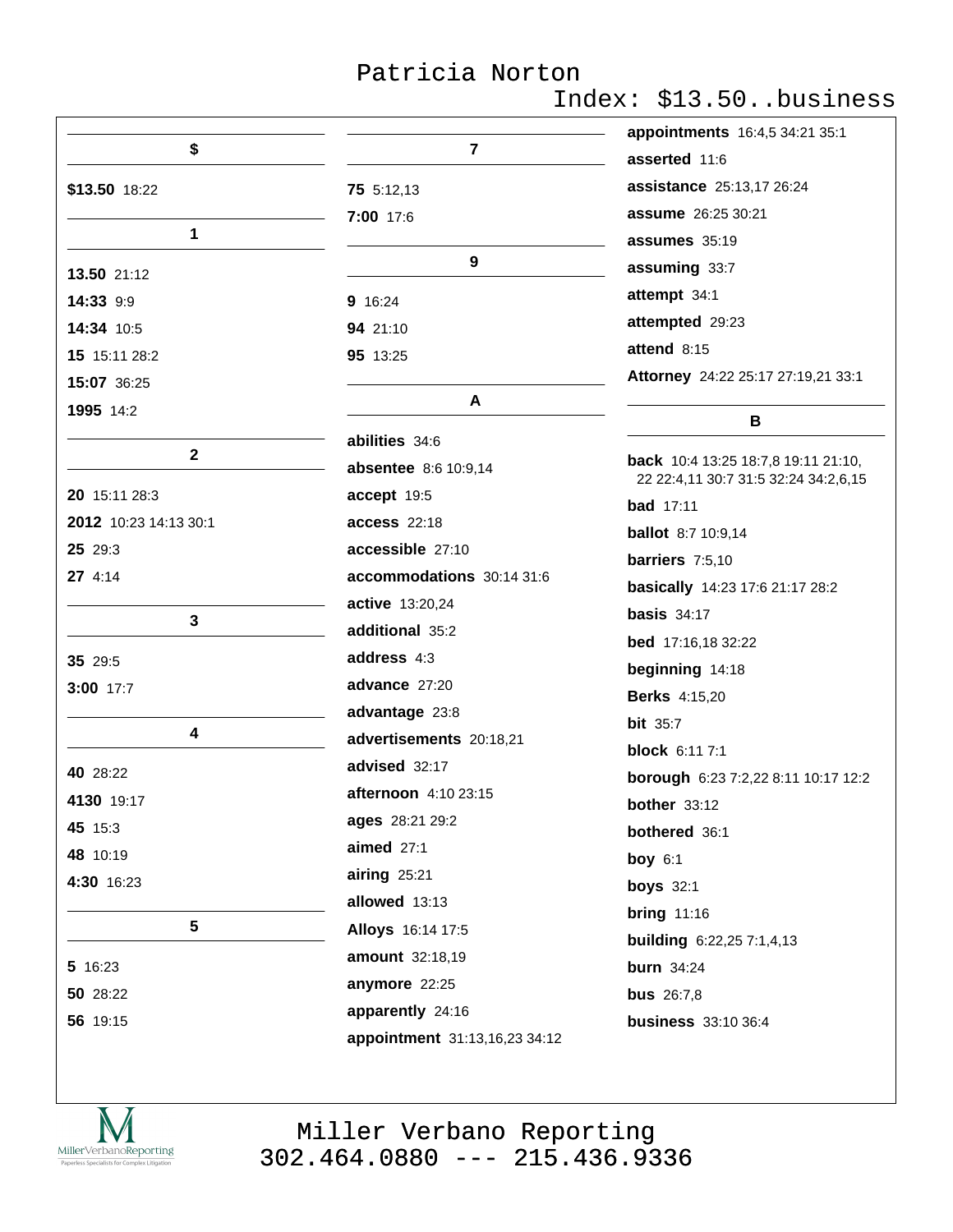# Index: \$13.50..business

|                       |                               | appointments 16:4,5 34:21 35:1                |
|-----------------------|-------------------------------|-----------------------------------------------|
| \$                    | 7                             | asserted 11:6                                 |
| \$13.50 18:22         | 75 5:12,13                    | assistance 25:13,17 26:24                     |
|                       | 7:00 17:6                     | <b>assume</b> 26:25 30:21                     |
| 1                     |                               | assumes 35:19                                 |
| 13.50 21:12           | 9                             | assuming 33:7                                 |
| 14:33 9:9             | 9 16:24                       | attempt 34:1                                  |
| 14:34 10:5            | 94 21:10                      | attempted 29:23                               |
| 15 15:11 28:2         | 95 13:25                      | attend 8:15                                   |
| 15:07 36:25           |                               | Attorney 24:22 25:17 27:19,21 33:1            |
| 1995 14:2             | A                             | в                                             |
|                       | abilities 34:6                |                                               |
| $\mathbf{2}$          | <b>absentee</b> 8:6 10:9,14   | <b>back</b> 10:4 13:25 18:7,8 19:11 21:10,    |
| 20 15:11 28:3         | accept 19:5                   | 22 22:4,11 30:7 31:5 32:24 34:2,6,15          |
| 2012 10:23 14:13 30:1 | <b>access</b> 22:18           | <b>bad</b> 17:11<br><b>ballot</b> 8:7 10:9,14 |
| 25 29:3               | accessible 27:10              | barriers 7:5,10                               |
| 27 4:14               | accommodations 30:14 31:6     | basically 14:23 17:6 21:17 28:2               |
|                       | active 13:20,24               | basis $34:17$                                 |
| 3                     | additional 35:2               | bed 17:16,18 32:22                            |
| 35 29:5               | address 4:3                   | beginning 14:18                               |
| 3:00 17:7             | advance 27:20                 | <b>Berks</b> 4:15,20                          |
|                       | advantage 23:8                | <b>bit</b> 35:7                               |
| 4                     | advertisements 20:18,21       | <b>block</b> 6:11 7:1                         |
| 40 28:22              | advised 32:17                 | borough 6:23 7:2,22 8:11 10:17 12:2           |
| 4130 19:17            | afternoon 4:10 23:15          | bother $33:12$                                |
| 45 15:3               | ages 28:21 29:2               | bothered 36:1                                 |
| 48 10:19              | aimed $27:1$                  | boy $6:1$                                     |
| 4:30 16:23            | $airing$ 25:21                | <b>boys</b> 32:1                              |
|                       | allowed 13:13                 | <b>bring 11:16</b>                            |
| $5\phantom{.0}$       | Alloys 16:14 17:5             | <b>building</b> 6:22,25 7:1,4,13              |
| 5 16:23               | amount 32:18,19               | <b>burn</b> 34:24                             |
| 50 28:22              | anymore 22:25                 | <b>bus</b> 26:7,8                             |
| 56 19:15              | apparently 24:16              | <b>business</b> 33:10 36:4                    |
|                       | appointment 31:13,16,23 34:12 |                                               |

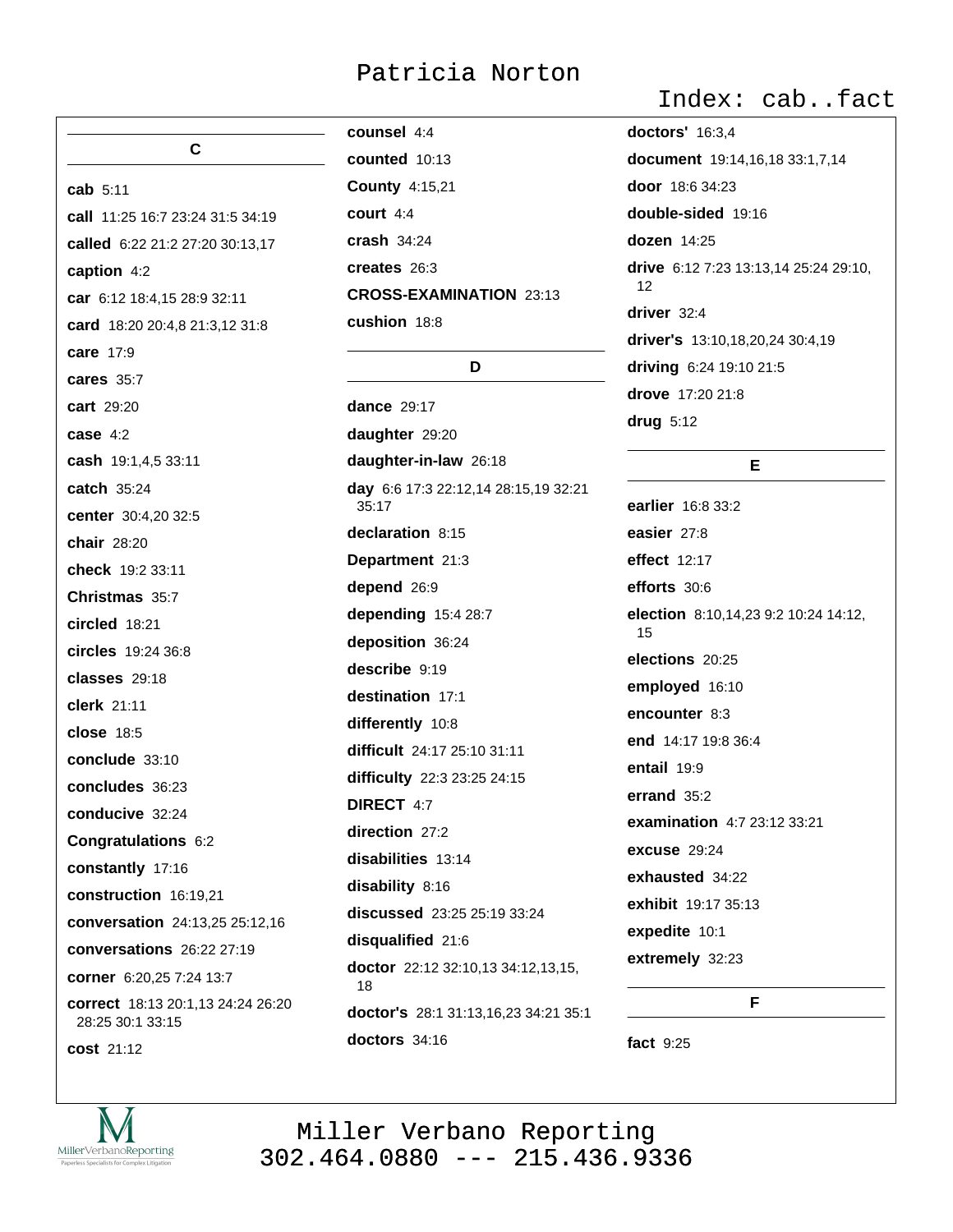cab 5:11

 $\mathbf{C}$ 

call 11:25 16:7 23:24 31:5 34:19 called 6:22 21:2 27:20 30:13,17 caption 4:2 car 6:12 18:4,15 28:9 32:11 card 18:20 20:4,8 21:3,12 31:8 care 17:9 cares 35:7 cart 29:20 case  $4:2$ cash 19:1,4,5 33:11 **catch** 35:24 center 30:4,20 32:5 chair 28:20 check 19:2 33:11 Christmas 35.7 circled 18:21 circles 19:24 36:8 classes 29:18 clerk 21:11 close 18:5 conclude 33:10 concludes 36:23 conducive 32:24 Congratulations 6:2 constantly 17:16 construction 16:19.21 conversation 24:13,25 25:12,16 conversations 26:22 27:19 corner 6:20,25 7:24 13:7 correct 18:13 20:1.13 24:24 26:20 28:25 30:1 33:15

cost 21:12

counsel 4:4 counted 10:13 **County 4:15,21** court 4:4 crash  $34:24$ creates 26:3 **CROSS-EXAMINATION 23:13** cushion 18:8

#### D

dance  $29.17$ daughter 29:20 daughter-in-law 26:18 day 6:6 17:3 22:12,14 28:15,19 32:21  $35:17$ declaration 8:15 Department 21:3 depend 26:9 depending 15:4 28:7 deposition 36:24 describe 9:19 destination 17:1 differently 10:8 difficult 24:17 25:10 31:11 difficulty 22:3 23:25 24:15 **DIRECT 4:7** direction 27:2 disabilities 13:14 disability 8:16 discussed 23:25 25:19 33:24 disqualified 21:6 doctor 22:12 32:10,13 34:12,13,15, 18 doctor's 28:1 31:13,16,23 34:21 35:1 doctors  $34:16$ 

#### Index: cab..fact

**doctors' 16:3.4** document 19:14,16,18 33:1,7,14 door 18:6 34:23 double-sided 19:16 **dozen** 14:25 drive 6:12 7:23 13:13.14 25:24 29:10.  $12$ driver 32:4 driver's 13:10,18,20,24 30:4,19 driving 6:24 19:10 21:5 drove 17:20 21:8 drug  $5:12$ 

#### E

earlier 16:8 33:2 easier 27:8 effect 12:17 efforts 30:6 election 8:10,14,23 9:2 10:24 14:12, 15 elections 20:25 employed 16:10 encounter 8:3 end 14:17 19:8 36:4 entail 19:9 errand  $35:2$ examination 4:7 23:12 33:21 **excuse** 29:24 exhausted 34:22 exhibit 19:17 35:13 expedite 10:1 extremely 32:23

F.

fact 9:25

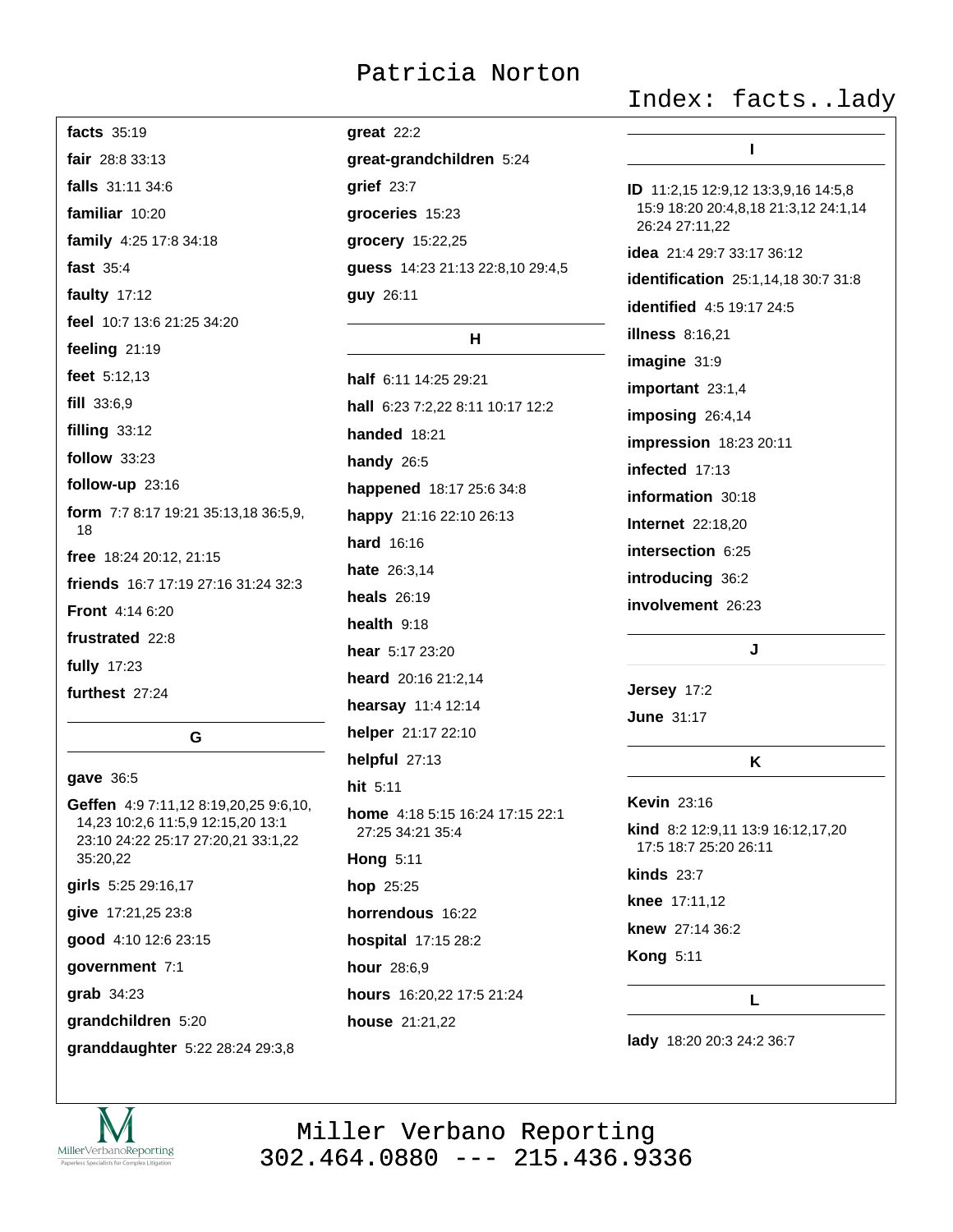facts 35:19 fair 28:8 33:13 falls  $31 \cdot 11 \cdot 34 \cdot 6$ familiar 10:20 family 4:25 17:8 34:18 fast 35:4 faulty 17:12 feel 10:7 13:6 21:25 34:20 feeling 21:19 feet 5:12,13 fill 33:6,9 filling  $33:12$ follow 33:23 follow-up 23:16 form 7:7 8:17 19:21 35:13,18 36:5,9, 18 free 18:24 20:12, 21:15 friends 16:7 17:19 27:16 31:24 32:3 **Front** 4:14 6:20 frustrated 22:8 fully 17:23 furthest 27:24 G

#### gave 36:5

Geffen 4:9 7:11,12 8:19,20,25 9:6,10, 14,23 10:2,6 11:5,9 12:15,20 13:1 23:10 24:22 25:17 27:20,21 33:1,22 35:20.22 girls 5:25 29:16,17 give 17:21,25 23:8 good 4:10 12:6 23:15 government 7:1 grab 34:23 grandchildren 5:20

granddaughter 5:22 28:24 29:3,8

## $<sub>gr</sub>eat$  22:2</sub> great-grandchildren 5:24 qrief  $23:7$ groceries 15:23 grocery 15:22,25 guess 14:23 21:13 22:8,10 29:4,5 guy 26:11

#### Н.

half 6:11 14:25 29:21 hall 6:23 7:2.22 8:11 10:17 12:2 **handed** 18:21 handy  $26:5$ happened 18:17 25:6 34:8 happy 21:16 22:10 26:13 hard 16:16 hate 26:3.14 heals  $26:19$ health  $9:18$ hear 5:17 23:20 heard 20:16 21:2.14 hearsay 11:4 12:14 helper 21:17 22:10 helpful 27:13 hit 5:11 home 4:18 5:15 16:24 17:15 22:1 27:25 34:21 35:4 **Hong 5:11** hop 25:25 horrendous 16:22 hospital 17:15 28:2 hour 28:6,9 hours 16:20,22 17:5 21:24 house 21:21,22

#### Index: facts..lady

| ı                                                                                             |
|-----------------------------------------------------------------------------------------------|
| ID 11:2,15 12:9,12 13:3,9,16 14:5,8<br>15:9 18:20 20:4,8,18 21:3,12 24:1,14<br>26:24 27:11,22 |
| <b>idea</b> 21:4 29:7 33:17 36:12                                                             |
| identification 25:1,14,18 30:7 31:8                                                           |
| <b>identified</b> 4:5 19:17 24:5                                                              |
| <b>illness</b> 8:16,21                                                                        |
| imagine 31:9                                                                                  |
| important 23:1,4                                                                              |
| imposing 26:4,14                                                                              |
| impression 18:23 20:11                                                                        |
| infected 17:13                                                                                |
| information 30:18                                                                             |
| <b>Internet</b> 22:18,20                                                                      |
| intersection 6:25                                                                             |
| introducing 36:2                                                                              |
| involvement 26:23                                                                             |
| J                                                                                             |
| Jersey 17:2                                                                                   |
| <b>June 31:17</b>                                                                             |
| Κ                                                                                             |
| <b>Kevin</b> 23:16                                                                            |
| kind 8:2 12:9,11 13:9 16:12,17,20<br>17:5 18:7 25:20 26:11                                    |

**kinds 23:7** 

knee 17:11.12

knew 27:14 36:2

**Kong 5:11** 

L

lady 18:20 20:3 24:2 36:7

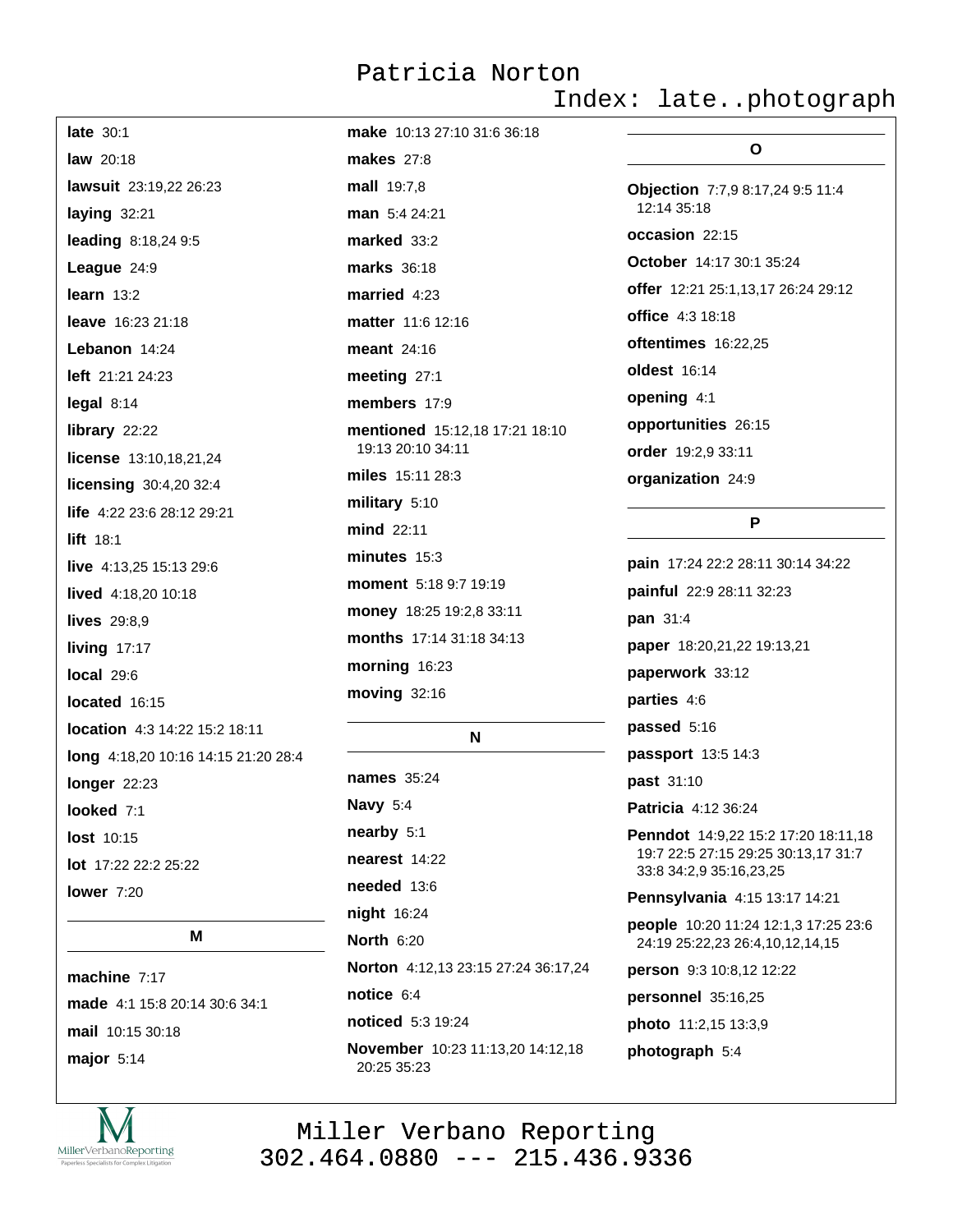make 10:13 27:10 31:6 36:18

#### Index: late..photograph

| <b>late</b> 30:1                     |
|--------------------------------------|
| <b>law</b> 20:18                     |
| lawsuit 23:19,22 26:23               |
| laying 32:21                         |
| leading 8:18,24 9:5                  |
| League 24:9                          |
| learn $13:2$                         |
| <b>leave</b> 16:23 21:18             |
| Lebanon 14:24                        |
| <b>left</b> 21:21 24:23              |
| legal 8:14                           |
| library 22:22                        |
| license 13:10,18,21,24               |
| licensing 30:4,20 32:4               |
| <b>life</b> $4:22$ 23:6 28:12 29:21  |
| $lift$ 18:1                          |
| live 4:13,25 15:13 29:6              |
| lived 4:18,20 10:18                  |
| lives 29:8,9                         |
| living 17:17                         |
| local 29:6                           |
| located 16:15                        |
| <b>location</b> 4:3 14:22 15:2 18:11 |
| long 4:18,20 10:16 14:15 21:20 28:4  |
| longer 22:23                         |
| <b>looked</b> 7:1                    |
| <b>lost</b> 10:15                    |
| <b>lot</b> $17:22$ 22:2 25:22        |
| lower $7:20$                         |
|                                      |

#### M

machine  $7:17$ made 4:1 15:8 20:14 30:6 34:1 mail 10:15 30:18 major  $5:14$ 



**makes** 27:8 mall 19:7.8 man 5:4 24:21 marked 33:2 marks 36:18 married  $4:23$ matter 11:6 12:16 meant 24:16 meeting 27:1 members 17:9 mentioned 15:12,18 17:21 18:10 19:13 20:10 34:11 miles 15:11 28:3 military 5:10 mind 22:11 minutes  $15:3$ moment 5:18 9:7 19:19 money 18:25 19:2,8 33:11 months 17:14 31:18 34:13 morning 16:23 moving 32:16

#### N

names 35:24 Navy 5:4 nearby 5:1 nearest 14:22 needed 13:6 night 16:24 **North 6:20** Norton 4:12,13 23:15 27:24 36:17,24 notice  $6:4$ noticed 5:3 19:24 November 10:23 11:13,20 14:12,18 20:25 35:23

# O

Objection 7:7,9 8:17,24 9:5 11:4 12:14 35:18 occasion 22:15 October 14:17 30:1 35:24 offer 12:21 25:1,13,17 26:24 29:12 office 4:3 18:18 oftentimes 16:22,25 oldest 16:14 opening 4:1 opportunities 26:15 order 19:2,9 33:11 organization 24:9

#### P

pain 17:24 22:2 28:11 30:14 34:22 painful 22:9 28:11 32:23 pan 31:4 paper 18:20,21,22 19:13,21 paperwork 33:12 parties 4:6 passed 5:16 passport 13:5 14:3 past 31:10 Patricia 4:12 36:24 Penndot 14:9,22 15:2 17:20 18:11,18 19:7 22:5 27:15 29:25 30:13,17 31:7 33:8 34:2,9 35:16,23,25 Pennsylvania 4:15 13:17 14:21 people 10:20 11:24 12:1,3 17:25 23:6 24:19 25:22,23 26:4,10,12,14,15 person 9:3 10:8,12 12:22 personnel 35:16,25 photo 11:2,15 13:3,9 photograph 5:4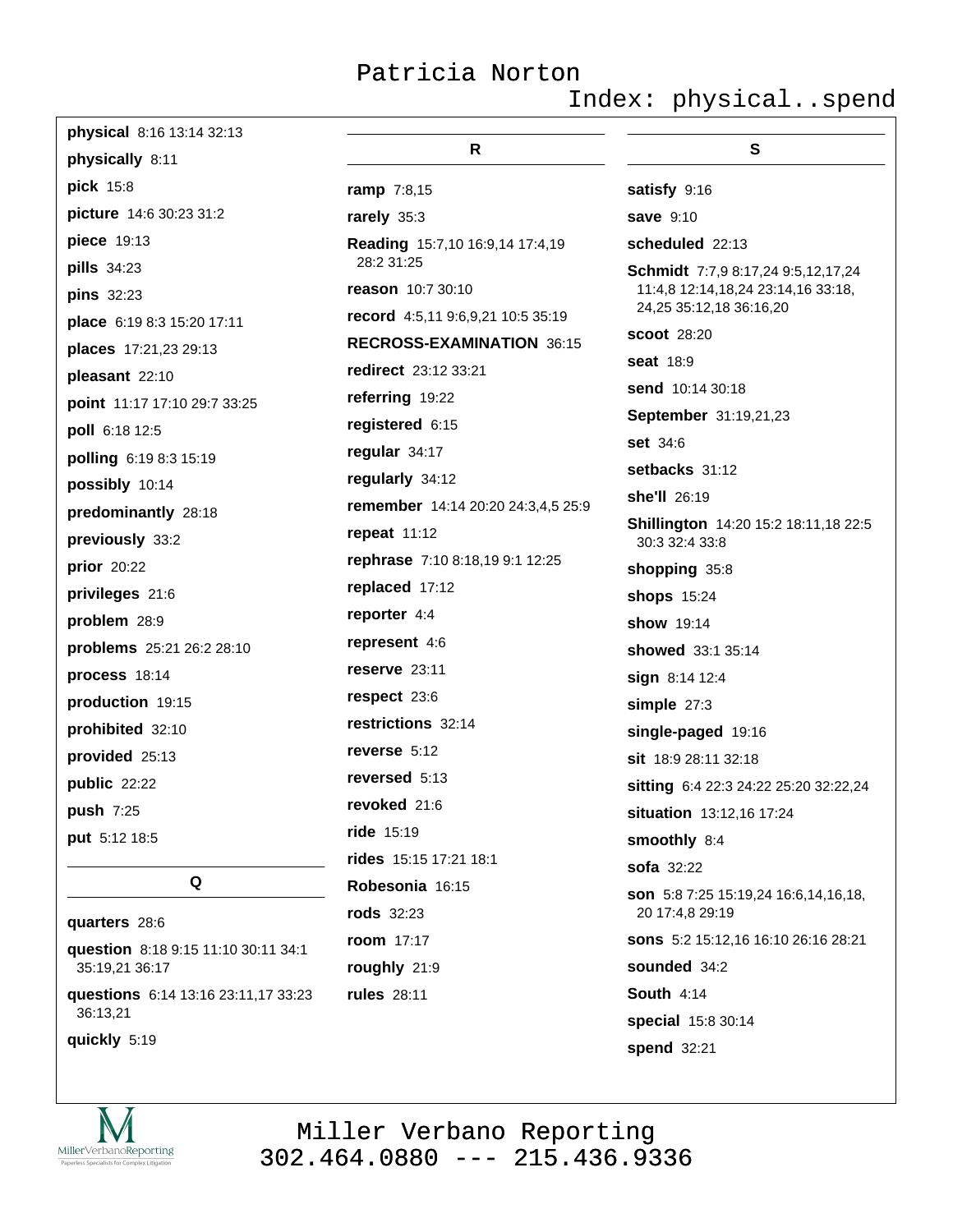Index: physical..spend

20 17:4,8 29:19

sounded 34:2

special 15:8 30:14

**South 4:14** 

spend 32:21

sons 5:2 15:12,16 16:10 26:16 28:21

| <b>physical</b> $8:16$ 13:14 32:13 |                                    |                                                               |
|------------------------------------|------------------------------------|---------------------------------------------------------------|
| physically 8:11                    | R.                                 | S                                                             |
| pick 15:8                          | <b>ramp</b> 7:8,15                 | satisfy 9:16                                                  |
| picture 14:6 30:23 31:2            | rarely 35:3                        | <b>save</b> 9:10                                              |
| piece 19:13                        | Reading 15:7,10 16:9,14 17:4,19    | scheduled 22:13                                               |
| pills 34:23                        | 28:2 31:25                         | <b>Schmidt</b> 7:7,9 8:17,24 9:5,12,17,24                     |
| pins 32:23                         | <b>reason</b> 10:7 30:10           | 11:4,8 12:14,18,24 23:14,16 33:18,<br>24,25 35:12,18 36:16,20 |
| place 6:19 8:3 15:20 17:11         | record 4:5,11 9:6,9,21 10:5 35:19  | <b>scoot</b> 28:20                                            |
| places 17:21,23 29:13              | RECROSS-EXAMINATION 36:15          | <b>seat</b> 18:9                                              |
| pleasant 22:10                     | <b>redirect</b> 23:12 33:21        |                                                               |
| point 11:17 17:10 29:7 33:25       | referring 19:22                    | <b>send</b> 10:14 30:18                                       |
| poll 6:18 12:5                     | registered 6:15                    | September 31:19,21,23                                         |
| polling 6:19 8:3 15:19             | regular 34:17                      | <b>set</b> 34:6                                               |
| possibly 10:14                     | regularly 34:12                    | <b>setbacks</b> 31:12                                         |
| predominantly 28:18                | remember 14:14 20:20 24:3,4,5 25:9 | she'll 26:19                                                  |
| previously 33:2                    | <b>repeat</b> 11:12                | Shillington 14:20 15:2 18:11,18 22:5<br>30:3 32:4 33:8        |
| prior 20:22                        | rephrase 7:10 8:18,19 9:1 12:25    | shopping 35:8                                                 |
| privileges 21:6                    | replaced 17:12                     | <b>shops</b> 15:24                                            |
| problem 28:9                       | reporter 4:4                       | <b>show</b> 19:14                                             |
| problems 25:21 26:2 28:10          | represent 4:6                      | <b>showed</b> 33:1 35:14                                      |
| process 18:14                      | reserve $23:11$                    | sign 8:14 12:4                                                |
| production 19:15                   | respect 23:6                       | simple $27:3$                                                 |
| prohibited 32:10                   | restrictions 32:14                 | single-paged 19:16                                            |
| provided 25:13                     | reverse 5:12                       | <b>sit</b> 18:9 28:11 32:18                                   |
| public 22:22                       | reversed 5:13                      | sitting 6:4 22:3 24:22 25:20 32:22,24                         |
| push 7:25                          | revoked 21:6                       | situation 13:12,16 17:24                                      |
| put 5:12 18:5                      | ride $15:19$                       | smoothly 8:4                                                  |
|                                    | <b>rides</b> 15:15 17:21 18:1      | <b>sofa</b> 32:22                                             |
| Q                                  | Robesonia 16:15                    | son 5:8 7:25 15:19,24 16:6,14,16,18,                          |

**rods** 32:23

**room** 17:17

roughly 21:9 rules 28:11

#### quarters 28:6

question 8:18 9:15 11:10 30:11 34:1 35:19,21 36:17

questions 6:14 13:16 23:11,17 33:23 36:13,21

quickly 5:19

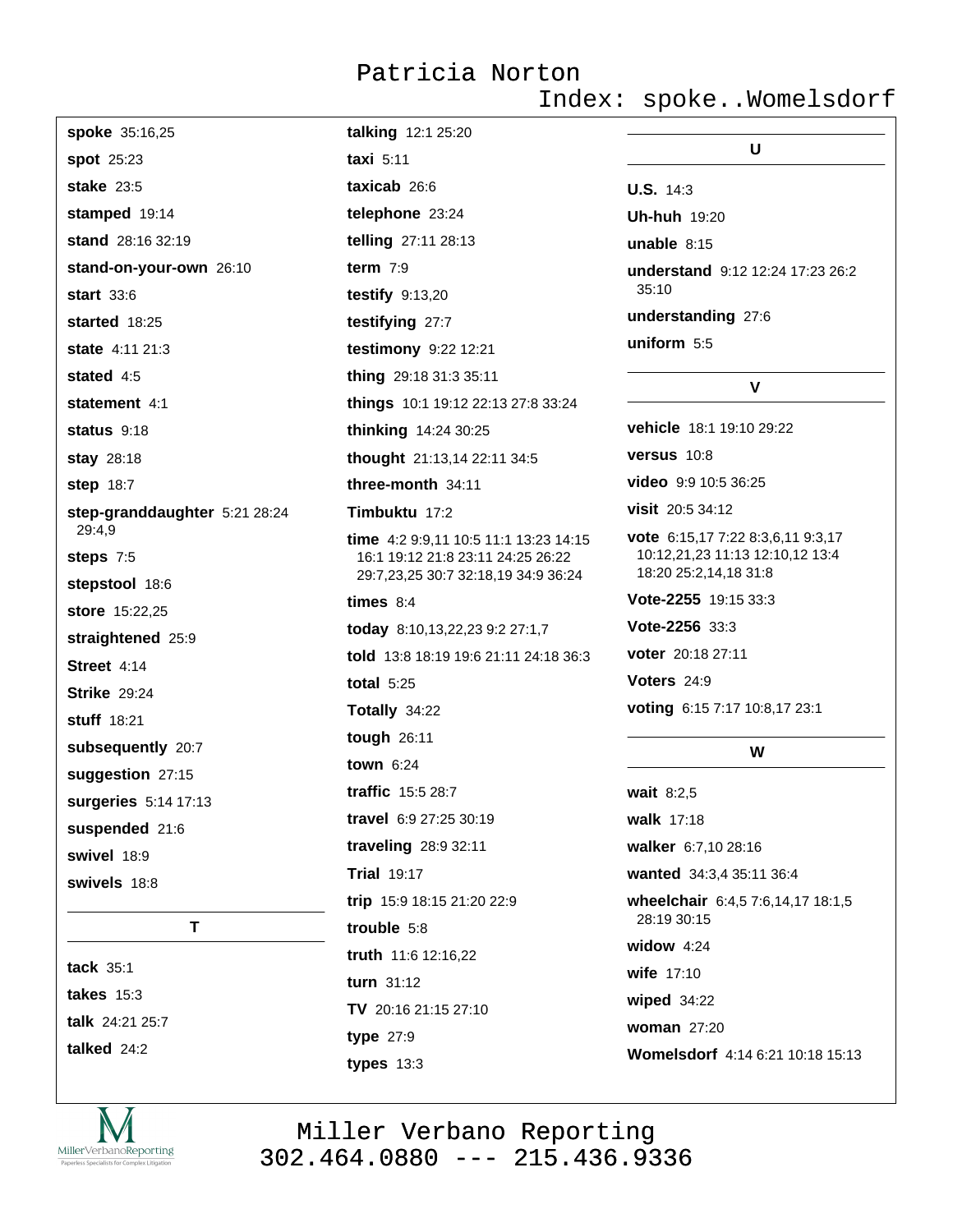Index: spoke..Womelsdorf

Womelsdorf 4:14 6:21 10:18 15:13

| spoke 35:16,25                | talking 12:1 25:20                                                      |                                                                                               |
|-------------------------------|-------------------------------------------------------------------------|-----------------------------------------------------------------------------------------------|
| spot 25:23                    | taxi $5:11$                                                             | U                                                                                             |
| <b>stake</b> 23:5             | taxicab 26:6                                                            | <b>U.S.</b> $14:3$                                                                            |
| stamped 19:14                 | telephone 23:24                                                         | <b>Uh-huh 19:20</b>                                                                           |
| stand 28:16 32:19             | telling 27:11 28:13                                                     | unable $8:15$                                                                                 |
| stand-on-your-own 26:10       | term $7:9$                                                              | understand 9:12 12:24 17:23 26:2                                                              |
| <b>start</b> 33:6             | testify $9:13,20$                                                       | 35:10                                                                                         |
| started 18:25                 | testifying 27:7                                                         | understanding 27:6                                                                            |
| state 4:11 21:3               | testimony 9:22 12:21                                                    | uniform 5:5                                                                                   |
| stated $4:5$                  | thing 29:18 31:3 35:11                                                  | V                                                                                             |
| statement 4:1                 | things 10:1 19:12 22:13 27:8 33:24                                      |                                                                                               |
| status $9:18$                 | thinking 14:24 30:25                                                    | vehicle 18:1 19:10 29:22                                                                      |
| stay 28:18                    | thought 21:13,14 22:11 34:5                                             | versus 10:8                                                                                   |
| <b>step 18:7</b>              | three-month 34:11                                                       | video 9:9 10:5 36:25                                                                          |
| step-granddaughter 5:21 28:24 | Timbuktu 17:2                                                           | visit 20:5 34:12                                                                              |
| 29:4,9<br>steps 7:5           | time $4:29:9,1110:511:113:2314:15$<br>16:1 19:12 21:8 23:11 24:25 26:22 | vote 6:15,17 7:22 8:3,6,11 9:3,17<br>10:12,21,23 11:13 12:10,12 13:4<br>18:20 25:2,14,18 31:8 |
| stepstool 18:6                | 29:7,23,25 30:7 32:18,19 34:9 36:24                                     |                                                                                               |
| store 15:22,25                | times $8:4$                                                             | Vote-2255 19:15 33:3                                                                          |
| straightened 25:9             | today 8:10,13,22,23 9:2 27:1,7                                          | Vote-2256 33:3                                                                                |
| Street 4:14                   | told 13:8 18:19 19:6 21:11 24:18 36:3                                   | <b>voter</b> 20:18 27:11                                                                      |
| <b>Strike 29:24</b>           | total $5:25$                                                            | Voters 24:9                                                                                   |
| stuff 18:21                   | Totally 34:22                                                           | voting 6:15 7:17 10:8,17 23:1                                                                 |
| subsequently 20:7             | tough 26:11                                                             | W                                                                                             |
| suggestion 27:15              | town $6:24$                                                             |                                                                                               |
| surgeries 5:14 17:13          | traffic 15:5 28:7                                                       | wait 8:2,5                                                                                    |
| suspended 21:6                | travel 6:9 27:25 30:19                                                  | walk 17:18                                                                                    |
| swivel 18:9                   | traveling 28:9 32:11                                                    | walker 6:7,10 28:16                                                                           |
| swivels 18:8                  | <b>Trial 19:17</b>                                                      | wanted 34:3,4 35:11 36:4                                                                      |
|                               | trip 15:9 18:15 21:20 22:9                                              | wheelchair 6:4,5 7:6,14,17 18:1,5<br>28:19 30:15                                              |
| T                             | trouble 5:8                                                             | widow $4:24$                                                                                  |
| tack 35:1                     | truth 11:6 12:16,22                                                     | wife 17:10                                                                                    |
| takes $15:3$                  | turn 31:12                                                              | wiped $34:22$                                                                                 |
| talk 24:21 25:7               | TV 20:16 21:15 27:10                                                    | woman $27:20$                                                                                 |
|                               |                                                                         |                                                                                               |

talked 24:2



Miller Verbano Reporting<br>302.464.0880 --- 215.436.9336

type 27:9

types  $13:3$